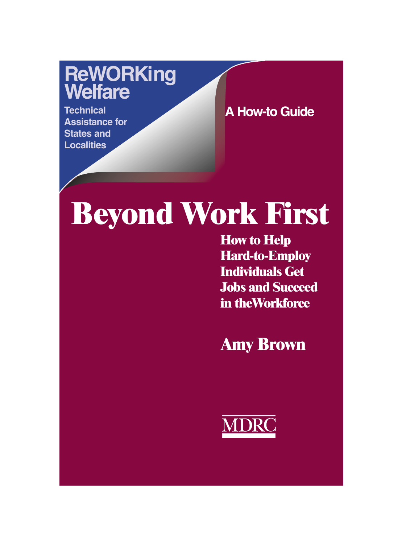## **ReWORKing Welfare**

**Technical Assistance for States and Localities**

**A How-to Guide**

# **Beyond Work First**

**How to Help Hard-to-Employ Individuals Get Jobs and Succeed in theWorkforce**

**Amy Brown**

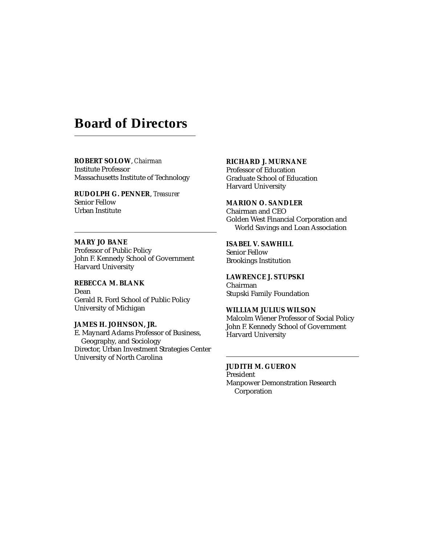## **Board of Directors**

#### **ROBERT SOLOW**, *Chairman* Institute Professor Massachusetts Institute of Technology

**RUDOLPH G. PENNER**, *Treasurer* Senior Fellow Urban Institute

**MARY JO BANE** Professor of Public Policy John F. Kennedy School of Government Harvard University

**REBECCA M. BLANK** Dean Gerald R. Ford School of Public Policy University of Michigan

**JAMES H. JOHNSON, JR.** E. Maynard Adams Professor of Business, Geography, and Sociology Director, Urban Investment Strategies Center University of North Carolina

#### **RICHARD J. MURNANE**

Professor of Education Graduate School of Education Harvard University

#### **MARION O. SANDLER**

Chairman and CEO Golden West Financial Corporation and World Savings and Loan Association

#### **ISABEL V. SAWHILL**

Senior Fellow Brookings Institution

#### **LAWRENCE J. STUPSKI**

Chairman Stupski Family Foundation

#### **WILLIAM JULIUS WILSON**

Malcolm Wiener Professor of Social Policy John F. Kennedy School of Government Harvard University

**JUDITH M. GUERON**

President Manpower Demonstration Research Corporation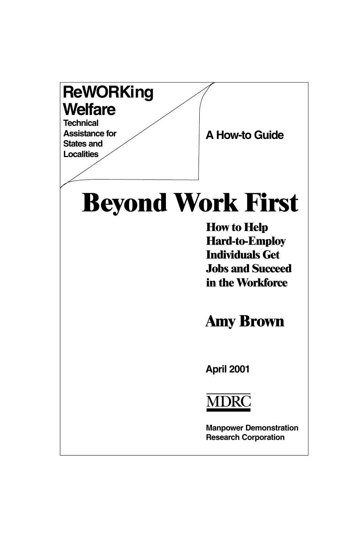## **ReWORKing Welfare**

**Technical Assistance for States and Localities**

**A How-to Guide**

## **Beyond Work First**

**How to Help Hard-to-Employ Individuals Get Jobs and Succeed in the Workforce**

**Amy Brown**

**April 2001**



**Manpower Demonstration Research Corporation**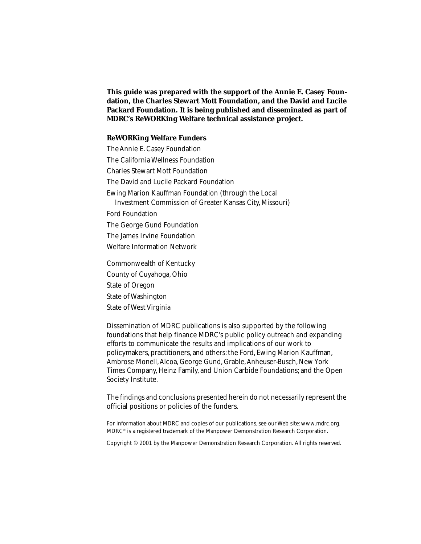**This guide was prepared with the support of the Annie E. Casey Foundation, the Charles Stewart Mott Foundation, and the David and Lucile Packard Foundation. It is being published and disseminated as part of MDRC's ReWORKing Welfare technical assistance project.**

#### **ReWORKing Welfare Funders**

The Annie E. Casey Foundation The California Wellness Foundation Charles Stewart Mott Foundation The David and Lucile Packard Foundation Ewing Marion Kauffman Foundation (through the Local Investment Commission of Greater Kansas City, Missouri) Ford Foundation The George Gund Foundation The James Irvine Foundation Welfare Information Network Commonwealth of Kentucky County of Cuyahoga, Ohio State of Oregon

State of Washington State of West Virginia

Dissemination of MDRC publications is also supported by the following foundations that help finance MDRC's public policy outreach and expanding efforts to communicate the results and implications of our work to policymakers, practitioners, and others: the Ford, Ewing Marion Kauffman, Ambrose Monell, Alcoa, George Gund, Grable, Anheuser-Busch, New York Times Company, Heinz Family, and Union Carbide Foundations; and the Open Society Institute.

The findings and conclusions presented herein do not necessarily represent the official positions or policies of the funders.

For information about MDRC and copies of our publications, see our Web site: www.mdrc.org. MDRC® is a registered trademark of the Manpower Demonstration Research Corporation.

Copyright © 2001 by the Manpower Demonstration Research Corporation. All rights reserved.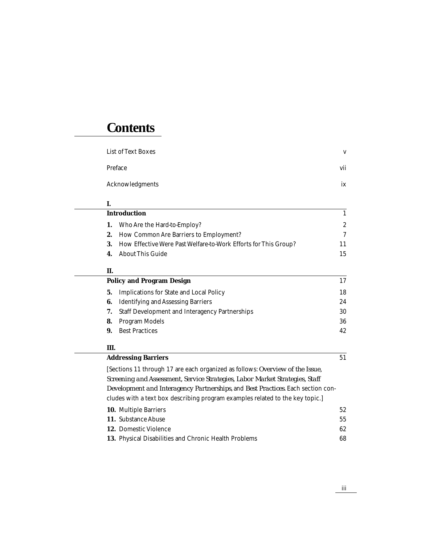## **Contents**

| <b>List of Text Boxes</b> | V   |
|---------------------------|-----|
| Preface                   | vii |
| Acknowledgments           | ix  |

#### **I.**

| <b>Introduction</b>                                                |              |
|--------------------------------------------------------------------|--------------|
| 1. Who Are the Hard-to-Employ?                                     | $\mathbf{2}$ |
| <b>2.</b> How Common Are Barriers to Employment?                   | 7            |
| 3. How Effective Were Past Welfare-to-Work Efforts for This Group? | 11           |
| <b>4.</b> About This Guide                                         | 15           |

#### **II.**

|    | <b>Policy and Program Design</b>                      | 17 |
|----|-------------------------------------------------------|----|
| 5. | <b>Implications for State and Local Policy</b>        | 18 |
| 6. | <b>Identifying and Assessing Barriers</b>             | 24 |
|    | <b>Staff Development and Interagency Partnerships</b> | 30 |
| 8. | Program Models                                        | 36 |
| 9. | <b>Best Practices</b>                                 | 42 |
|    |                                                       |    |

#### **III.**

#### Addressing Barriers 51

[Sections 11 through 17 are each organized as follows: *Overview of the Issue, Screening and Assessment, Service Strategies, Labor Market Strategies, Staff Development and Interagency Partnerships*, and *Best Practices*. Each section concludes with a text box describing program examples related to the key topic.]

| <b>10.</b> Multiple Barriers                                 | 52 |
|--------------------------------------------------------------|----|
|                                                              |    |
| <b>11. Substance Abuse</b>                                   | 55 |
| <b>12.</b> Domestic Violence                                 | 62 |
| <b>13.</b> Physical Disabilities and Chronic Health Problems | 68 |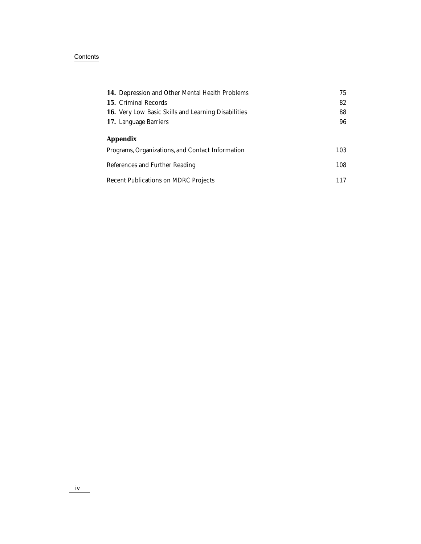#### Contents in the content of the content of the content of the content of the contents of the content of the content of the content of the content of the content of the content of the content of the content of the content of

 $\mathcal{L}$ 

| <b>14.</b> Depression and Other Mental Health Problems     | 75  |
|------------------------------------------------------------|-----|
| <b>15. Criminal Records</b>                                | 82  |
| <b>16.</b> Very Low Basic Skills and Learning Disabilities | 88  |
| 17. Language Barriers                                      | 96  |
| <b>Appendix</b>                                            |     |
| Programs, Organizations, and Contact Information           | 103 |
| References and Further Reading                             | 108 |
| <b>Recent Publications on MDRC Projects</b>                | 117 |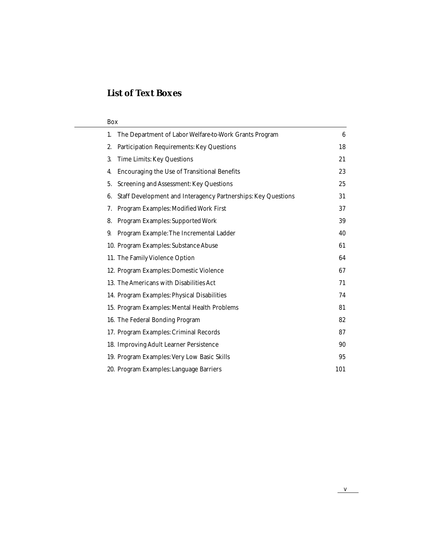## **List of Text Boxes**

| Box                                                                 |     |
|---------------------------------------------------------------------|-----|
| The Department of Labor Welfare-to-Work Grants Program<br>1.        | 6   |
| <b>Participation Requirements: Key Questions</b><br>2.              | 18  |
| <b>Time Limits: Key Questions</b><br>3.                             | 21  |
| <b>Encouraging the Use of Transitional Benefits</b><br>4.           | 23  |
| <b>Screening and Assessment: Key Questions</b><br>5.                | 25  |
| Staff Development and Interagency Partnerships: Key Questions<br>6. | 31  |
| Program Examples: Modified Work First<br>7.                         | 37  |
| <b>Program Examples: Supported Work</b><br>8.                       | 39  |
| Program Example: The Incremental Ladder<br>9.                       | 40  |
| 10. Program Examples: Substance Abuse                               | 61  |
| 11. The Family Violence Option                                      | 64  |
| 12. Program Examples: Domestic Violence                             | 67  |
| 13. The Americans with Disabilities Act                             | 71  |
| 14. Program Examples: Physical Disabilities                         | 74  |
| 15. Program Examples: Mental Health Problems                        | 81  |
| 16. The Federal Bonding Program                                     | 82  |
| 17. Program Examples: Criminal Records                              | 87  |
| 18. Improving Adult Learner Persistence                             | 90  |
| 19. Program Examples: Very Low Basic Skills                         | 95  |
| 20. Program Examples: Language Barriers                             | 101 |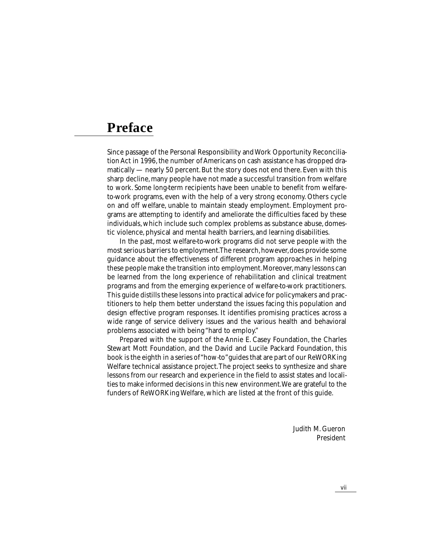## **Preface**

Since passage of the Personal Responsibility and Work Opportunity Reconciliation Act in 1996, the number of Americans on cash assistance has dropped dramatically — nearly 50 percent. But the story does not end there. Even with this sharp decline, many people have not made a successful transition from welfare to work. Some long-term recipients have been unable to benefit from welfareto-work programs, even with the help of a very strong economy. Others cycle on and off welfare, unable to maintain steady employment. Employment programs are attempting to identify and ameliorate the difficulties faced by these individuals, which include such complex problems as substance abuse, domestic violence, physical and mental health barriers, and learning disabilities.

In the past, most welfare-to-work programs did not serve people with the most serious barriers to employment. The research, however, does provide some guidance about the effectiveness of different program approaches in helping these people make the transition into employment. Moreover, many lessons can be learned from the long experience of rehabilitation and clinical treatment programs and from the emerging experience of welfare-to-work practitioners. This guide distills these lessons into practical advice for policymakers and practitioners to help them better understand the issues facing this population and design effective program responses. It identifies promising practices across a wide range of service delivery issues and the various health and behavioral problems associated with being "hard to employ."

Prepared with the support of the Annie E. Casey Foundation, the Charles Stewart Mott Foundation, and the David and Lucile Packard Foundation, this book is the eighth in a series of "how-to" guides that are part of our ReWORKing Welfare technical assistance project. The project seeks to synthesize and share lessons from our research and experience in the field to assist states and localities to make informed decisions in this new environment. We are grateful to the funders of ReWORKing Welfare, which are listed at the front of this guide.

> Judith M. Gueron President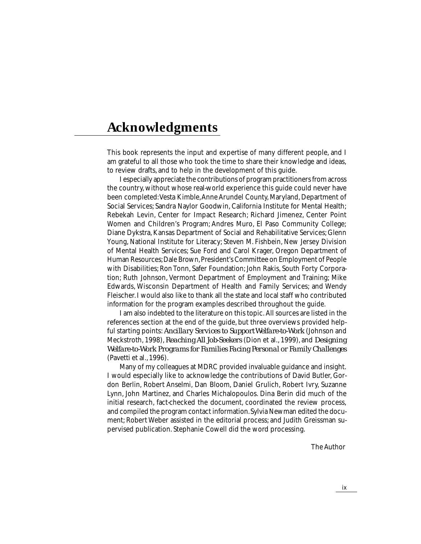## **Acknowledgments**

This book represents the input and expertise of many different people, and I am grateful to all those who took the time to share their knowledge and ideas, to review drafts, and to help in the development of this guide.

I especially appreciate the contributions of program practitioners from across the country, without whose real-world experience this guide could never have been completed: Vesta Kimble, Anne Arundel County, Maryland, Department of Social Services; Sandra Naylor Goodwin, California Institute for Mental Health; Rebekah Levin, Center for Impact Research; Richard Jimenez, Center Point Women and Children's Program; Andres Muro, El Paso Community College; Diane Dykstra, Kansas Department of Social and Rehabilitative Services; Glenn Young, National Institute for Literacy; Steven M. Fishbein, New Jersey Division of Mental Health Services; Sue Ford and Carol Krager, Oregon Department of Human Resources; Dale Brown, President's Committee on Employment of People with Disabilities; Ron Tonn, Safer Foundation; John Rakis, South Forty Corporation; Ruth Johnson, Vermont Department of Employment and Training; Mike Edwards, Wisconsin Department of Health and Family Services; and Wendy Fleischer. I would also like to thank all the state and local staff who contributed information for the program examples described throughout the guide.

I am also indebted to the literature on this topic. All sources are listed in the references section at the end of the guide, but three overviews provided helpful starting points: *Ancillary Services to Support Welfare-to-Work* (Johnson and Meckstroth, 1998), *Reaching All Job-Seekers* (Dion et al., 1999), and *Designing Welfare-to-Work Programs for Families Facing Personal or Family Challenges* (Pavetti et al., 1996).

Many of my colleagues at MDRC provided invaluable guidance and insight. I would especially like to acknowledge the contributions of David Butler, Gordon Berlin, Robert Anselmi, Dan Bloom, Daniel Grulich, Robert Ivry, Suzanne Lynn, John Martinez, and Charles Michalopoulos. Dina Berin did much of the initial research, fact-checked the document, coordinated the review process, and compiled the program contact information. Sylvia Newman edited the document; Robert Weber assisted in the editorial process; and Judith Greissman supervised publication. Stephanie Cowell did the word processing.

The Author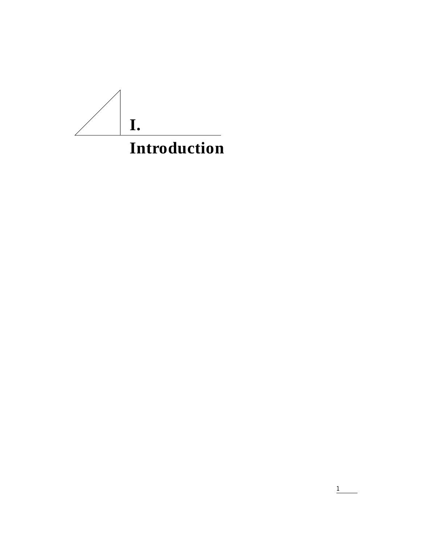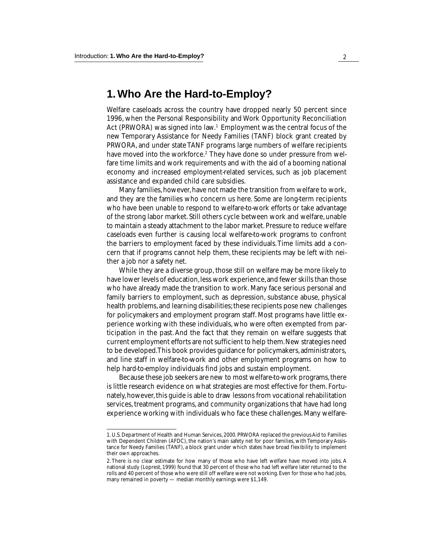### **1. Who Are the Hard-to-Employ?**

Welfare caseloads across the country have dropped nearly 50 percent since 1996, when the Personal Responsibility and Work Opportunity Reconciliation Act (PRWORA) was signed into law.<sup>1</sup> Employment was the central focus of the new Temporary Assistance for Needy Families (TANF) block grant created by PRWORA, and under state TANF programs large numbers of welfare recipients have moved into the workforce.<sup>2</sup> They have done so under pressure from welfare time limits and work requirements and with the aid of a booming national economy and increased employment-related services, such as job placement assistance and expanded child care subsidies.

Many families, however, have not made the transition from welfare to work, and they are the families who concern us here. Some are long-term recipients who have been unable to respond to welfare-to-work efforts or take advantage of the strong labor market. Still others cycle between work and welfare, unable to maintain a steady attachment to the labor market. Pressure to reduce welfare caseloads even further is causing local welfare-to-work programs to confront the barriers to employment faced by these individuals. Time limits add a concern that if programs cannot help them, these recipients may be left with neither a job nor a safety net.

While they are a diverse group, those still on welfare may be more likely to have lower levels of education, less work experience, and fewer skills than those who have already made the transition to work. Many face serious personal and family barriers to employment, such as depression, substance abuse, physical health problems, and learning disabilities; these recipients pose new challenges for policymakers and employment program staff. Most programs have little experience working with these individuals, who were often exempted from participation in the past. And the fact that they remain on welfare suggests that current employment efforts are not sufficient to help them. New strategies need to be developed. This book provides guidance for policymakers, administrators, and line staff in welfare-to-work and other employment programs on how to help hard-to-employ individuals find jobs and sustain employment.

Because these job seekers are new to most welfare-to-work programs, there is little research evidence on what strategies are most effective for them. Fortunately, however, this guide is able to draw lessons from vocational rehabilitation services, treatment programs, and community organizations that have had long experience working with individuals who face these challenges. Many welfare-

<sup>1.</sup> U.S. Department of Health and Human Services, 2000. PRWORA replaced the previous Aid to Families with Dependent Children (AFDC), the nation's main safety net for poor families, with Temporary Assistance for Needy Families (TANF), a block grant under which states have broad flexibility to implement their own approaches.

<sup>2.</sup> There is no clear estimate for how many of those who have left welfare have moved into jobs. A national study (Loprest, 1999) found that 30 percent of those who had left welfare later returned to the rolls and 40 percent of those who were still off welfare were not working. Even for those who had jobs, many remained in poverty — median monthly earnings were \$1,149.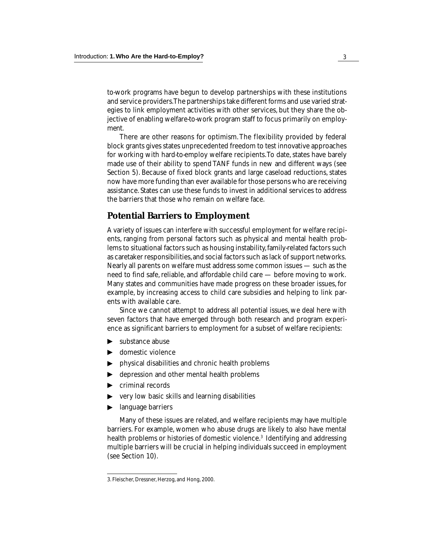to-work programs have begun to develop partnerships with these institutions and service providers. The partnerships take different forms and use varied strategies to link employment activities with other services, but they share the objective of enabling welfare-to-work program staff to focus primarily on employment.

There are other reasons for optimism. The flexibility provided by federal block grants gives states unprecedented freedom to test innovative approaches for working with hard-to-employ welfare recipients. To date, states have barely made use of their ability to spend TANF funds in new and different ways (see Section 5). Because of fixed block grants and large caseload reductions, states now have more funding than ever available for those persons who are receiving assistance. States can use these funds to invest in additional services to address the barriers that those who remain on welfare face.

#### **Potential Barriers to Employment**

A variety of issues can interfere with successful employment for welfare recipients, ranging from personal factors such as physical and mental health problems to situational factors such as housing instability, family-related factors such as caretaker responsibilities, and social factors such as lack of support networks. Nearly all parents on welfare must address some common issues — such as the need to find safe, reliable, and affordable child care — before moving to work. Many states and communities have made progress on these broader issues, for example, by increasing access to child care subsidies and helping to link parents with available care.

Since we cannot attempt to address all potential issues, we deal here with seven factors that have emerged through both research and program experience as significant barriers to employment for a subset of welfare recipients:

- substance abuse
- ▼ ▼  $\blacktriangleright$ domestic violence
- physical disabilities and chronic health problems
- depression and other mental health problems
- $\blacktriangleright$  criminal records
- $\triangleright$  very low basic skills and learning disabilities
- ▶ language barriers

Many of these issues are related, and welfare recipients may have multiple barriers. For example, women who abuse drugs are likely to also have mental health problems or histories of domestic violence.<sup>3</sup> Identifying and addressing multiple barriers will be crucial in helping individuals succeed in employment (rimplaned by the physical disa<br>
• criminal recovery low bas<br>
• language bar<br>
• Many of thes<br>
barriers. For examely health problems<br>
multiple barriers<br>
(see Section 10).

<sup>3.</sup> Fleischer, Dressner, Herzog, and Hong, 2000.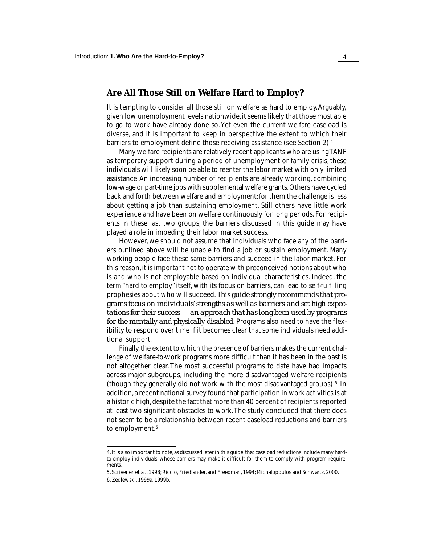#### **Are All Those Still on Welfare Hard to Employ?**

It is tempting to consider all those still on welfare as hard to employ. Arguably, given low unemployment levels nationwide, it seems likely that those most able to go to work have already done so. Yet even the current welfare caseload is diverse, and it is important to keep in perspective the extent to which their barriers to employment define those receiving assistance (see Section 2).4

Many welfare recipients are relatively recent applicants who are using TANF as temporary support during a period of unemployment or family crisis; these individuals will likely soon be able to reenter the labor market with only limited assistance. An increasing number of recipients are already working, combining low-wage or part-time jobs with supplemental welfare grants. Others have cycled back and forth between welfare and employment; for them the challenge is less about getting a job than sustaining employment. Still others have little work experience and have been on welfare continuously for long periods. For recipients in these last two groups, the barriers discussed in this guide may have played a role in impeding their labor market success.

However, we should not assume that individuals who face any of the barriers outlined above will be unable to find a job or sustain employment. Many working people face these same barriers and succeed in the labor market. For this reason, it is important not to operate with preconceived notions about who is and who is not employable based on individual characteristics. Indeed, the term "hard to employ" itself, with its focus on barriers, can lead to self-fulfilling prophesies about who will succeed. *This guide strongly recommends that programs focus on individuals' strengths as well as barriers and set high expectations for their success — an approach that has long been used by programs for the mentally and physically disabled.* Programs also need to have the flexibility to respond over time if it becomes clear that some individuals need additional support.

Finally, the extent to which the presence of barriers makes the current challenge of welfare-to-work programs more difficult than it has been in the past is not altogether clear. The most successful programs to date have had impacts across major subgroups, including the more disadvantaged welfare recipients (though they generally did not work with the most disadvantaged groups).<sup>5</sup> In addition, a recent national survey found that participation in work activities is at a historic high, despite the fact that more than 40 percent of recipients reported at least two significant obstacles to work. The study concluded that there does not seem to be a relationship between recent caseload reductions and barriers to employment.<sup>6</sup>

<sup>4.</sup> It is also important to note, as discussed later in this guide, that caseload reductions include many hardto-employ individuals, whose barriers may make it difficult for them to comply with program requirements.

<sup>5.</sup> Scrivener et al., 1998; Riccio, Friedlander, and Freedman, 1994; Michalopoulos and Schwartz, 2000. 6. Zedlewski, 1999a, 1999b.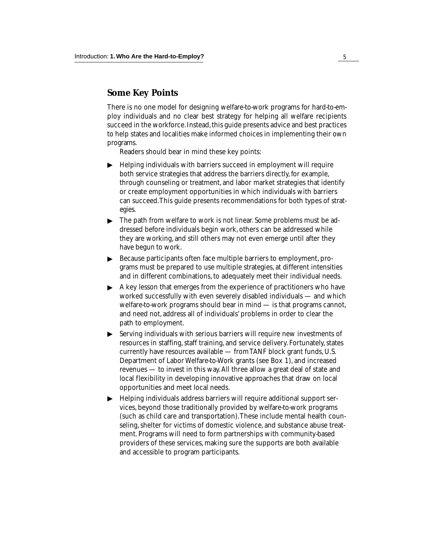#### **Some Key Points**

There is no one model for designing welfare-to-work programs for hard-to-employ individuals and no clear best strategy for helping all welfare recipients succeed in the workforce. Instead, this guide presents advice and best practices to help states and localities make informed choices in implementing their own programs.

Readers should bear in mind these key points:

- $\blacktriangleright$  Helping individuals with barriers succeed in employment will require both service strategies that address the barriers directly, for example, through counseling or treatment, and labor market strategies that identify or create employment opportunities in which individuals with barriers can succeed. This guide presents recommendations for both types of strategies.
- ▶ The path from welfare to work is not linear. Some problems must be addressed before individuals begin work, others can be addressed while they are working, and still others may not even emerge until after they have begun to work.
- Because participants often face multiple barriers to employment, pro- $\blacktriangleright$ ▼ ▼ grams must be prepared to use multiple strategies, at different intensities and in different combinations, to adequately meet their individual needs.
- A key lesson that emerges from the experience of practitioners who have worked successfully with even severely disabled individuals — and which welfare-to-work programs should bear in mind — is that programs cannot, and need not, address all of individuals' problems in order to clear the path to employment.
- Serving individuals with serious barriers will require new investments of resources in staffing, staff training, and service delivery. Fortunately, states currently have resources available — from TANF block grant funds, U.S. Department of Labor Welfare-to-Work grants (see Box 1), and increased revenues — to invest in this way. All three allow a great deal of state and local flexibility in developing innovative approaches that draw on local opportunities and meet local needs. ▼
- Helping individuals address barriers will require additional support services, beyond those traditionally provided by welfare-to-work programs (such as child care and transportation). These include mental health counseling, shelter for victims of domestic violence, and substance abuse treatment. Programs will need to form partnerships with community-based providers of these services, making sure the supports are both available and accessible to program participants.  $\blacktriangleright$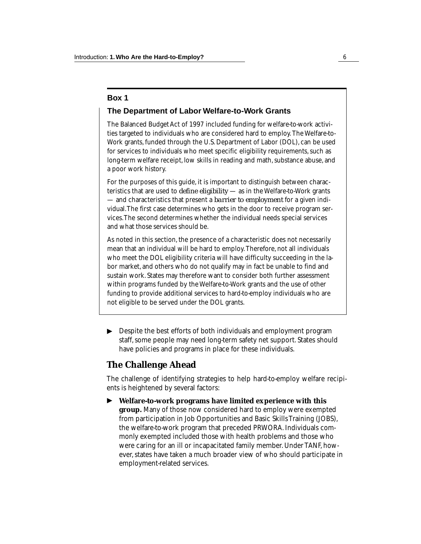#### **Box 1**

#### **The Department of Labor Welfare-to-Work Grants**

The Balanced Budget Act of 1997 included funding for welfare-to-work activities targeted to individuals who are considered hard to employ. The Welfare-to-Work grants, funded through the U.S. Department of Labor (DOL), can be used for services to individuals who meet specific eligibility requirements, such as long-term welfare receipt, low skills in reading and math, substance abuse, and a poor work history.

For the purposes of this guide, it is important to distinguish between characteristics that are used to *define eligibility* — as in the Welfare-to-Work grants — and characteristics that present a *barrier to employment* for a given individual. The first case determines who gets in the door to receive program services. The second determines whether the individual needs special services and what those services should be.

As noted in this section, the presence of a characteristic does not necessarily mean that an individual will be hard to employ. Therefore, not all individuals who meet the DOL eligibility criteria will have difficulty succeeding in the labor market, and others who do not qualify may in fact be unable to find and sustain work. States may therefore want to consider both further assessment within programs funded by the Welfare-to-Work grants and the use of other funding to provide additional services to hard-to-employ individuals who are not eligible to be served under the DOL grants.

Despite the best efforts of both individuals and employment program staff, some people may need long-term safety net support. States should have policies and programs in place for these individuals. ▼

#### **The Challenge Ahead**

The challenge of identifying strategies to help hard-to-employ welfare recipients is heightened by several factors:

**Welfare-to-work programs have limited experience with this group.** Many of those now considered hard to employ were exempted from participation in Job Opportunities and Basic Skills Training (JOBS), the welfare-to-work program that preceded PRWORA. Individuals commonly exempted included those with health problems and those who were caring for an ill or incapacitated family member. Under TANF, however, states have taken a much broader view of who should participate in employment-related services. ▼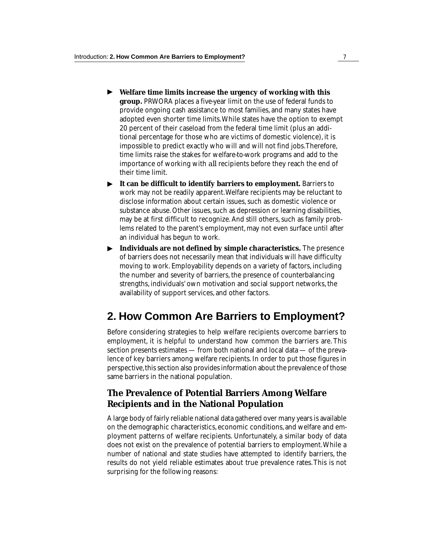- ▼ **Welfare time limits increase the urgency of working with this group.** PRWORA places a five-year limit on the use of federal funds to provide ongoing cash assistance to most families, and many states have adopted even shorter time limits. While states have the option to exempt 20 percent of their caseload from the federal time limit (plus an additional percentage for those who are victims of domestic violence), it is impossible to predict exactly who will and will not find jobs. Therefore, time limits raise the stakes for welfare-to-work programs and add to the importance of working with *all* recipients before they reach the end of their time limit.
- ▼ **It can be difficult to identify barriers to employment.** Barriers to work may not be readily apparent. Welfare recipients may be reluctant to disclose information about certain issues, such as domestic violence or substance abuse. Other issues, such as depression or learning disabilities, may be at first difficult to recognize. And still others, such as family problems related to the parent's employment, may not even surface until after an individual has begun to work.
- ▶ Individuals are not defined by simple characteristics. The presence of barriers does not necessarily mean that individuals will have difficulty moving to work. Employability depends on a variety of factors, including the number and severity of barriers, the presence of counterbalancing strengths, individuals' own motivation and social support networks, the availability of support services, and other factors.

## **2. How Common Are Barriers to Employment?**

Before considering strategies to help welfare recipients overcome barriers to employment, it is helpful to understand how common the barriers are. This section presents estimates — from both national and local data — of the prevalence of key barriers among welfare recipients. In order to put those figures in perspective, this section also provides information about the prevalence of those same barriers in the national population.

#### **The Prevalence of Potential Barriers Among Welfare Recipients and in the National Population**

A large body of fairly reliable national data gathered over many years is available on the demographic characteristics, economic conditions, and welfare and employment patterns of welfare recipients. Unfortunately, a similar body of data does not exist on the prevalence of potential barriers to employment. While a number of national and state studies have attempted to identify barriers, the results do not yield reliable estimates about true prevalence rates. This is not surprising for the following reasons: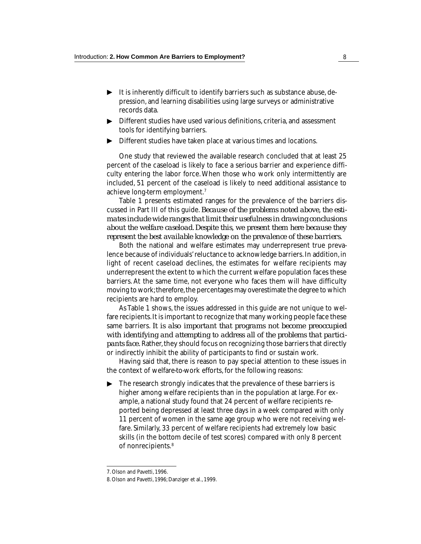- $\blacktriangleright$  It is inherently difficult to identify barriers such as substance abuse, depression, and learning disabilities using large surveys or administrative records data.
- ▶ Different studies have used various definitions, criteria, and assessment tools for identifying barriers.
- Different studies have taken place at various times and locations. ▼

One study that reviewed the available research concluded that at least 25 percent of the caseload is likely to face a serious barrier and experience difficulty entering the labor force. When those who work only intermittently are included, 51 percent of the caseload is likely to need additional assistance to achieve long-term employment.7

Table 1 presents estimated ranges for the prevalence of the barriers discussed in Part III of this guide. *Because of the problems noted above, the estimates include wide ranges that limit their usefulness in drawing conclusions about the welfare caseload. Despite this, we present them here because they represent the best available knowledge on the prevalence of these barriers.*

Both the national and welfare estimates may underrepresent true prevalence because of individuals' reluctance to acknowledge barriers. In addition, in light of recent caseload declines, the estimates for welfare recipients may underrepresent the extent to which the current welfare population faces these barriers. At the same time, not everyone who faces them will have difficulty moving to work; therefore, the percentages may overestimate the degree to which recipients are hard to employ.

As Table 1 shows, the issues addressed in this guide are not unique to welfare recipients. It is important to recognize that many working people face these same barriers. *It is also important that programs not become preoccupied with identifying and attempting to address all of the problems that participants face.* Rather, they should focus on recognizing those barriers that directly or indirectly inhibit the ability of participants to find or sustain work.

Having said that, there is reason to pay special attention to these issues in the context of welfare-to-work efforts, for the following reasons:

The research strongly indicates that the prevalence of these barriers is higher among welfare recipients than in the population at large. For example, a national study found that 24 percent of welfare recipients reported being depressed at least three days in a week compared with only 11 percent of women in the same age group who were not receiving welfare. Similarly, 33 percent of welfare recipients had extremely low basic skills (in the bottom decile of test scores) compared with only 8 percent of nonrecipients.<sup>8</sup> ▼

<sup>7.</sup> Olson and Pavetti, 1996.

<sup>8.</sup> Olson and Pavetti, 1996; Danziger et al., 1999.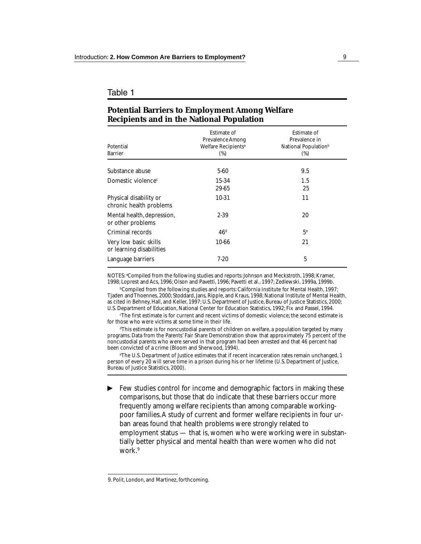#### Table 1

| Potential<br><b>Barrier</b>                       | <b>Estimate of</b><br><b>Prevalence Among</b><br>Welfare Recipients <sup>a</sup><br>$(\%)$ | <b>Estimate of</b><br>Prevalence in<br>National Population <sup>b</sup><br>$(\%)$ |
|---------------------------------------------------|--------------------------------------------------------------------------------------------|-----------------------------------------------------------------------------------|
| Substance abuse                                   | 5-60                                                                                       | 9.5                                                                               |
| Domestic violence <sup>c</sup>                    | 15-34<br>29-65                                                                             | 1.5<br>25                                                                         |
| Physical disability or<br>chronic health problems | 10-31                                                                                      | 11                                                                                |
| Mental health, depression,<br>or other problems   | 2-39                                                                                       | 20                                                                                |
| Criminal records                                  | 46 <sup>d</sup>                                                                            | 5 <sup>e</sup>                                                                    |
| Very low basic skills<br>or learning disabilities | 10-66                                                                                      | 21                                                                                |
| Language barriers                                 | $7-20$                                                                                     | 5                                                                                 |
|                                                   |                                                                                            |                                                                                   |

#### **Potential Barriers to Employment Among Welfare Recipients and in the National Population**

NOTES: <sup>a</sup>Compiled from the following studies and reports: Johnson and Meckstroth, 1998; Kramer, 1998; Loprest and Acs, 1996; Olson and Pavetti, 1996; Pavetti et al., 1997; Zedlewski, 1999a, 1999b.

**bCompiled from the following studies and reports: California Institute for Mental Health, 1997;** Tjaden and Thoennes, 2000; Stoddard, Jans, Ripple, and Kraus, 1998; National Institute of Mental Health, as cited in Behney, Hall, and Keller, 1997; U.S. Department of Justice, Bureau of Justice Statistics, 2000; U.S. Department of Education, National Center for Education Statistics, 1992; Fix and Passel, 1994.

c The first estimate is for current and recent victims of domestic violence; the second estimate is for those who were victims at some time in their life.

d This estimate is for noncustodial parents of children on welfare, a population targeted by many programs. Data from the Parents' Fair Share Demonstration show that approximately 75 percent of the noncustodial parents who were served in that program had been arrested and that 46 percent had been convicted of a crime (Bloom and Sherwood, 1994).

e The U.S. Department of Justice estimates that if recent incarceration rates remain unchanged, 1 person of every 20 will serve time in a prison during his or her lifetime (U.S. Department of Justice, Bureau of Justice Statistics, 2000).

Few studies control for income and demographic factors in making these comparisons, but those that do indicate that these barriers occur more frequently among welfare recipients than among comparable workingpoor families. A study of current and former welfare recipients in four urban areas found that health problems were strongly related to employment status — that is, women who were working were in substantially better physical and mental health than were women who did not work.<sup>9</sup> ▼

<sup>9.</sup> Polit, London, and Martinez, forthcoming.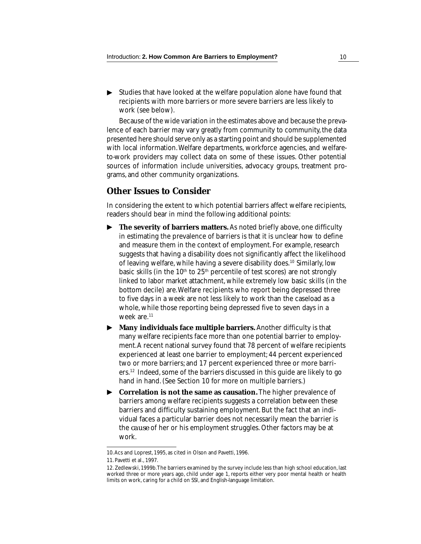▶ Studies that have looked at the welfare population alone have found that recipients with more barriers or more severe barriers are less likely to work (see below).

Because of the wide variation in the estimates above and because the prevalence of each barrier may vary greatly from community to community, the data presented here should serve only as a starting point and should be supplemented with local information. Welfare departments, workforce agencies, and welfareto-work providers may collect data on some of these issues. Other potential sources of information include universities, advocacy groups, treatment programs, and other community organizations.

#### **Other Issues to Consider**

In considering the extent to which potential barriers affect welfare recipients, readers should bear in mind the following additional points:

- **The severity of barriers matters.** As noted briefly above, one difficulty in estimating the prevalence of barriers is that it is unclear how to define and measure them in the context of employment. For example, research suggests that having a disability does not significantly affect the likelihood of leaving welfare, while having a severe disability does.<sup>10</sup> Similarly, low basic skills (in the  $10<sup>th</sup>$  to  $25<sup>th</sup>$  percentile of test scores) are not strongly linked to labor market attachment, while extremely low basic skills (in the bottom decile) are. Welfare recipients who report being depressed three to five days in a week are not less likely to work than the caseload as a whole, while those reporting being depressed five to seven days in a week are.<sup>11</sup> ▼
- ▶ Many individuals face multiple barriers. Another difficulty is that many welfare recipients face more than one potential barrier to employment. A recent national survey found that 78 percent of welfare recipients experienced at least one barrier to employment; 44 percent experienced two or more barriers; and 17 percent experienced three or more barriers.12 Indeed, some of the barriers discussed in this guide are likely to go hand in hand. (See Section 10 for more on multiple barriers.)
- ▶ Correlation is not the same as causation. The higher prevalence of barriers among welfare recipients suggests a correlation between these barriers and difficulty sustaining employment. But the fact that an individual faces a particular barrier does not necessarily mean the barrier is the *cause* of her or his employment struggles. Other factors may be at work.

<sup>10.</sup> Acs and Loprest, 1995, as cited in Olson and Pavetti, 1996.

<sup>11.</sup> Pavetti et al., 1997.

<sup>12.</sup> Zedlewski, 1999b. The barriers examined by the survey include less than high school education, last worked three or more years ago, child under age 1, reports either very poor mental health or health limits on work, caring for a child on SSI, and English-language limitation.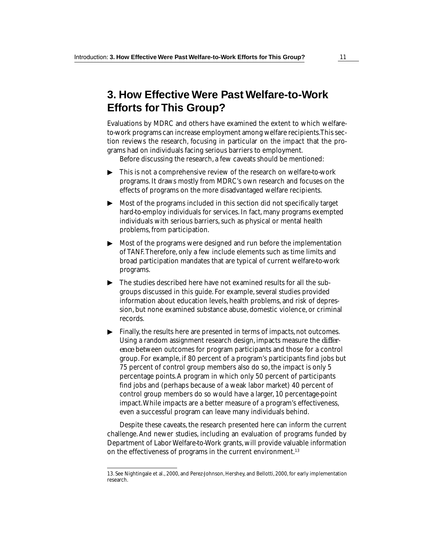## **3. How Effective Were Past Welfare-to-Work Efforts for This Group?**

Evaluations by MDRC and others have examined the extent to which welfareto-work programs can increase employment among welfare recipients. This section reviews the research, focusing in particular on the impact that the programs had on individuals facing serious barriers to employment.

Before discussing the research, a few caveats should be mentioned:

- This is not a comprehensive review of the research on welfare-to-work  $\blacktriangleright$ programs. It draws mostly from MDRC's own research and focuses on the effects of programs on the more disadvantaged welfare recipients.
- Most of the programs included in this section did not specifically target  $\blacktriangleright$ hard-to-employ individuals for services. In fact, many programs exempted individuals with serious barriers, such as physical or mental health problems, from participation.
- $\blacktriangleright$  Most of the programs were designed and run before the implementation of TANF. Therefore, only a few include elements such as time limits and broad participation mandates that are typical of current welfare-to-work programs.
- The studies described here have not examined results for all the subgroups discussed in this guide. For example, several studies provided information about education levels, health problems, and risk of depression, but none examined substance abuse, domestic violence, or criminal records.
- Finally, the results here are presented in terms of impacts, not outcomes. Using a random assignment research design, impacts measure the *difference* between outcomes for program participants and those for a control group. For example, if 80 percent of a program's participants find jobs but 75 percent of control group members also do so, the impact is only 5 percentage points. A program in which only 50 percent of participants find jobs and (perhaps because of a weak labor market) 40 percent of control group members do so would have a larger, 10 percentage-point impact. While impacts are a better measure of a program's effectiveness, even a successful program can leave many individuals behind. → Thi profit<br>
→ Thi profit<br>
→ Mo hau ind profit<br>
→ Mo of bro profit<br>
→ Mo of bro profit<br>
→ Thi gro infit<br>
series are like the difference of the challen<br>
the conding been challen<br>
Depart<br>
the Challen<br>
Depart<br>
in the 13. Se  $\blacktriangleright$

Despite these caveats, the research presented here can inform the current challenge. And newer studies, including an evaluation of programs funded by Department of Labor Welfare-to-Work grants, will provide valuable information on the effectiveness of programs in the current environment.<sup>13</sup>

<sup>13.</sup> See Nightingale et al., 2000, and Perez-Johnson, Hershey, and Bellotti, 2000, for early implementation research.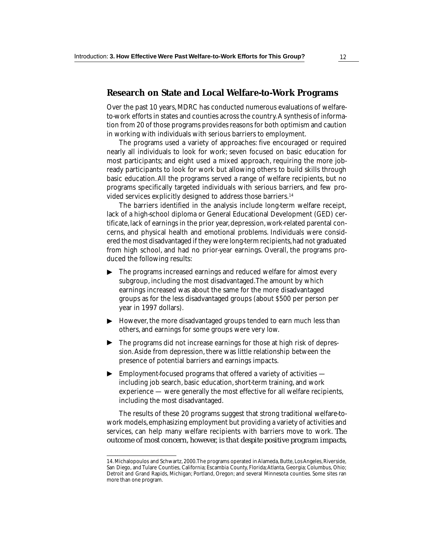#### **Research on State and Local Welfare-to-Work Programs**

Over the past 10 years, MDRC has conducted numerous evaluations of welfareto-work efforts in states and counties across the country. A synthesis of information from 20 of those programs provides reasons for both optimism and caution in working with individuals with serious barriers to employment.

The programs used a variety of approaches: five encouraged or required nearly all individuals to look for work; seven focused on basic education for most participants; and eight used a mixed approach, requiring the more jobready participants to look for work but allowing others to build skills through basic education. All the programs served a range of welfare recipients, but no programs specifically targeted individuals with serious barriers, and few provided services explicitly designed to address those barriers.<sup>14</sup>

The barriers identified in the analysis include long-term welfare receipt, lack of a high-school diploma or General Educational Development (GED) certificate, lack of earnings in the prior year, depression, work-related parental concerns, and physical health and emotional problems. Individuals were considered the most disadvantaged if they were long-term recipients, had not graduated from high school, and had no prior-year earnings. Overall, the programs produced the following results:

- The programs increased earnings and reduced welfare for almost every subgroup, including the most disadvantaged. The amount by which earnings increased was about the same for the more disadvantaged groups as for the less disadvantaged groups (about \$500 per person per year in 1997 dollars). ▼
- However, the more disadvantaged groups tended to earn much less than others, and earnings for some groups were very low. ▼ ▼
- ▶ The programs did not increase earnings for those at high risk of depression. Aside from depression, there was little relationship between the presence of potential barriers and earnings impacts.
- $\blacktriangleright$   $\;$  Employment-focused programs that offered a variety of activities  $$ including job search, basic education, short-term training, and work experience — were generally the most effective for all welfare recipients, including the most disadvantaged.

The results of these 20 programs suggest that strong traditional welfare-towork models, emphasizing employment but providing a variety of activities and services, can help many welfare recipients with barriers move to work. *The outcome of most concern, however, is that despite positive program impacts,*

<sup>14.</sup> Michalopoulos and Schwartz, 2000. The programs operated in Alameda, Butte, Los Angeles, Riverside, San Diego, and Tulare Counties, California; Escambia County, Florida; Atlanta, Georgia; Columbus, Ohio; Detroit and Grand Rapids, Michigan; Portland, Oregon; and several Minnesota counties. Some sites ran more than one program.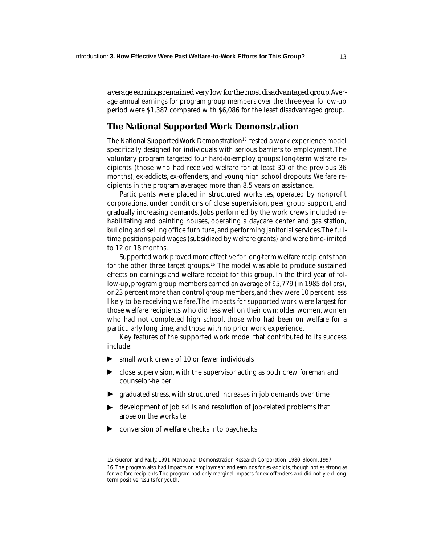*average earnings remained very low for the most disadvantaged group.* Average annual earnings for program group members over the three-year follow-up period were \$1,387 compared with \$6,086 for the least disadvantaged group.

#### **The National Supported Work Demonstration**

The National Supported Work Demonstration<sup>15</sup> tested a work experience model specifically designed for individuals with serious barriers to employment. The voluntary program targeted four hard-to-employ groups: long-term welfare recipients (those who had received welfare for at least 30 of the previous 36 months), ex-addicts, ex-offenders, and young high school dropouts. Welfare recipients in the program averaged more than 8.5 years on assistance.

Participants were placed in structured worksites, operated by nonprofit corporations, under conditions of close supervision, peer group support, and gradually increasing demands. Jobs performed by the work crews included rehabilitating and painting houses, operating a daycare center and gas station, building and selling office furniture, and performing janitorial services. The fulltime positions paid wages (subsidized by welfare grants) and were time-limited to 12 or 18 months.

Supported work proved more effective for long-term welfare recipients than for the other three target groups.<sup>16</sup> The model was able to produce sustained effects on earnings and welfare receipt for this group. In the third year of follow-up, program group members earned an average of \$5,779 (in 1985 dollars), or 23 percent more than control group members, and they were 10 percent less likely to be receiving welfare. The impacts for supported work were largest for those welfare recipients who did less well on their own: older women, women who had not completed high school, those who had been on welfare for a particularly long time, and those with no prior work experience.

Key features of the supported work model that contributed to its success include:

- small work crews of 10 or fewer individuals
- close supervision, with the supervisor acting as both crew foreman and counselor-helper
- $\blacktriangleright$  graduated stress, with structured increases in job demands over time
- development of job skills and resolution of job-related problems that arose on the worksite ▼
- conversion of welfare checks into paychecks ▼

<sup>15.</sup> Gueron and Pauly, 1991; Manpower Demonstration Research Corporation, 1980; Bloom, 1997.

<sup>16.</sup> The program also had impacts on employment and earnings for ex-addicts, though not as strong as for welfare recipients. The program had only marginal impacts for ex-offenders and did not yield longterm positive results for youth.<br>
■ The same state of postering the state of the state of the state of the state of the state of the state of the state of the state of the state of the state of the state of the state of t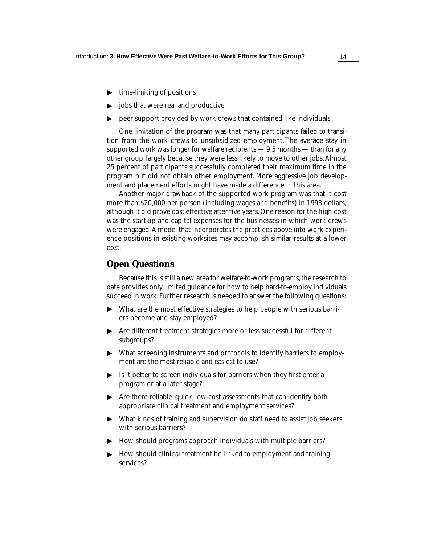- ▶ time-limiting of positions
- ▶ jobs that were real and productive
- $\blacktriangleright$  -peer support provided by work crews that contained like individuals

One limitation of the program was that many participants failed to transition from the work crews to unsubsidized employment. The average stay in supported work was longer for welfare recipients — 9.5 months — than for any other group, largely because they were less likely to move to other jobs. Almost 25 percent of participants successfully completed their maximum time in the program but did not obtain other employment. More aggressive job development and placement efforts might have made a difference in this area.

Another major drawback of the supported work program was that it cost more than \$20,000 per person (including wages and benefits) in 1993 dollars, although it did prove cost-effective after five years. One reason for the high cost was the start-up and capital expenses for the businesses in which work crews were engaged. A model that incorporates the practices above into work experience positions in existing worksites may accomplish similar results at a lower cost.

#### **Open Questions**

Because this is still a new area for welfare-to-work programs, the research to date provides only limited guidance for how to help hard-to-employ individuals succeed in work. Further research is needed to answer the following questions:

- What are the most effective strategies to help people with serious barriers become and stay employed? ▼
- ▶ Are different treatment strategies more or less successful for different subgroups?
- $\blacktriangleright$  What screening instruments and protocols to identify barriers to employment are the most reliable and easiest to use?
- $\blacktriangleright$  Is it better to screen individuals for barriers when they first enter a program or at a later stage?
- ▶ Are there reliable, quick, low-cost assessments that can identify both appropriate clinical treatment and employment services?
- $\blacktriangleright$  What kinds of training and supervision do staff need to assist job seekers with serious barriers?
- ▶ How should programs approach individuals with multiple barriers?
- $\blacktriangleright\;$  How should clinical treatment be linked to employment and training services?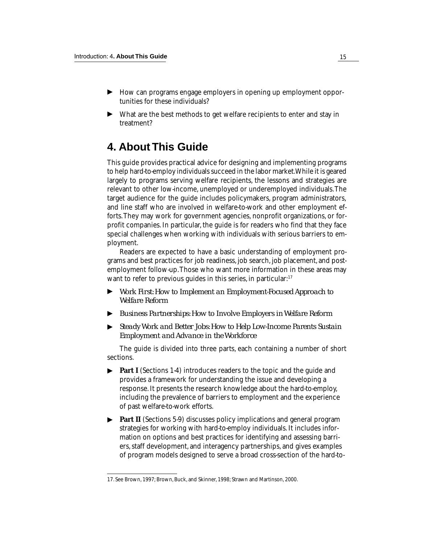- ▶ How can programs engage employers in opening up employment opportunities for these individuals?
- ▶ What are the best methods to get welfare recipients to enter and stay in treatment?

## **4. About This Guide**

This guide provides practical advice for designing and implementing programs to help hard-to-employ individuals succeed in the labor market. While it is geared largely to programs serving welfare recipients, the lessons and strategies are relevant to other low-income, unemployed or underemployed individuals. The target audience for the guide includes policymakers, program administrators, and line staff who are involved in welfare-to-work and other employment efforts. They may work for government agencies, nonprofit organizations, or forprofit companies. In particular, the guide is for readers who find that they face special challenges when working with individuals with serious barriers to employment.

Readers are expected to have a basic understanding of employment programs and best practices for job readiness, job search, job placement, and postemployment follow-up. Those who want more information in these areas may want to refer to previous guides in this series, in particular: $17$ 

- *Work First: How to Implement an Employment-Focused Approach to Welfare Reform* ▼
- *Business Partnerships: How to Involve Employers in Welfare Reform*
- *Steady Work and Better Jobs: How to Help Low-Income Parents Sustain Employment and Advance in the Workforce*

The guide is divided into three parts, each containing a number of short sections.

- **Part I** (Sections 1-4) introduces readers to the topic and the guide and provides a framework for understanding the issue and developing a response. It presents the research knowledge about the hard-to-employ, including the prevalence of barriers to employment and the experience of past welfare-to-work efforts. *Business Partnerships: How to Involve Employers in Welk*<br> *Steady Work and Better Jobs: How to Help Low-Income P.*<br> *Employment and Advance in the Workforce*<br>
The guide is divided into three parts, each containing a r<br> ▼
- ▶ Part II (Sections 5-9) discusses policy implications and general program strategies for working with hard-to-employ individuals. It includes information on options and best practices for identifying and assessing barriers, staff development, and interagency partnerships, and gives examples of program models designed to serve a broad cross-section of the hard-to-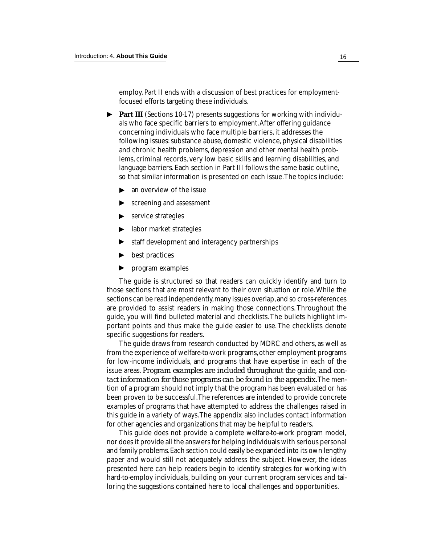employ. Part II ends with a discussion of best practices for employmentfocused efforts targeting these individuals.

- ▶ Part III (Sections 10-17) presents suggestions for working with individuals who face specific barriers to employment. After offering guidance concerning individuals who face multiple barriers, it addresses the following issues: substance abuse, domestic violence, physical disabilities and chronic health problems, depression and other mental health problems, criminal records, very low basic skills and learning disabilities, and language barriers. Each section in Part III follows the same basic outline, so that similar information is presented on each issue. The topics include:
	- an overview of the issue ▼
	- screening and assessment
	- ► screening and ass<br>► service strategies
	- ▶ labor market strategies
	- staff development and interagency partnerships ▼
	- best practices ▼
	- program examples ▼

The guide is structured so that readers can quickly identify and turn to those sections that are most relevant to their own situation or role. While the sections can be read independently, many issues overlap, and so cross-references are provided to assist readers in making those connections. Throughout the guide, you will find bulleted material and checklists. The bullets highlight important points and thus make the guide easier to use. The checklists denote specific suggestions for readers.

The guide draws from research conducted by MDRC and others, as well as from the experience of welfare-to-work programs, other employment programs for low-income individuals, and programs that have expertise in each of the issue areas. *Program examples are included throughout the guide, and contact information for those programs can be found in the appendix.* The mention of a program should not imply that the program has been evaluated or has been proven to be successful. The references are intended to provide concrete examples of programs that have attempted to address the challenges raised in this guide in a variety of ways. The appendix also includes contact information for other agencies and organizations that may be helpful to readers.

This guide does not provide a complete welfare-to-work program model, nor does it provide all the answers for helping individuals with serious personal and family problems. Each section could easily be expanded into its own lengthy paper and would still not adequately address the subject. However, the ideas presented here can help readers begin to identify strategies for working with hard-to-employ individuals, building on your current program services and tailoring the suggestions contained here to local challenges and opportunities.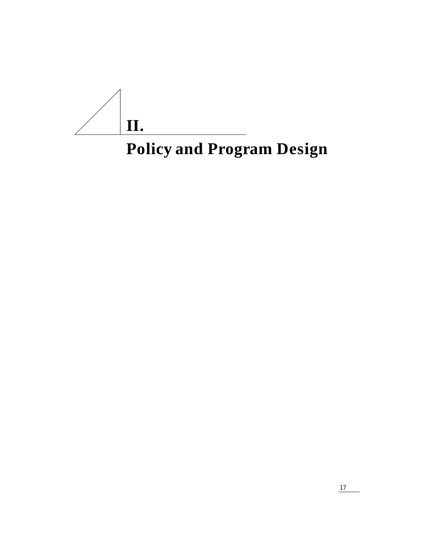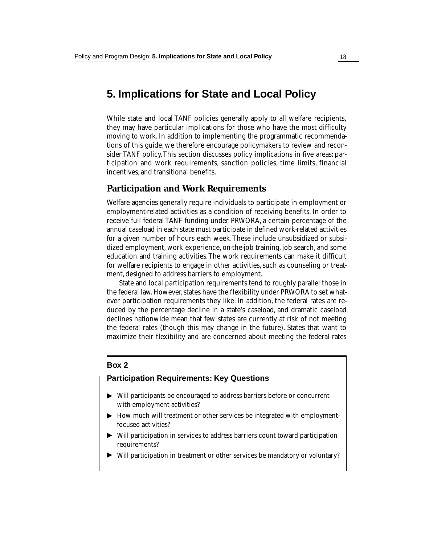### **5. Implications for State and Local Policy**

While state and local TANF policies generally apply to all welfare recipients, they may have particular implications for those who have the most difficulty moving to work. In addition to implementing the programmatic recommendations of this guide, we therefore encourage policymakers to review and reconsider TANF policy. This section discusses policy implications in five areas: participation and work requirements, sanction policies, time limits, financial incentives, and transitional benefits.

#### **Participation and Work Requirements**

Welfare agencies generally require individuals to participate in employment or employment-related activities as a condition of receiving benefits. In order to receive full federal TANF funding under PRWORA, a certain percentage of the annual caseload in each state must participate in defined work-related activities for a given number of hours each week. These include unsubsidized or subsidized employment, work experience, on-the-job training, job search, and some education and training activities. The work requirements can make it difficult for welfare recipients to engage in other activities, such as counseling or treatment, designed to address barriers to employment.

State and local participation requirements tend to roughly parallel those in the federal law. However, states have the flexibility under PRWORA to set whatever participation requirements they like. In addition, the federal rates are reduced by the percentage decline in a state's caseload, and dramatic caseload declines nationwide mean that few states are currently at risk of not meeting the federal rates (though this may change in the future). States that want to maximize their flexibility and are concerned about meeting the federal rates

#### **Box 2**

#### **Participation Requirements: Key Questions**

- ▼ Will participants be encouraged to address barriers before or concurrent with employment activities?
- ▶ How much will treatment or other services be integrated with employmentfocused activities?
- Will participation in services to address barriers count toward participation requirements? ▼ ▼
- Will participation in treatment or other services be mandatory or voluntary?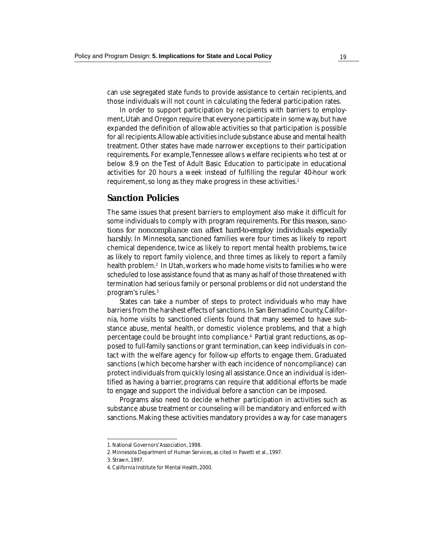can use segregated state funds to provide assistance to certain recipients, and those individuals will not count in calculating the federal participation rates.

In order to support participation by recipients with barriers to employment, Utah and Oregon require that everyone participate in some way, but have expanded the definition of allowable activities so that participation is possible for all recipients. Allowable activities include substance abuse and mental health treatment. Other states have made narrower exceptions to their participation requirements. For example, Tennessee allows welfare recipients who test at or below 8.9 on the Test of Adult Basic Education to participate in educational activities for 20 hours a week instead of fulfilling the regular 40-hour work requirement, so long as they make progress in these activities.<sup>1</sup>

#### **Sanction Policies**

The same issues that present barriers to employment also make it difficult for some individuals to comply with program requirements. *For this reason, sanctions for noncompliance can affect hard-to-employ individuals especially harshly.* In Minnesota, sanctioned families were four times as likely to report chemical dependence, twice as likely to report mental health problems, twice as likely to report family violence, and three times as likely to report a family health problem.<sup>2</sup> In Utah, workers who made home visits to families who were scheduled to lose assistance found that as many as half of those threatened with termination had serious family or personal problems or did not understand the program's rules.3

States can take a number of steps to protect individuals who may have barriers from the harshest effects of sanctions. In San Bernadino County, California, home visits to sanctioned clients found that many seemed to have substance abuse, mental health, or domestic violence problems, and that a high percentage could be brought into compliance.4 Partial grant reductions, as opposed to full-family sanctions or grant termination, can keep individuals in contact with the welfare agency for follow-up efforts to engage them. Graduated sanctions (which become harsher with each incidence of noncompliance) can protect individuals from quickly losing all assistance. Once an individual is identified as having a barrier, programs can require that additional efforts be made to engage and support the individual before a sanction can be imposed.

Programs also need to decide whether participation in activities such as substance abuse treatment or counseling will be mandatory and enforced with sanctions. Making these activities mandatory provides a way for case managers

<sup>1.</sup> National Governors' Association, 1998.

<sup>2.</sup> Minnesota Department of Human Services, as cited in Pavetti et al., 1997.

<sup>3.</sup> Strawn, 1997.

<sup>4.</sup> California Institute for Mental Health, 2000.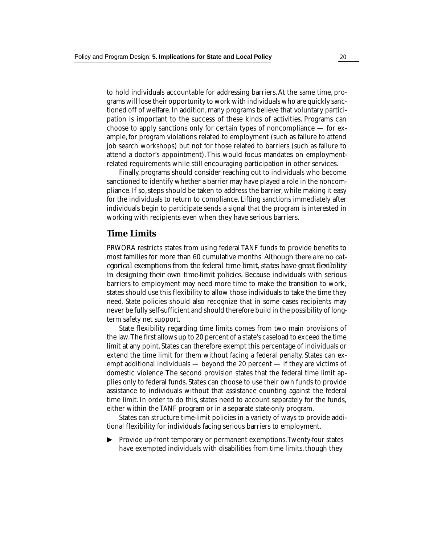to hold individuals accountable for addressing barriers. At the same time, programs will lose their opportunity to work with individuals who are quickly sanctioned off of welfare. In addition, many programs believe that voluntary participation is important to the success of these kinds of activities. Programs can choose to apply sanctions only for certain types of noncompliance  $-$  for example, for program violations related to employment (such as failure to attend job search workshops) but not for those related to barriers (such as failure to attend a doctor's appointment). This would focus mandates on employmentrelated requirements while still encouraging participation in other services.

Finally, programs should consider reaching out to individuals who become sanctioned to identify whether a barrier may have played a role in the noncompliance. If so, steps should be taken to address the barrier, while making it easy for the individuals to return to compliance. Lifting sanctions immediately after individuals begin to participate sends a signal that the program is interested in working with recipients even when they have serious barriers.

#### **Time Limits**

PRWORA restricts states from using federal TANF funds to provide benefits to most families for more than 60 cumulative months. *Although there are no categorical exemptions from the federal time limit, states have great flexibility in designing their own time-limit policies.* Because individuals with serious barriers to employment may need more time to make the transition to work, states should use this flexibility to allow those individuals to take the time they need. State policies should also recognize that in some cases recipients may never be fully self-sufficient and should therefore build in the possibility of longterm safety net support.

State flexibility regarding time limits comes from two main provisions of the law. The first allows up to 20 percent of a state's caseload to exceed the time limit at any point. States can therefore exempt this percentage of individuals or extend the time limit for them without facing a federal penalty. States can exempt additional individuals — beyond the 20 percent — if they are victims of domestic violence. The second provision states that the federal time limit applies only to federal funds. States can choose to use their own funds to provide assistance to individuals without that assistance counting against the federal time limit. In order to do this, states need to account separately for the funds, either within the TANF program or in a separate state-only program.

States can structure time-limit policies in a variety of ways to provide additional flexibility for individuals facing serious barriers to employment.

Provide up-front temporary or permanent exemptions. Twenty-four states have exempted individuals with disabilities from time limits, though they ▼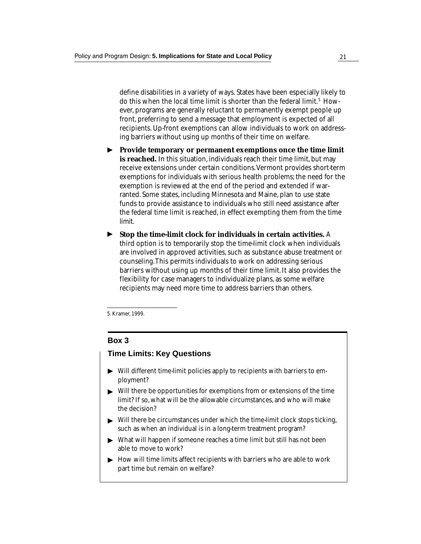define disabilities in a variety of ways. States have been especially likely to do this when the local time limit is shorter than the federal limit.<sup>5</sup> However, programs are generally reluctant to permanently exempt people up front, preferring to send a message that employment is expected of all recipients. Up-front exemptions can allow individuals to work on addressing barriers without using up months of their time on welfare.

- ▶ Provide temporary or permanent exemptions once the time limit **is reached.** In this situation, individuals reach their time limit, but may receive extensions under certain conditions. Vermont provides short-term exemptions for individuals with serious health problems; the need for the exemption is reviewed at the end of the period and extended if warranted. Some states, including Minnesota and Maine, plan to use state funds to provide assistance to individuals who still need assistance after the federal time limit is reached, in effect exempting them from the time limit.
- **Stop the time-limit clock for individuals in certain activities.** A third option is to temporarily stop the time-limit clock when individuals are involved in approved activities, such as substance abuse treatment or counseling. This permits individuals to work on addressing serious barriers without using up months of their time limit. It also provides the flexibility for case managers to individualize plans, as some welfare recipients may need more time to address barriers than others. ▼

5. Kramer, 1999.

#### **Box 3**

#### **Time Limits: Key Questions**

- $\blacktriangleright$  Will different time-limit policies apply to recipients with barriers to employment?
- Will there be opportunities for exemptions from or extensions of the time limit? If so, what will be the allowable circumstances, and who will make the decision? ▼ ▼
- Will there be circumstances under which the time-limit clock stops ticking, such as when an individual is in a long-term treatment program?
- What will happen if someone reaches a time limit but still has not been able to move to work? ► What will happen if someone reaches a time limit but still has not been<br>able to move to work?<br>► How will time limits affect recipients with barriers who are able to work
- part time but remain on welfare?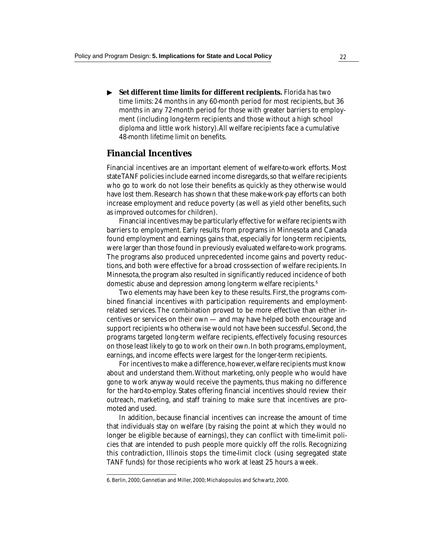**Set different time limits for different recipients.** Florida has two time limits: 24 months in any 60-month period for most recipients, but 36 months in any 72-month period for those with greater barriers to employment (including long-term recipients and those without a high school diploma and little work history). All welfare recipients face a cumulative 48-month lifetime limit on benefits. ▼

#### **Financial Incentives**

Financial incentives are an important element of welfare-to-work efforts. Most stateTANF policies include earned income disregards, so that welfare recipients who go to work do not lose their benefits as quickly as they otherwise would have lost them. Research has shown that these make-work-pay efforts can both increase employment and reduce poverty (as well as yield other benefits, such as improved outcomes for children).

Financial incentives may be particularly effective for welfare recipients with barriers to employment. Early results from programs in Minnesota and Canada found employment and earnings gains that, especially for long-term recipients, were larger than those found in previously evaluated welfare-to-work programs. The programs also produced unprecedented income gains and poverty reductions, and both were effective for a broad cross-section of welfare recipients. In Minnesota, the program also resulted in significantly reduced incidence of both domestic abuse and depression among long-term welfare recipients.6

Two elements may have been key to these results. First, the programs combined financial incentives with participation requirements and employmentrelated services. The combination proved to be more effective than either incentives or services on their own — and may have helped both encourage and support recipients who otherwise would not have been successful. Second, the programs targeted long-term welfare recipients, effectively focusing resources on those least likely to go to work on their own. In both programs, employment, earnings, and income effects were largest for the longer-term recipients.

For incentives to make a difference, however, welfare recipients must know about and understand them. Without marketing, only people who would have gone to work anyway would receive the payments, thus making no difference for the hard-to-employ. States offering financial incentives should review their outreach, marketing, and staff training to make sure that incentives are promoted and used.

In addition, because financial incentives can increase the amount of time that individuals stay on welfare (by raising the point at which they would no longer be eligible because of earnings), they can conflict with time-limit policies that are intended to push people more quickly off the rolls. Recognizing this contradiction, Illinois stops the time-limit clock (using segregated state TANF funds) for those recipients who work at least 25 hours a week.

<sup>6.</sup> Berlin, 2000; Gennetian and Miller, 2000; Michalopoulos and Schwartz, 2000.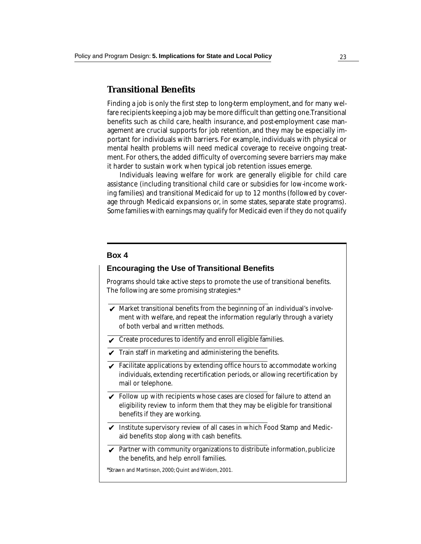#### **Transitional Benefits**

Finding a job is only the first step to long-term employment, and for many welfare recipients keeping a job may be more difficult than getting one. Transitional benefits such as child care, health insurance, and post-employment case management are crucial supports for job retention, and they may be especially important for individuals with barriers. For example, individuals with physical or mental health problems will need medical coverage to receive ongoing treatment. For others, the added difficulty of overcoming severe barriers may make it harder to sustain work when typical job retention issues emerge.

Individuals leaving welfare for work are generally eligible for child care assistance (including transitional child care or subsidies for low-income working families) and transitional Medicaid for up to 12 months (followed by coverage through Medicaid expansions or, in some states, separate state programs). Some families with earnings may qualify for Medicaid even if they do not qualify

#### **Box 4**

#### **Encouraging the Use of Transitional Benefits**

Programs should take active steps to promote the use of transitional benefits. The following are some promising strategies:\*

- $\blacktriangleright$  Market transitional benefits from the beginning of an individual's involvement with welfare, and repeat the information regularly through a variety of both verbal and written methods.
- $\boldsymbol{\mathcal{p}}$  Create procedures to identify and enroll eligible families.
- $\blacktriangleright$  Train staff in marketing and administering the benefits.
- Facilitate applications by extending office hours to accommodate working individuals, extending recertification periods, or allowing recertification by mail or telephone. ✔
- $\blacktriangleright$  Follow up with recipients whose cases are closed for failure to attend an eligibility review to inform them that they may be eligible for transitional benefits if they are working.
- $\blacktriangleright$  Institute supervisory review of all cases in which Food Stamp and Medicaid benefits stop along with cash benefits.
- ✔ Partner with community organizations to distribute information, publicize the benefits, and help enroll families.

\*Strawn and Martinson, 2000; Quint and Widom, 2001.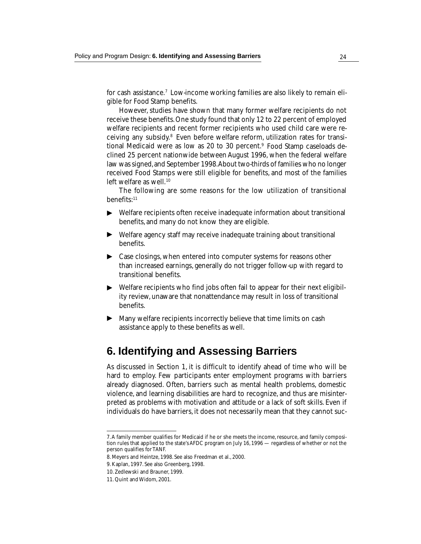for cash assistance.<sup>7</sup> Low-income working families are also likely to remain eligible for Food Stamp benefits.

However, studies have shown that many former welfare recipients do not receive these benefits. One study found that only 12 to 22 percent of employed welfare recipients and recent former recipients who used child care were receiving any subsidy.8 Even before welfare reform, utilization rates for transitional Medicaid were as low as 20 to 30 percent.<sup>9</sup> Food Stamp caseloads declined 25 percent nationwide between August 1996, when the federal welfare law was signed, and September 1998. About two-thirds of families who no longer received Food Stamps were still eligible for benefits, and most of the families left welfare as well.<sup>10</sup>

The following are some reasons for the low utilization of transitional benefits:11

- ◆ Welfare recipients often receive inadequate information about transitional benefits, and many do not know they are eligible.
- ◆ Welfare agency staff may receive inadequate training about transitional benefits.
- ▶ Case closings, when entered into computer systems for reasons other than increased earnings, generally do not trigger follow-up with regard to transitional benefits.
- Welfare recipients who find jobs often fail to appear for their next eligibility review, unaware that nonattendance may result in loss of transitional benefits. ▼
- ▶ Many welfare recipients incorrectly believe that time limits on cash assistance apply to these benefits as well.

## **6. Identifying and Assessing Barriers**

As discussed in Section 1, it is difficult to identify ahead of time who will be hard to employ. Few participants enter employment programs with barriers already diagnosed. Often, barriers such as mental health problems, domestic violence, and learning disabilities are hard to recognize, and thus are misinterpreted as problems with motivation and attitude or a lack of soft skills. Even if individuals do have barriers, it does not necessarily mean that they cannot suc-

<sup>7.</sup> A family member qualifies for Medicaid if he or she meets the income, resource, and family composition rules that applied to the state's AFDC program on July 16, 1996 — regardless of whether or not the person qualifies for TANF.

<sup>8.</sup> Meyers and Heintze, 1998. See also Freedman et al., 2000.

<sup>9.</sup> Kaplan, 1997. See also Greenberg, 1998.

<sup>10.</sup> Zedlewski and Brauner, 1999.

<sup>11.</sup> Quint and Widom, 2001.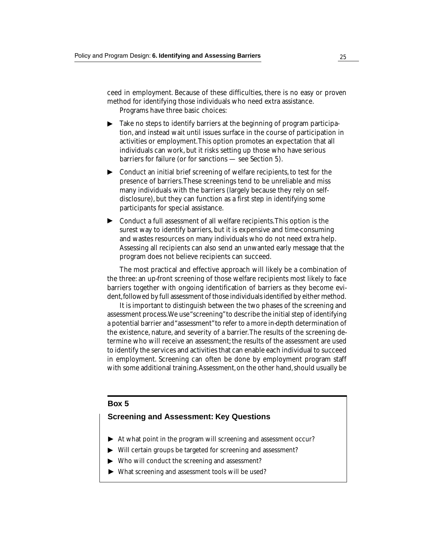ceed in employment. Because of these difficulties, there is no easy or proven method for identifying those individuals who need extra assistance. Programs have three basic choices:

- Take no steps to identify barriers at the beginning of program participation, and instead wait until issues surface in the course of participation in activities or employment. This option promotes an expectation that all individuals can work, but it risks setting up those who have serious barriers for failure (or for sanctions — see Section 5). ▼
- ▶ Conduct an initial brief screening of welfare recipients, to test for the presence of barriers. These screenings tend to be unreliable and miss many individuals with the barriers (largely because they rely on selfdisclosure), but they can function as a first step in identifying some participants for special assistance.
- ▶ Conduct a full assessment of all welfare recipients. This option is the surest way to identify barriers, but it is expensive and time-consuming and wastes resources on many individuals who do not need extra help. Assessing all recipients can also send an unwanted early message that the program does not believe recipients can succeed.

The most practical and effective approach will likely be a combination of the three: an up-front screening of those welfare recipients most likely to face barriers together with ongoing identification of barriers as they become evident, followed by full assessment of those individuals identified by either method.

It is important to distinguish between the two phases of the screening and assessment process. We use "screening" to describe the initial step of identifying a potential barrier and "assessment" to refer to a more in-depth determination of the existence, nature, and severity of a barrier. The results of the screening determine who will receive an assessment; the results of the assessment are used to identify the services and activities that can enable each individual to succeed in employment. Screening can often be done by employment program staff with some additional training. Assessment, on the other hand, should usually be

#### **Box 5**

#### **Screening and Assessment: Key Questions**

- ▶ At what point in the program will screening and assessment occur?
- $\blacktriangleright$  Will certain groups be targeted for screening and assessment?
- ▶ Who will conduct the screening and assessment?
- ▶ What screening and assessment tools will be used?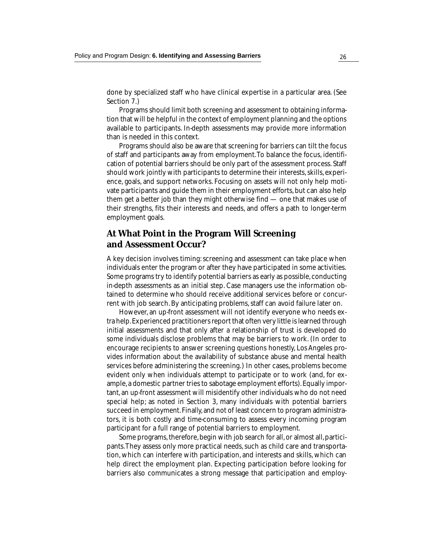done by specialized staff who have clinical expertise in a particular area. (See Section 7.)

Programs should limit both screening and assessment to obtaining information that will be helpful in the context of employment planning and the options available to participants. In-depth assessments may provide more information than is needed in this context.

Programs should also be aware that screening for barriers can tilt the focus of staff and participants away from employment. To balance the focus, identification of potential barriers should be only part of the assessment process. Staff should work jointly with participants to determine their interests, skills, experience, goals, and support networks. Focusing on assets will not only help motivate participants and guide them in their employment efforts, but can also help them get a better job than they might otherwise find — one that makes use of their strengths, fits their interests and needs, and offers a path to longer-term employment goals.

#### **At What Point in the Program Will Screening and Assessment Occur?**

A key decision involves timing: screening and assessment can take place when individuals enter the program or after they have participated in some activities. Some programs try to identify potential barriers as early as possible, conducting in-depth assessments as an initial step. Case managers use the information obtained to determine who should receive additional services before or concurrent with job search. By anticipating problems, staff can avoid failure later on.

However, an up-front assessment will not identify everyone who needs extra help. Experienced practitioners report that often very little is learned through initial assessments and that only after a relationship of trust is developed do some individuals disclose problems that may be barriers to work. (In order to encourage recipients to answer screening questions honestly, Los Angeles provides information about the availability of substance abuse and mental health services before administering the screening.) In other cases, problems become evident only when individuals attempt to participate or to work (and, for example, a domestic partner tries to sabotage employment efforts). Equally important, an up-front assessment will misidentify other individuals who do not need special help; as noted in Section 3, many individuals with potential barriers succeed in employment. Finally, and not of least concern to program administrators, it is both costly and time-consuming to assess every incoming program participant for a full range of potential barriers to employment.

Some programs, therefore, begin with job search for all, or almost all, participants. They assess only more practical needs, such as child care and transportation, which can interfere with participation, and interests and skills, which can help direct the employment plan. Expecting participation before looking for barriers also communicates a strong message that participation and employ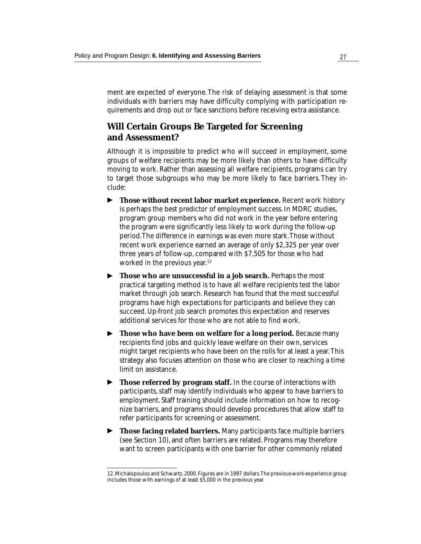ment are expected of everyone. The risk of delaying assessment is that some individuals with barriers may have difficulty complying with participation requirements and drop out or face sanctions before receiving extra assistance.

#### **Will Certain Groups Be Targeted for Screening and Assessment?**

Although it is impossible to predict who will succeed in employment, some groups of welfare recipients may be more likely than others to have difficulty moving to work. Rather than assessing all welfare recipients, programs can try to target those subgroups who may be more likely to face barriers. They include:

- **Those without recent labor market experience.** Recent work history is perhaps the best predictor of employment success. In MDRC studies, program group members who did not work in the year before entering the program were significantly less likely to work during the follow-up period. The difference in earnings was even more stark. Those without recent work experience earned an average of only \$2,325 per year over three years of follow-up, compared with \$7,505 for those who had worked in the previous year.<sup>12</sup> ▼
- ▶ Th**ose who are unsuccessful in a job search.** Perhaps the most practical targeting method is to have all welfare recipients test the labor market through job search. Research has found that the most successful programs have high expectations for participants and believe they can succeed. Up-front job search promotes this expectation and reserves additional services for those who are not able to find work.
- **Those who have been on welfare for a long period.** Because many recipients find jobs and quickly leave welfare on their own, services might target recipients who have been on the rolls for at least a year. This strategy also focuses attention on those who are closer to reaching a time limit on assistance. ▼
- **Those referred by program staff.** In the course of interactions with participants, staff may identify individuals who appear to have barriers to employment. Staff training should include information on how to recognize barriers, and programs should develop procedures that allow staff to refer participants for screening or assessment. ▼
- **Those facing related barriers.** Many participants face multiple barriers (see Section 10), and often barriers are related. Programs may therefore want to screen participants with one barrier for other commonly related ▼

<sup>12.</sup> Michalopoulos and Schwartz, 2000. Figures are in 1997 dollars. The previous-work-experience group includes those with earnings of at least \$5,000 in the previous year.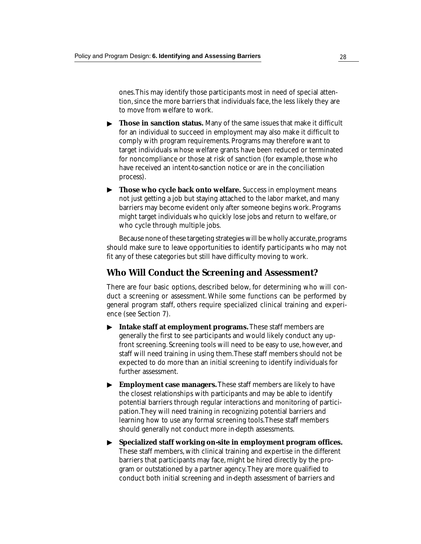ones. This may identify those participants most in need of special attention, since the more barriers that individuals face, the less likely they are to move from welfare to work.

- ▶ Those in sanction status. Many of the same issues that make it difficult for an individual to succeed in employment may also make it difficult to comply with program requirements. Programs may therefore want to target individuals whose welfare grants have been reduced or terminated for noncompliance or those at risk of sanction (for example, those who have received an intent-to-sanction notice or are in the conciliation process).
- ▶ Those who cycle back onto welfare. Success in employment means not just getting a job but staying attached to the labor market, and many barriers may become evident only after someone begins work. Programs might target individuals who quickly lose jobs and return to welfare, or who cycle through multiple jobs.

Because none of these targeting strategies will be wholly accurate, programs should make sure to leave opportunities to identify participants who may not fit any of these categories but still have difficulty moving to work.

## **Who Will Conduct the Screening and Assessment?**

There are four basic options, described below, for determining who will conduct a screening or assessment. While some functions can be performed by general program staff, others require specialized clinical training and experience (see Section 7).

- **Intake staff at employment programs.** These staff members are generally the first to see participants and would likely conduct any upfront screening. Screening tools will need to be easy to use, however, and staff will need training in using them. These staff members should not be expected to do more than an initial screening to identify individuals for further assessment. ▼
- **Employment case managers.** These staff members are likely to have the closest relationships with participants and may be able to identify potential barriers through regular interactions and monitoring of participation. They will need training in recognizing potential barriers and learning how to use any formal screening tools. These staff members should generally not conduct more in-depth assessments. ▼
- **Specialized staff working on-site in employment program offices.** ▼These staff members, with clinical training and expertise in the different barriers that participants may face, might be hired directly by the program or outstationed by a partner agency. They are more qualified to conduct both initial screening and in-depth assessment of barriers and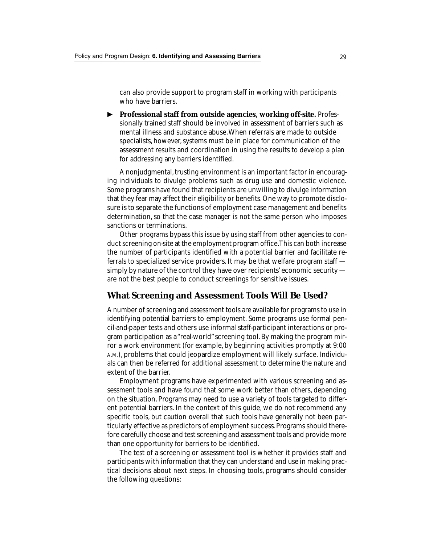can also provide support to program staff in working with participants who have barriers.

▶ Professional staff from outside agencies, working off-site. Professionally trained staff should be involved in assessment of barriers such as mental illness and substance abuse. When referrals are made to outside specialists, however, systems must be in place for communication of the assessment results and coordination in using the results to develop a plan for addressing any barriers identified.

A nonjudgmental, trusting environment is an important factor in encouraging individuals to divulge problems such as drug use and domestic violence. Some programs have found that recipients are unwilling to divulge information that they fear may affect their eligibility or benefits. One way to promote disclosure is to separate the functions of employment case management and benefits determination, so that the case manager is not the same person who imposes sanctions or terminations.

Other programs bypass this issue by using staff from other agencies to conduct screening on-site at the employment program office. This can both increase the number of participants identified with a potential barrier and facilitate referrals to specialized service providers. It may be that welfare program staff simply by nature of the control they have over recipients' economic security are not the best people to conduct screenings for sensitive issues.

## **What Screening and Assessment Tools Will Be Used?**

A number of screening and assessment tools are available for programs to use in identifying potential barriers to employment. Some programs use formal pencil-and-paper tests and others use informal staff-participant interactions or program participation as a "real-world" screening tool. By making the program mirror a work environment (for example, by beginning activities promptly at 9:00 A.M.), problems that could jeopardize employment will likely surface. Individuals can then be referred for additional assessment to determine the nature and extent of the barrier.

Employment programs have experimented with various screening and assessment tools and have found that some work better than others, depending on the situation. Programs may need to use a variety of tools targeted to different potential barriers. In the context of this guide, we do not recommend any specific tools, but caution overall that such tools have generally not been particularly effective as predictors of employment success. Programs should therefore carefully choose and test screening and assessment tools and provide more than one opportunity for barriers to be identified.

The test of a screening or assessment tool is whether it provides staff and participants with information that they can understand and use in making practical decisions about next steps. In choosing tools, programs should consider the following questions: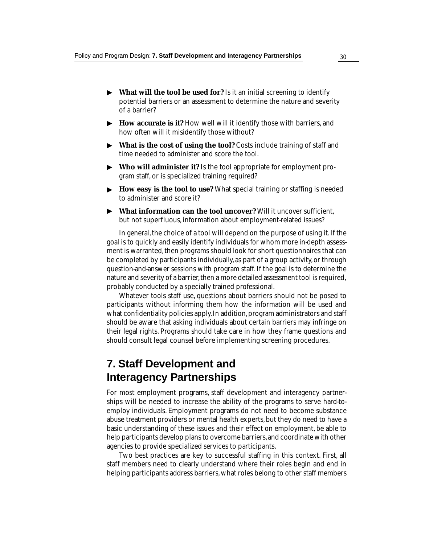- ▶ What will the tool be used for? Is it an initial screening to identify potential barriers or an assessment to determine the nature and severity of a barrier?
- ▶ How accurate is it? How well will it identify those with barriers, and how often will it misidentify those without?
- **What is the cost of using the tool?** Costs include training of staff and ▼ time needed to administer and score the tool.
- **Who will administer it?** Is the tool appropriate for employment program staff, or is specialized training required? ▼
- ▶ How easy is the tool to use? What special training or staffing is needed to administer and score it?
- **What information can the tool uncover?** Will it uncover sufficient, ▼but not superfluous, information about employment-related issues?

In general, the choice of a tool will depend on the purpose of using it. If the goal is to quickly and easily identify individuals for whom more in-depth assessment is warranted, then programs should look for short questionnaires that can be completed by participants individually, as part of a group activity, or through question-and-answer sessions with program staff. If the goal is to determine the nature and severity of a barrier, then a more detailed assessment tool is required, probably conducted by a specially trained professional.

Whatever tools staff use, questions about barriers should not be posed to participants without informing them how the information will be used and what confidentiality policies apply. In addition, program administrators and staff should be aware that asking individuals about certain barriers may infringe on their legal rights. Programs should take care in how they frame questions and should consult legal counsel before implementing screening procedures.

# **7. Staff Development and Interagency Partnerships**

For most employment programs, staff development and interagency partnerships will be needed to increase the ability of the programs to serve hard-toemploy individuals. Employment programs do not need to become substance abuse treatment providers or mental health experts, but they do need to have a basic understanding of these issues and their effect on employment, be able to help participants develop plans to overcome barriers, and coordinate with other agencies to provide specialized services to participants.

Two best practices are key to successful staffing in this context. First, all staff members need to clearly understand where their roles begin and end in helping participants address barriers, what roles belong to other staff members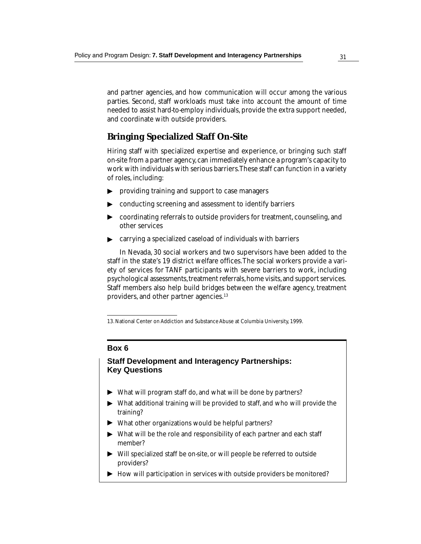and partner agencies, and how communication will occur among the various parties. Second, staff workloads must take into account the amount of time needed to assist hard-to-employ individuals, provide the extra support needed, and coordinate with outside providers.

## **Bringing Specialized Staff On-Site**

Hiring staff with specialized expertise and experience, or bringing such staff on-site from a partner agency, can immediately enhance a program's capacity to work with individuals with serious barriers. These staff can function in a variety of roles, including:

- ▶ providing training and support to case managers
- ▶ conducting screening and assessment to identify barriers
- coordinating referrals to outside providers for treatment, counseling, and other services ▼ ▼
- carrying a specialized caseload of individuals with barriers

In Nevada, 30 social workers and two supervisors have been added to the staff in the state's 19 district welfare offices. The social workers provide a variety of services for TANF participants with severe barriers to work, including psychological assessments, treatment referrals, home visits, and support services. Staff members also help build bridges between the welfare agency, treatment providers, and other partner agencies.<sup>13</sup>

### **Box 6**

## **Staff Development and Interagency Partnerships: Key Questions**

- ▶ What will program staff do, and what will be done by partners?
- What additional training will be provided to staff, and who will provide the training? ▼ ▼
- What other organizations would be helpful partners?
- What will be the role and responsibility of each partner and each staff member? ▼ ▼
- Will specialized staff be on-site, or will people be referred to outside providers?
- ▶ How will participation in services with outside providers be monitored?

<sup>13.</sup> National Center on Addiction and Substance Abuse at Columbia University, 1999.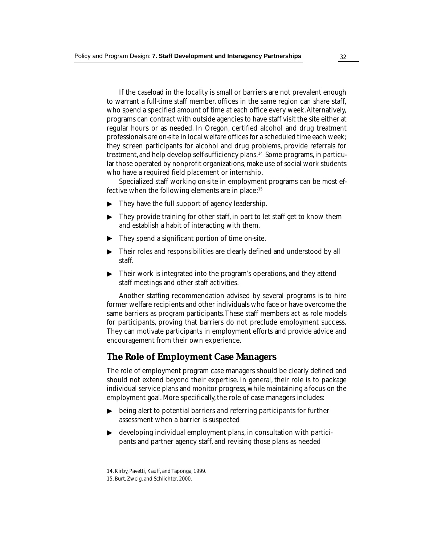If the caseload in the locality is small or barriers are not prevalent enough to warrant a full-time staff member, offices in the same region can share staff, who spend a specified amount of time at each office every week. Alternatively, programs can contract with outside agencies to have staff visit the site either at regular hours or as needed. In Oregon, certified alcohol and drug treatment professionals are on-site in local welfare offices for a scheduled time each week; they screen participants for alcohol and drug problems, provide referrals for treatment, and help develop self-sufficiency plans.14 Some programs, in particular those operated by nonprofit organizations, make use of social work students who have a required field placement or internship.

Specialized staff working on-site in employment programs can be most effective when the following elements are in place:<sup>15</sup>

- ▶ They have the full support of agency leadership.
- They provide training for other staff, in part to let staff get to know them and establish a habit of interacting with them. ▼
- They spend a significant portion of time on-site. ▼
- Their roles and responsibilities are clearly defined and understood by all ▶ ▼ ▼ staff.
- $\blacktriangleright$ Their work is integrated into the program's operations, and they attend staff meetings and other staff activities.

Another staffing recommendation advised by several programs is to hire former welfare recipients and other individuals who face or have overcome the same barriers as program participants. These staff members act as role models for participants, proving that barriers do not preclude employment success. They can motivate participants in employment efforts and provide advice and encouragement from their own experience.

## **The Role of Employment Case Managers**

The role of employment program case managers should be clearly defined and should not extend beyond their expertise. In general, their role is to package individual service plans and monitor progress, while maintaining a focus on the employment goal. More specifically, the role of case managers includes:

- being alert to potential barriers and referring participants for further assessment when a barrier is suspected
- developing individual employment plans, in consultation with participants and partner agency staff, and revising those plans as needed being alert to potential l<br>assessment when a barr<br>developing individual er<br>pants and partner agenc<br>14. Kirby, Pavetti, Kauff, and Taponga,<br>15. Burt, Zweig, and Schlichter, 2000.

<sup>14.</sup> Kirby, Pavetti, Kauff, and Taponga, 1999.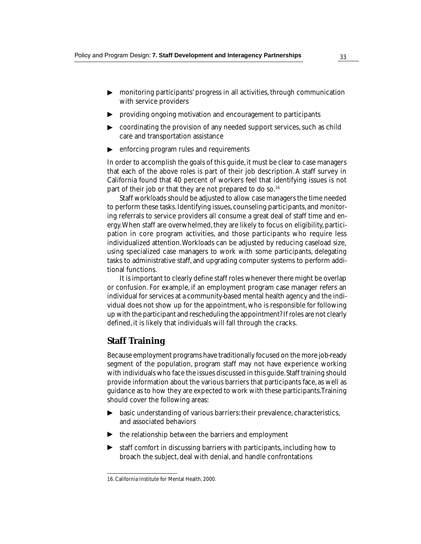- monitoring participants' progress in all activities, through communication with service providers ▼ ▼
- providing ongoing motivation and encouragement to participants
- coordinating the provision of any needed support services, such as child  $\blacktriangleright$ ▼ ▼ care and transportation assistance
- enforcing program rules and requirements

In order to accomplish the goals of this guide, it must be clear to case managers that each of the above roles is part of their job description. A staff survey in California found that 40 percent of workers feel that identifying issues is not part of their job or that they are not prepared to do so.<sup>16</sup>

Staff workloads should be adjusted to allow case managers the time needed to perform these tasks. Identifying issues, counseling participants, and monitoring referrals to service providers all consume a great deal of staff time and energy. When staff are overwhelmed, they are likely to focus on eligibility, participation in core program activities, and those participants who require less individualized attention. Workloads can be adjusted by reducing caseload size, using specialized case managers to work with some participants, delegating tasks to administrative staff, and upgrading computer systems to perform additional functions.

It is important to clearly define staff roles whenever there might be overlap or confusion. For example, if an employment program case manager refers an individual for services at a community-based mental health agency and the individual does not show up for the appointment, who is responsible for following up with the participant and rescheduling the appointment? If roles are not clearly defined, it is likely that individuals will fall through the cracks.

## **Staff Training**

Because employment programs have traditionally focused on the more job-ready segment of the population, program staff may not have experience working with individuals who face the issues discussed in this guide. Staff training should provide information about the various barriers that participants face, as well as guidance as to how they are expected to work with these participants. Training should cover the following areas:

- basic understanding of various barriers: their prevalence, characteristics,  $\blacktriangleright$ ▼ ▼ and associated behaviors
- $\blacktriangleright$  the relationship between the barriers and employment
- staff comfort in discussing barriers with participants, including how to broach the subject, deal with denial, and handle confrontations ▼

<sup>16.</sup> California Institute for Mental Health, 2000.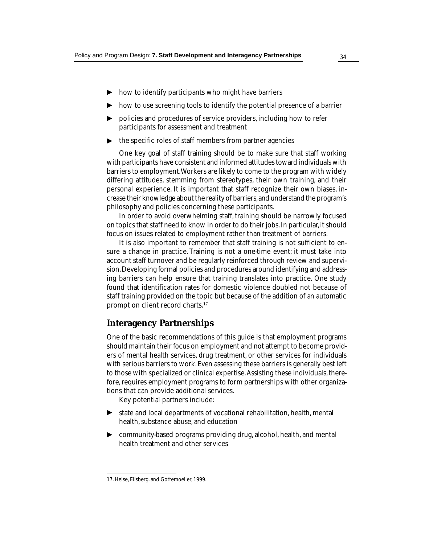- ▶ how to identify participants who might have barriers
- ◆ how to use screening tools to identify the potential presence of a barrier
- $\blacktriangleright\;$  policies and procedures of service providers, including how to refer participants for assessment and treatment
- the specific roles of staff members from partner agencies ▼

One key goal of staff training should be to make sure that staff working with participants have consistent and informed attitudes toward individuals with barriers to employment. Workers are likely to come to the program with widely differing attitudes, stemming from stereotypes, their own training, and their personal experience. It is important that staff recognize their own biases, increase their knowledge about the reality of barriers, and understand the program's philosophy and policies concerning these participants.

In order to avoid overwhelming staff, training should be narrowly focused on topics that staff need to know in order to do their jobs. In particular, it should focus on issues related to employment rather than treatment of barriers.

It is also important to remember that staff training is not sufficient to ensure a change in practice. Training is not a one-time event; it must take into account staff turnover and be regularly reinforced through review and supervision. Developing formal policies and procedures around identifying and addressing barriers can help ensure that training translates into practice. One study found that identification rates for domestic violence doubled not because of staff training provided on the topic but because of the addition of an automatic prompt on client record charts.17

## **Interagency Partnerships**

One of the basic recommendations of this guide is that employment programs should maintain their focus on employment and not attempt to become providers of mental health services, drug treatment, or other services for individuals with serious barriers to work. Even assessing these barriers is generally best left to those with specialized or clinical expertise. Assisting these individuals, therefore, requires employment programs to form partnerships with other organizations that can provide additional services.

Key potential partners include:

- ▶ state and local departments of vocational rehabilitation, health, mental health, substance abuse, and education
- ◆ community-based programs providing drug, alcohol, health, and mental health treatment and other services

<sup>17.</sup> Heise, Ellsberg, and Gottemoeller, 1999.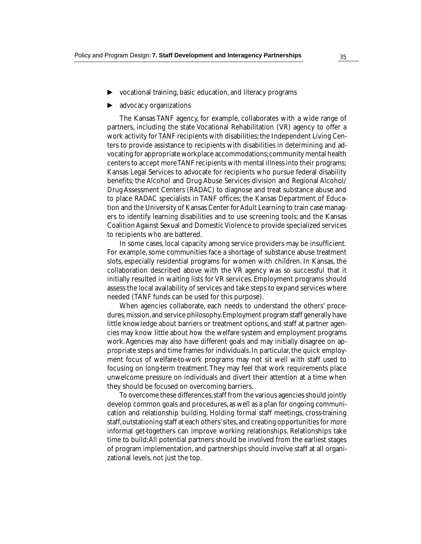- ◆ vocational training, basic education, and literacy programs
- ◆ advocacy organizations

The Kansas TANF agency, for example, collaborates with a wide range of partners, including the state Vocational Rehabilitation (VR) agency to offer a work activity for TANF recipients with disabilities; the Independent Living Centers to provide assistance to recipients with disabilities in determining and advocating for appropriate workplace accommodations; community mental health centers to accept more TANF recipients with mental illness into their programs; Kansas Legal Services to advocate for recipients who pursue federal disability benefits; the Alcohol and Drug Abuse Services division and Regional Alcohol/ Drug Assessment Centers (RADAC) to diagnose and treat substance abuse and to place RADAC specialists in TANF offices; the Kansas Department of Education and the University of Kansas Center for Adult Learning to train case managers to identify learning disabilities and to use screening tools; and the Kansas Coalition Against Sexual and Domestic Violence to provide specialized services to recipients who are battered.

In some cases, local capacity among service providers may be insufficient. For example, some communities face a shortage of substance abuse treatment slots, especially residential programs for women with children. In Kansas, the collaboration described above with the VR agency was so successful that it initially resulted in waiting lists for VR services. Employment programs should assess the local availability of services and take steps to expand services where needed (TANF funds can be used for this purpose).

When agencies collaborate, each needs to understand the others' procedures, mission, and service philosophy. Employment program staff generally have little knowledge about barriers or treatment options, and staff at partner agencies may know little about how the welfare system and employment programs work. Agencies may also have different goals and may initially disagree on appropriate steps and time frames for individuals. In particular, the quick employment focus of welfare-to-work programs may not sit well with staff used to focusing on long-term treatment. They may feel that work requirements place unwelcome pressure on individuals and divert their attention at a time when they should be focused on overcoming barriers.

To overcome these differences, staff from the various agencies should jointly develop common goals and procedures, as well as a plan for ongoing communication and relationship building. Holding formal staff meetings, cross-training staff, outstationing staff at each others' sites, and creating opportunities for more informal get-togethers can improve working relationships. Relationships take time to build: All potential partners should be involved from the earliest stages of program implementation, and partnerships should involve staff at all organizational levels, not just the top.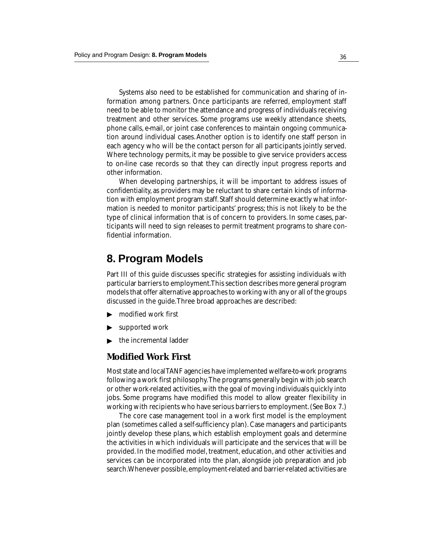Systems also need to be established for communication and sharing of information among partners. Once participants are referred, employment staff need to be able to monitor the attendance and progress of individuals receiving treatment and other services. Some programs use weekly attendance sheets, phone calls, e-mail, or joint case conferences to maintain ongoing communication around individual cases. Another option is to identify one staff person in each agency who will be the contact person for all participants jointly served. Where technology permits, it may be possible to give service providers access to on-line case records so that they can directly input progress reports and other information.

When developing partnerships, it will be important to address issues of confidentiality, as providers may be reluctant to share certain kinds of information with employment program staff. Staff should determine exactly what information is needed to monitor participants' progress; this is not likely to be the type of clinical information that is of concern to providers. In some cases, participants will need to sign releases to permit treatment programs to share confidential information.

# **8. Program Models**

Part III of this guide discusses specific strategies for assisting individuals with particular barriers to employment. This section describes more general program models that offer alternative approaches to working with any or all of the groups discussed in the guide. Three broad approaches are described:

- modified work first ▼
- supported work ▼
- the incremental ladder ▼

### **Modified Work First**

Most state and local TANF agencies have implemented welfare-to-work programs following a work first philosophy. The programs generally begin with job search or other work-related activities, with the goal of moving individuals quickly into jobs. Some programs have modified this model to allow greater flexibility in working with recipients who have serious barriers to employment. (See Box 7.)

The core case management tool in a work first model is the employment plan (sometimes called a self-sufficiency plan). Case managers and participants jointly develop these plans, which establish employment goals and determine the activities in which individuals will participate and the services that will be provided. In the modified model, treatment, education, and other activities and services can be incorporated into the plan, alongside job preparation and job search. Whenever possible, employment-related and barrier-related activities are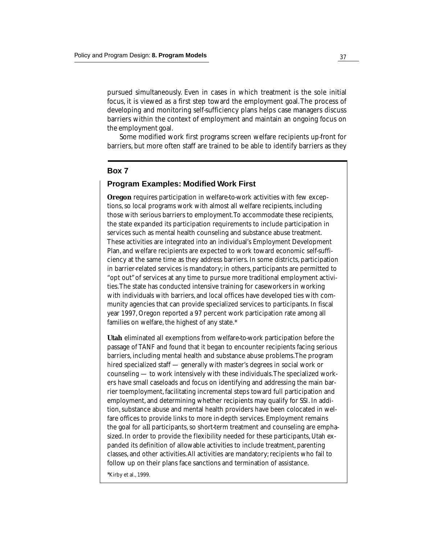pursued simultaneously. Even in cases in which treatment is the sole initial focus, it is viewed as a first step toward the employment goal. The process of developing and monitoring self-sufficiency plans helps case managers discuss barriers within the context of employment and maintain an ongoing focus on the employment goal.

Some modified work first programs screen welfare recipients up-front for barriers, but more often staff are trained to be able to identify barriers as they

### **Box 7**

#### **Program Examples: Modified Work First**

**Oregon** requires participation in welfare-to-work activities with few exceptions, so local programs work with almost all welfare recipients, including those with serious barriers to employment. To accommodate these recipients, the state expanded its participation requirements to include participation in services such as mental health counseling and substance abuse treatment. These activities are integrated into an individual's Employment Development Plan, and welfare recipients are expected to work toward economic self-sufficiency at the same time as they address barriers. In some districts, participation in barrier-related services is mandatory; in others, participants are permitted to "opt out" of services at any time to pursue more traditional employment activities. The state has conducted intensive training for caseworkers in working with individuals with barriers, and local offices have developed ties with community agencies that can provide specialized services to participants. In fiscal year 1997, Oregon reported a 97 percent work participation rate among all families on welfare, the highest of any state.\*

**Utah** eliminated all exemptions from welfare-to-work participation before the passage of TANF and found that it began to encounter recipients facing serious barriers, including mental health and substance abuse problems. The program hired specialized staff — generally with master's degrees in social work or counseling — to work intensively with these individuals. The specialized workers have small caseloads and focus on identifying and addressing the main barrier toemployment, facilitating incremental steps toward full participation and employment, and determining whether recipients may qualify for SSI. In addition, substance abuse and mental health providers have been colocated in welfare offices to provide links to more in-depth services. Employment remains the goal for *all* participants, so short-term treatment and counseling are emphasized. In order to provide the flexibility needed for these participants, Utah expanded its definition of allowable activities to include treatment, parenting classes, and other activities. All activities are mandatory; recipients who fail to follow up on their plans face sanctions and termination of assistance.

\*Kirby et al., 1999.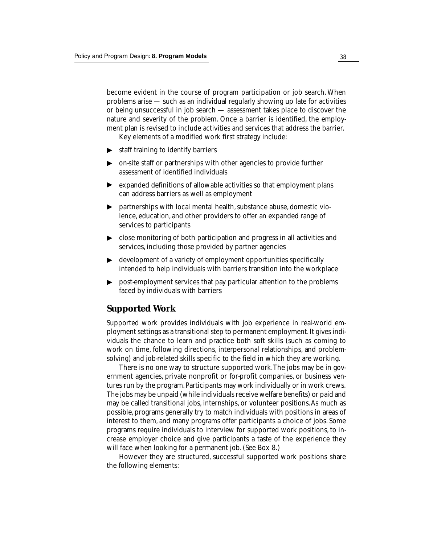become evident in the course of program participation or job search. When problems arise — such as an individual regularly showing up late for activities or being unsuccessful in job search — assessment takes place to discover the nature and severity of the problem. Once a barrier is identified, the employment plan is revised to include activities and services that address the barrier.

Key elements of a modified work first strategy include:

- ▶ staff training to identify barriers
- ▶ on-site staff or partnerships with other agencies to provide further assessment of identified individuals
- ▶ expanded definitions of allowable activities so that employment plans can address barriers as well as employment
- ▶ partnerships with local mental health, substance abuse, domestic violence, education, and other providers to offer an expanded range of services to participants
- $\blacktriangleright$   $\;$  close monitoring of both participation and progress in all activities and services, including those provided by partner agencies
- development of a variety of employment opportunities specifically intended to help individuals with barriers transition into the workplace ▼
- post-employment services that pay particular attention to the problems faced by individuals with barriers ▼

### **Supported Work**

Supported work provides individuals with job experience in real-world employment settings as a transitional step to permanent employment. It gives individuals the chance to learn and practice both soft skills (such as coming to work on time, following directions, interpersonal relationships, and problemsolving) and job-related skills specific to the field in which they are working.

There is no one way to structure supported work. The jobs may be in government agencies, private nonprofit or for-profit companies, or business ventures run by the program. Participants may work individually or in work crews. The jobs may be unpaid (while individuals receive welfare benefits) or paid and may be called transitional jobs, internships, or volunteer positions. As much as possible, programs generally try to match individuals with positions in areas of interest to them, and many programs offer participants a choice of jobs. Some programs require individuals to interview for supported work positions, to increase employer choice and give participants a taste of the experience they will face when looking for a permanent job. (See Box 8.)

However they are structured, successful supported work positions share the following elements: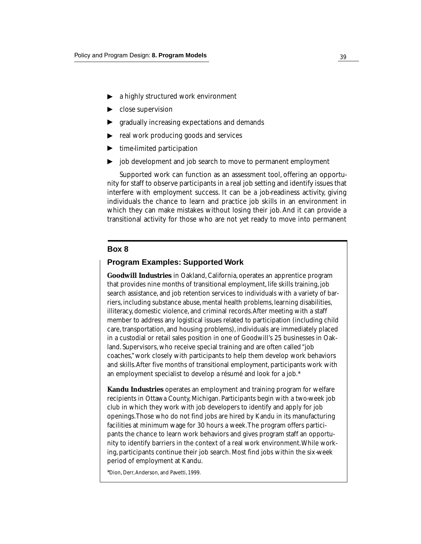- $\blacktriangleright$  a highly structured work environment<br> $\blacktriangleright$  close supervision
- $\blacktriangleright$  close supervision
- **F** gradually increasing expectations and demands
- $\blacktriangleright$  real work producing goods and services
- time-limited participation
- job development and job search to move to permanent employment

Supported work can function as an assessment tool, offering an opportunity for staff to observe participants in a real job setting and identify issues that interfere with employment success. It can be a job-readiness activity, giving individuals the chance to learn and practice job skills in an environment in which they can make mistakes without losing their job. And it can provide a transitional activity for those who are not yet ready to move into permanent

#### **Box 8**

#### **Program Examples: Supported Work**

**Goodwill Industries** in Oakland, California, operates an apprentice program that provides nine months of transitional employment, life skills training, job search assistance, and job retention services to individuals with a variety of barriers, including substance abuse, mental health problems, learning disabilities, illiteracy, domestic violence, and criminal records. After meeting with a staff member to address any logistical issues related to participation (including child care, transportation, and housing problems), individuals are immediately placed in a custodial or retail sales position in one of Goodwill's 25 businesses in Oakland. Supervisors, who receive special training and are often called "job coaches," work closely with participants to help them develop work behaviors and skills. After five months of transitional employment, participants work with an employment specialist to develop a résumé and look for a job.\* tradually increasing expect<br>
real work producing goods<br>
time-limited participation<br>
job development and job s<br>
Supported work can funct<br>
mity for staff to observe particip<br>
interfere with employment suidividuals the chanc

**Kandu Industries** operates an employment and training program for welfare recipients in Ottawa County, Michigan. Participants begin with a two-week job club in which they work with job developers to identify and apply for job openings. Those who do not find jobs are hired by Kandu in its manufacturing facilities at minimum wage for 30 hours a week. The program offers participants the chance to learn work behaviors and gives program staff an opportunity to identify barriers in the context of a real work environment. While working, participants continue their job search. Most find jobs within the six-week period of employment at Kandu.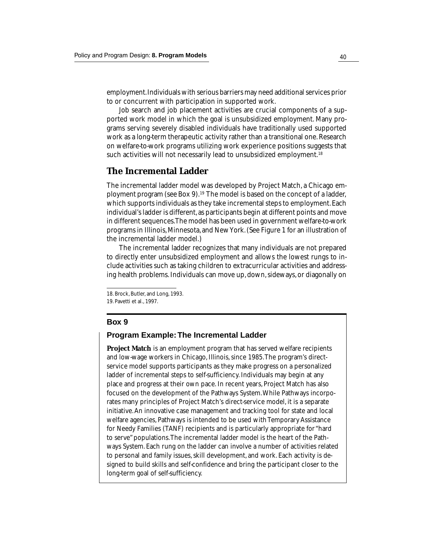employment. Individuals with serious barriers may need additional services prior to or concurrent with participation in supported work.

Job search and job placement activities are crucial components of a supported work model in which the goal is unsubsidized employment. Many programs serving severely disabled individuals have traditionally used supported work as a long-term therapeutic activity rather than a transitional one. Research on welfare-to-work programs utilizing work experience positions suggests that such activities will not necessarily lead to unsubsidized employment.<sup>18</sup>

### **The Incremental Ladder**

The incremental ladder model was developed by Project Match, a Chicago employment program (see Box 9).<sup>19</sup> The model is based on the concept of a ladder, which supports individuals as they take incremental steps to employment. Each individual's ladder is different, as participants begin at different points and move in different sequences. The model has been used in government welfare-to-work programs in Illinois, Minnesota, and New York. (See Figure 1 for an illustration of the incremental ladder model.)

The incremental ladder recognizes that many individuals are not prepared to directly enter unsubsidized employment and allows the lowest rungs to include activities such as taking children to extracurricular activities and addressing health problems. Individuals can move up, down, sideways, or diagonally on

#### **Box 9**

#### **Program Example: The Incremental Ladder**

**Project Match** is an employment program that has served welfare recipients and low-wage workers in Chicago, Illinois, since 1985. The program's directservice model supports participants as they make progress on a personalized ladder of incremental steps to self-sufficiency. Individuals may begin at any place and progress at their own pace. In recent years, Project Match has also focused on the development of the Pathways System. While Pathways incorporates many principles of Project Match's direct-service model, it is a separate initiative. An innovative case management and tracking tool for state and local welfare agencies, Pathways is intended to be used with Temporary Assistance for Needy Families (TANF) recipients and is particularly appropriate for "hard to serve" populations. The incremental ladder model is the heart of the Pathways System. Each rung on the ladder can involve a number of activities related to personal and family issues, skill development, and work. Each activity is designed to build skills and self-confidence and bring the participant closer to the long-term goal of self-sufficiency.

<sup>18.</sup> Brock, Butler, and Long, 1993.

<sup>19.</sup> Pavetti et al., 1997.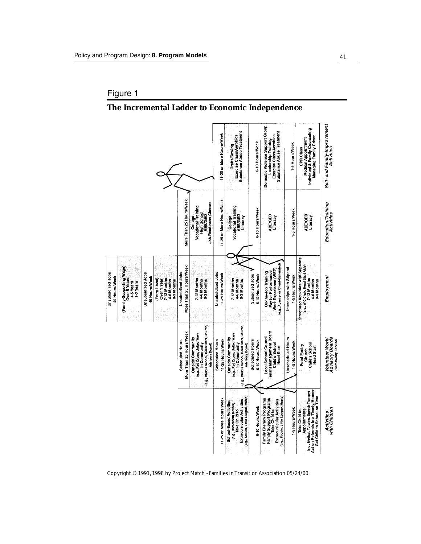## Figure 1

## **The Incremental Ladder to Economic Independence**

|                                    |                                                                   |                                    |                                                                        | More Than 25 Hours/Week                      | Job-Readiness Classes<br><b>Vocational Training</b><br>High School<br><b>LBE/GED</b><br>College                                     | 11-25 or More Hours/Week<br>11-25 or More Hours/Week | Substance Abuse Treatment<br>Exercise Class/Aerobics<br>Crafts/Sewing<br><b>Vocational Training</b><br>ABE/GED<br>Literacy<br>College            | 6-10 Hours/Week<br>6-10 Hours/Week        | Domestic Violence Support Group<br>Substance Abuse Treatment<br>Exercise Class/Aerobics<br><b>Leadership Training</b><br>ABE/GED<br>Literacy      | 1-5 Hours/Week<br>1-5 Hours/Week           | Medical Appointment<br>Individual & Family Counseling<br>Managing Family Crises<br>CPR Class<br><b>ABE/GED</b><br>Literacy                       | Self- and Family-Improvement<br>Activities<br>Education/Training<br>Activities |
|------------------------------------|-------------------------------------------------------------------|------------------------------------|------------------------------------------------------------------------|----------------------------------------------|-------------------------------------------------------------------------------------------------------------------------------------|------------------------------------------------------|--------------------------------------------------------------------------------------------------------------------------------------------------|-------------------------------------------|---------------------------------------------------------------------------------------------------------------------------------------------------|--------------------------------------------|--------------------------------------------------------------------------------------------------------------------------------------------------|--------------------------------------------------------------------------------|
| Unsubsidized Jobs<br>40 Hours/Week | (Family-Supporting Wage)<br>Over 5 Years<br>4-5 Years<br>13 Years | Unsubsidized Jobs<br>40 Hours/Week | 7-12 Months<br>Entry Level)<br>Over 1 Year<br>4-6 Months<br>0-3 Months | More Than 25 Hours/Week<br>Unsubsidized Jobs | 7-12 Months<br>4-6 Months<br>0-3 Months                                                                                             | Unsubsidized Jobs<br>11-25 Hours/Week                | 7-12 Months<br>4-6 Months<br>0-3 Months                                                                                                          | Subsidized Jobs<br>6-10 Hours/Week        | (e.g., Agency- or Client-Generated)<br>Work Experience (WEP)<br>Pay for Performance<br>On-the-Job Training                                        | Internships with Stipend<br>1-5 Hours/Week | Structured Activities with Stipends<br>(e.g., WIC Clerk, Head Start Alde)<br>7-12 Months<br>4-6 Months<br>0-3 Months                             | Employment                                                                     |
|                                    |                                                                   |                                    |                                                                        | More Than 25 Hours/Week<br>Scheduled Hours   | (e.g., Child's School, Head Start, Church,<br>(e.g., Red Cross, United Way)<br>Outside Community<br>In Community<br>Advisory Board) | 11-25 Hours/Week<br><b>Scheduled Hours</b>           | (e.g., Child's School, Head Start, Church,<br>(e.g., Red Cross, United Way)<br><b>Outside Community</b><br>In Community<br>Advisory Board)       | <b>Scheduled Hours</b><br>6-10 Hours/Week | Tenant Management Board<br>Local School Council<br>Child's School<br><b>Head Start</b>                                                            | <b>Unscheduled Hours</b><br>1-5 Hours/Week | Child's School<br>Food Pantry<br><b>Head Start</b><br>Church                                                                                     | <b>Advisory Boards</b><br>Volunteer Work                                       |
|                                    |                                                                   |                                    |                                                                        |                                              |                                                                                                                                     | 11-25 or More Hours/Week                             | (e.g., Scouts, Little League, Music)<br><b>Extracurricular Activities</b><br>School-Based Activities<br>(e.g., Homeroom Mother)<br>Take Child to | 6-10 Hours/Week                           | (a.g., Scouts, Little League, Music)<br>Family Support Programs<br>Family Literacy Programs<br><b>Extracurricular Activities</b><br>Take Child to | 1-5 Hours/Week                             | Act on Referrals in a Timely Manner<br>(e.g., Medical, Tutoring, Speech Therapy)<br>Get Child to School on Time<br>Appointments<br>Take Child to | with Children<br>Activities                                                    |

Copyright © 1991, 1998 by Project Match - Families in Transition Association 05/24/00.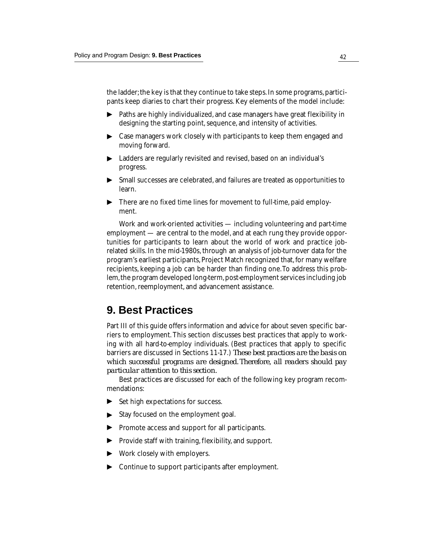the ladder; the key is that they continue to take steps. In some programs, participants keep diaries to chart their progress. Key elements of the model include:

- Paths are highly individualized, and case managers have great flexibility in designing the starting point, sequence, and intensity of activities. ▼
- ▶ Case managers work closely with participants to keep them engaged and moving forward.
- $\blacktriangleright$  -Ladders are regularly revisited and revised, based on an individual's progress.
- ▶ Small successes are celebrated, and failures are treated as opportunities to learn.
- ▶ There are no fixed time lines for movement to full-time, paid employment.

Work and work-oriented activities — including volunteering and part-time employment — are central to the model, and at each rung they provide opportunities for participants to learn about the world of work and practice jobrelated skills. In the mid-1980s, through an analysis of job-turnover data for the program's earliest participants, Project Match recognized that, for many welfare recipients, keeping a job can be harder than finding one. To address this problem, the program developed long-term, post-employment services including job retention, reemployment, and advancement assistance.

# **9. Best Practices**

Part III of this guide offers information and advice for about seven specific barriers to employment. This section discusses best practices that apply to working with all hard-to-employ individuals. (Best practices that apply to specific barriers are discussed in Sections 11-17.) *These best practices are the basis on which successful programs are designed. Therefore, all readers should pay particular attention to this section.*

Best practices are discussed for each of the following key program recommendations:

- Set high expectations for success. ▼
- $\blacktriangleright$  Stay focused on the employment goal.
- ▶ Promote access and support for all participants. ▼▼ ▼
- $\blacktriangleright$  Provide staff with training, flexibility, and support.
- ▶ Work closely with employers.
- ▶ Continue to support participants after employment.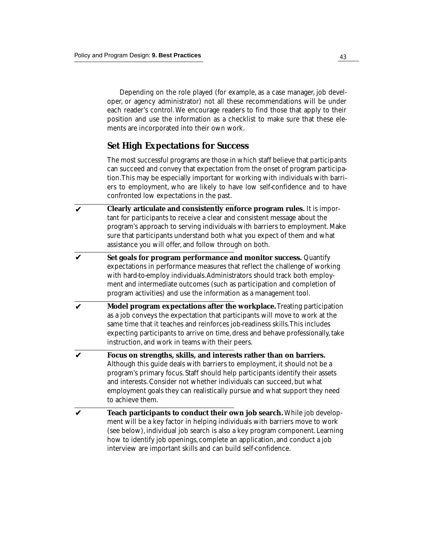Depending on the role played (for example, as a case manager, job developer, or agency administrator) not all these recommendations will be under each reader's control. We encourage readers to find those that apply to their position and use the information as a checklist to make sure that these elements are incorporated into their own work.

## **Set High Expectations for Success**

The most successful programs are those in which staff believe that participants can succeed and convey that expectation from the onset of program participation. This may be especially important for working with individuals with barriers to employment, who are likely to have low self-confidence and to have confronted low expectations in the past.

- **Clearly articulate and consistently enforce program rules.** It is important for participants to receive a clear and consistent message about the program's approach to serving individuals with barriers to employment. Make sure that participants understand both what you expect of them and what assistance you will offer, and follow through on both. ✔
- **Set goals for program performance and monitor success.** Quantify expectations in performance measures that reflect the challenge of working with hard-to-employ individuals. Administrators should track both employment and intermediate outcomes (such as participation and completion of program activities) and use the information as a management tool. ✔
- **Model program expectations after the workplace.** Treating participation as a job conveys the expectation that participants will move to work at the same time that it teaches and reinforces job-readiness skills. This includes expecting participants to arrive on time, dress and behave professionally, take instruction, and work in teams with their peers. ✔
- **Focus on strengths, skills, and interests rather than on barriers.** Although this guide deals with barriers to employment, it should not be a program's primary focus. Staff should help participants identify their assets and interests. Consider not whether individuals can succeed, but what employment goals they can realistically pursue and what support they need to achieve them. ✔
- **Teach participants to conduct their own job search.** While job development will be a key factor in helping individuals with barriers move to work (see below), individual job search is also a key program component. Learning how to identify job openings, complete an application, and conduct a job interview are important skills and can build self-confidence. ✔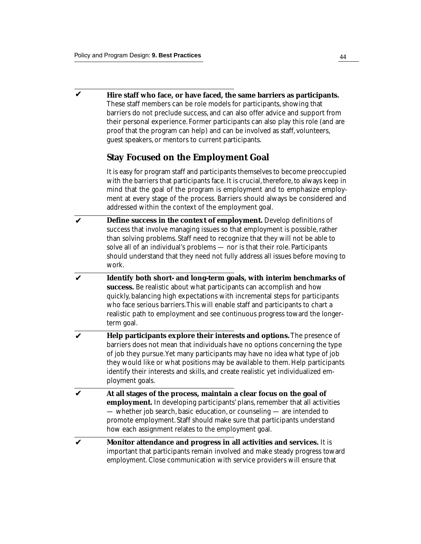**Hire staff who face, or have faced, the same barriers as participants.** These staff members can be role models for participants, showing that barriers do not preclude success, and can also offer advice and support from their personal experience. Former participants can also play this role (and are proof that the program can help) and can be involved as staff, volunteers, guest speakers, or mentors to current participants. ✔

### **Stay Focused on the Employment Goal**

It is easy for program staff and participants themselves to become preoccupied with the barriers that participants face. It is crucial, therefore, to always keep in mind that the goal of the program is employment and to emphasize employment at every stage of the process. Barriers should always be considered and addressed within the context of the employment goal.

- **Define success in the context of employment.** Develop definitions of success that involve managing issues so that employment is possible, rather than solving problems. Staff need to recognize that they will not be able to solve all of an individual's problems — nor is that their role. Participants should understand that they need not fully address all issues before moving to work. ✔
- **Identify both short- and long-term goals, with interim benchmarks of success.** Be realistic about what participants can accomplish and how quickly, balancing high expectations with incremental steps for participants who face serious barriers. This will enable staff and participants to chart a realistic path to employment and see continuous progress toward the longerterm goal. ✔
- **Help participants explore their interests and options.** The presence of barriers does not mean that individuals have no options concerning the type of job they pursue. Yet many participants may have no idea what type of job they would like or what positions may be available to them. Help participants identify their interests and skills, and create realistic yet individualized employment goals. ✔
- **At all stages of the process, maintain a clear focus on the goal of employment.** In developing participants' plans, remember that all activities — whether job search, basic education, or counseling — are intended to promote employment. Staff should make sure that participants understand how each assignment relates to the employment goal. ✔
- **Monitor attendance and progress in all activities and services.** It is important that participants remain involved and make steady progress toward employment. Close communication with service providers will ensure that ✔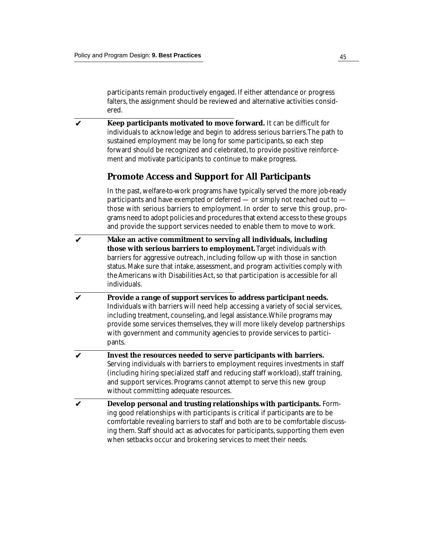participants remain productively engaged. If either attendance or progress falters, the assignment should be reviewed and alternative activities considered.

**Keep participants motivated to move forward.** It can be difficult for individuals to acknowledge and begin to address serious barriers. The path to sustained employment may be long for some participants, so each step forward should be recognized and celebrated, to provide positive reinforcement and motivate participants to continue to make progress. ✔

## **Promote Access and Support for All Participants**

In the past, welfare-to-work programs have typically served the more job-ready participants and have exempted or deferred — or simply not reached out to those with serious barriers to employment. In order to serve this group, programs need to adopt policies and procedures that extend access to these groups and provide the support services needed to enable them to move to work.

- **Make an active commitment to serving all individuals, including those with serious barriers to employment.** Target individuals with barriers for aggressive outreach, including follow-up with those in sanction status. Make sure that intake, assessment, and program activities comply with the Americans with Disabilities Act, so that participation is accessible for all individuals. ✔
- **Provide a range of support services to address participant needs.** Individuals with barriers will need help accessing a variety of social services, including treatment, counseling, and legal assistance. While programs may provide some services themselves, they will more likely develop partnerships with government and community agencies to provide services to participants. ✔
- **Invest the resources needed to serve participants with barriers.** Serving individuals with barriers to employment requires investments in staff (including hiring specialized staff and reducing staff workload), staff training, and support services. Programs cannot attempt to serve this new group without committing adequate resources. ✔
- **Develop personal and trusting relationships with participants.** Forming good relationships with participants is critical if participants are to be comfortable revealing barriers to staff and both are to be comfortable discussing them. Staff should act as advocates for participants, supporting them even when setbacks occur and brokering services to meet their needs. ✔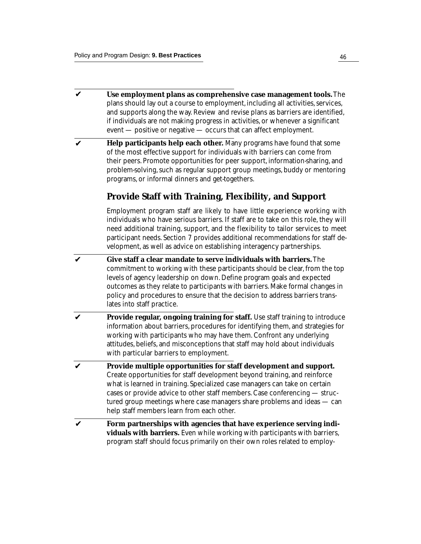- **Use employment plans as comprehensive case management tools.** The plans should lay out a course to employment, including all activities, services, and supports along the way. Review and revise plans as barriers are identified, if individuals are not making progress in activities, or whenever a significant event — positive or negative — occurs that can affect employment. ✔
- **Help participants help each other.** Many programs have found that some of the most effective support for individuals with barriers can come from their peers. Promote opportunities for peer support, information-sharing, and problem-solving, such as regular support group meetings, buddy or mentoring programs, or informal dinners and get-togethers. ✔

## **Provide Staff with Training, Flexibility, and Support**

Employment program staff are likely to have little experience working with individuals who have serious barriers. If staff are to take on this role, they will need additional training, support, and the flexibility to tailor services to meet participant needs. Section 7 provides additional recommendations for staff development, as well as advice on establishing interagency partnerships.

- **Give staff a clear mandate to serve individuals with barriers.** The commitment to working with these participants should be clear, from the top levels of agency leadership on down. Define program goals and expected outcomes as they relate to participants with barriers. Make formal changes in policy and procedures to ensure that the decision to address barriers translates into staff practice. ✔
- **Provide regular, ongoing training for staff.** Use staff training to introduce information about barriers, procedures for identifying them, and strategies for working with participants who may have them. Confront any underlying attitudes, beliefs, and misconceptions that staff may hold about individuals with particular barriers to employment.  $\boldsymbol{\nu}$
- **Provide multiple opportunities for staff development and support.** Create opportunities for staff development beyond training, and reinforce what is learned in training. Specialized case managers can take on certain cases or provide advice to other staff members. Case conferencing — structured group meetings where case managers share problems and ideas — can help staff members learn from each other. ✔
- **Form partnerships with agencies that have experience serving individuals with barriers.** Even while working with participants with barriers, program staff should focus primarily on their own roles related to employ-✔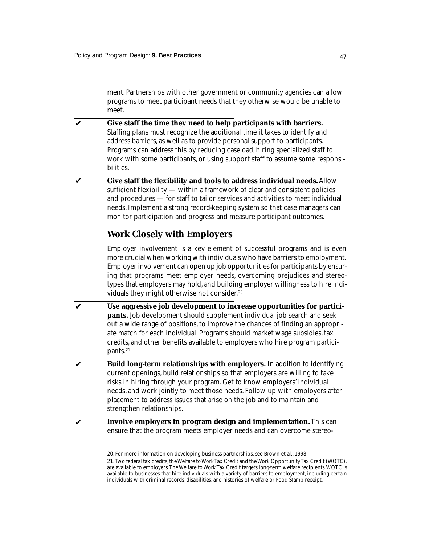ment. Partnerships with other government or community agencies can allow programs to meet participant needs that they otherwise would be unable to meet.

- **Give staff the time they need to help participants with barriers.** Staffing plans must recognize the additional time it takes to identify and address barriers, as well as to provide personal support to participants. Programs can address this by reducing caseload, hiring specialized staff to work with some participants, or using support staff to assume some responsibilities. ✔
- **Give staff the flexibility and tools to address individual needs.** Allow sufficient flexibility — within a framework of clear and consistent policies and procedures — for staff to tailor services and activities to meet individual needs. Implement a strong record-keeping system so that case managers can monitor participation and progress and measure participant outcomes. ✔

## **Work Closely with Employers**

Employer involvement is a key element of successful programs and is even more crucial when working with individuals who have barriers to employment. Employer involvement can open up job opportunities for participants by ensuring that programs meet employer needs, overcoming prejudices and stereotypes that employers may hold, and building employer willingness to hire individuals they might otherwise not consider.<sup>20</sup>

- **Use aggressive job development to increase opportunities for participants.** Job development should supplement individual job search and seek out a wide range of positions, to improve the chances of finding an appropriate match for each individual. Programs should market wage subsidies, tax credits, and other benefits available to employers who hire program participants.<sup>21</sup> ✔
- **Build long-term relationships with employers.** In addition to identifying current openings, build relationships so that employers are willing to take risks in hiring through your program. Get to know employers' individual needs, and work jointly to meet those needs. Follow up with employers after placement to address issues that arise on the job and to maintain and strengthen relationships. ✔
- **Involve employers in program design and implementation.** This can ensure that the program meets employer needs and can overcome stereo-✔

<sup>20.</sup> For more information on developing business partnerships, see Brown et al., 1998.

<sup>21.</sup>Two federal tax credits, the Welfare to Work Tax Credit and the Work Opportunity Tax Credit (WOTC), are available to employers. The Welfare to Work Tax Credit targets long-term welfare recipients. WOTC is available to businesses that hire individuals with a variety of barriers to employment, including certain individuals with criminal records, disabilities, and histories of welfare or Food Stamp receipt.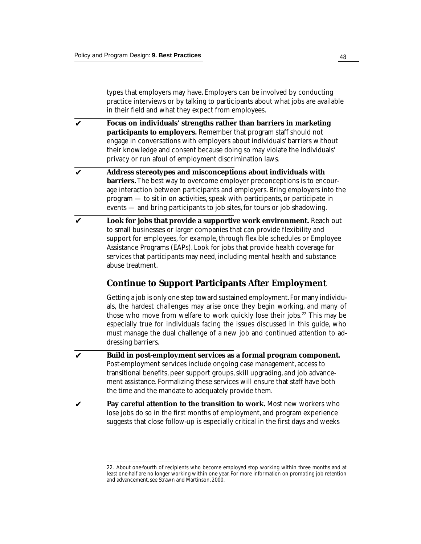types that employers may have. Employers can be involved by conducting practice interviews or by talking to participants about what jobs are available in their field and what they expect from employees.

- **Focus on individuals' strengths rather than barriers in marketing participants to employers.** Remember that program staff should not engage in conversations with employers about individuals' barriers without their knowledge and consent because doing so may violate the individuals' privacy or run afoul of employment discrimination laws. ✔
- **Address stereotypes and misconceptions about individuals with barriers.** The best way to overcome employer preconceptions is to encourage interaction between participants and employers. Bring employers into the program — to sit in on activities, speak with participants, or participate in events — and bring participants to job sites, for tours or job shadowing. ✔
- **Look for jobs that provide a supportive work environment.** Reach out to small businesses or larger companies that can provide flexibility and support for employees, for example, through flexible schedules or Employee Assistance Programs (EAPs). Look for jobs that provide health coverage for services that participants may need, including mental health and substance abuse treatment. ✔

## **Continue to Support Participants After Employment**

Getting a job is only one step toward sustained employment. For many individuals, the hardest challenges may arise once they begin working, and many of those who move from welfare to work quickly lose their jobs.<sup>22</sup> This may be especially true for individuals facing the issues discussed in this guide, who must manage the dual challenge of a new job and continued attention to addressing barriers.

- **Build in post-employment services as a formal program component.** Post-employment services include ongoing case management, access to transitional benefits, peer support groups, skill upgrading, and job advancement assistance. Formalizing these services will ensure that staff have both the time and the mandate to adequately provide them. ✔
- **Pay careful attention to the transition to work.** Most new workers who lose jobs do so in the first months of employment, and program experience suggests that close follow-up is especially critical in the first days and weeks ✔

<sup>22.</sup> About one-fourth of recipients who become employed stop working within three months and at least one-half are no longer working within one year. For more information on promoting job retention and advancement, see Strawn and Martinson, 2000.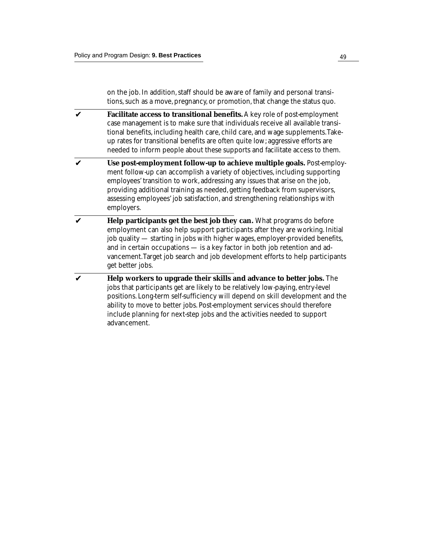on the job. In addition, staff should be aware of family and personal transitions, such as a move, pregnancy, or promotion, that change the status quo.

- **Facilitate access to transitional benefits.** A key role of post-employment case management is to make sure that individuals receive all available transitional benefits, including health care, child care, and wage supplements. Takeup rates for transitional benefits are often quite low; aggressive efforts are needed to inform people about these supports and facilitate access to them. ✔
- **Use post-employment follow-up to achieve multiple goals.** Post-employment follow-up can accomplish a variety of objectives, including supporting employees' transition to work, addressing any issues that arise on the job, providing additional training as needed, getting feedback from supervisors, assessing employees' job satisfaction, and strengthening relationships with employers.  $\boldsymbol{\nu}$
- **Help participants get the best job they can.** What programs do before employment can also help support participants after they are working. Initial job quality — starting in jobs with higher wages, employer-provided benefits, and in certain occupations — is a key factor in both job retention and advancement. Target job search and job development efforts to help participants get better jobs. ✔
- **Help workers to upgrade their skills and advance to better jobs.** The jobs that participants get are likely to be relatively low-paying, entry-level positions. Long-term self-sufficiency will depend on skill development and the ability to move to better jobs. Post-employment services should therefore include planning for next-step jobs and the activities needed to support advancement. ✔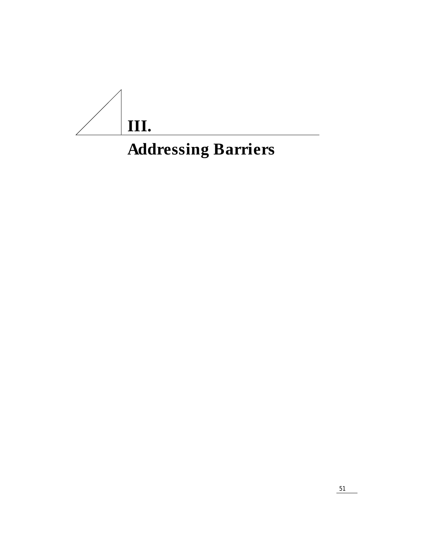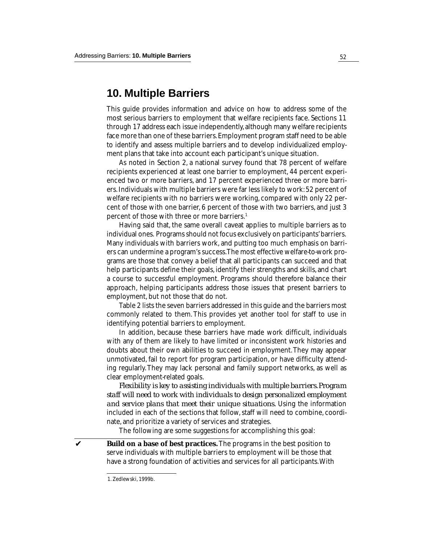## **10. Multiple Barriers**

This guide provides information and advice on how to address some of the most serious barriers to employment that welfare recipients face. Sections 11 through 17 address each issue independently, although many welfare recipients face more than one of these barriers. Employment program staff need to be able to identify and assess multiple barriers and to develop individualized employment plans that take into account each participant's unique situation.

As noted in Section 2, a national survey found that 78 percent of welfare recipients experienced at least one barrier to employment, 44 percent experienced two or more barriers, and 17 percent experienced three or more barriers. Individuals with multiple barriers were far less likely to work: 52 percent of welfare recipients with no barriers were working, compared with only 22 percent of those with one barrier, 6 percent of those with two barriers, and just 3 percent of those with three or more barriers.1

Having said that, the same overall caveat applies to multiple barriers as to individual ones. Programs should not focus exclusively on participants' barriers. Many individuals with barriers work, and putting too much emphasis on barriers can undermine a program's success. The most effective welfare-to-work programs are those that convey a belief that all participants can succeed and that help participants define their goals, identify their strengths and skills, and chart a course to successful employment. Programs should therefore balance their approach, helping participants address those issues that present barriers to employment, but not those that do not.

Table 2 lists the seven barriers addressed in this guide and the barriers most commonly related to them. This provides yet another tool for staff to use in identifying potential barriers to employment.

In addition, because these barriers have made work difficult, individuals with any of them are likely to have limited or inconsistent work histories and doubts about their own abilities to succeed in employment. They may appear unmotivated, fail to report for program participation, or have difficulty attending regularly. They may lack personal and family support networks, as well as clear employment-related goals.

*Flexibility is key to assisting individuals with multiple barriers. Program staff will need to work with individuals to design personalized employment and service plans that meet their unique situations.* Using the information included in each of the sections that follow, staff will need to combine, coordinate, and prioritize a variety of services and strategies.

The following are some suggestions for accomplishing this goal:

**Build on a base of best practices.** The programs in the best position to serve individuals with multiple barriers to employment will be those that have a strong foundation of activities and services for all participants. With

✔

<sup>1.</sup> Zedlewski, 1999b.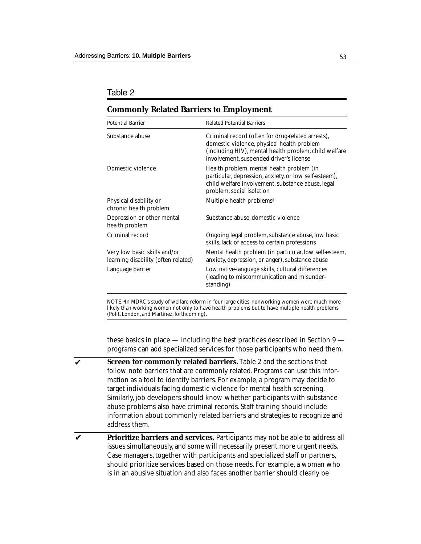#### Table 2

| <b>Potential Barrier</b>                                            | <b>Related Potential Barriers</b>                                                                                                                                                                   |  |  |  |  |  |  |
|---------------------------------------------------------------------|-----------------------------------------------------------------------------------------------------------------------------------------------------------------------------------------------------|--|--|--|--|--|--|
| Substance abuse                                                     | Criminal record (often for drug-related arrests),<br>domestic violence, physical health problem<br>(including HIV), mental health problem, child welfare<br>involvement, suspended driver's license |  |  |  |  |  |  |
| Domestic violence                                                   | Health problem, mental health problem (in<br>particular, depression, anxiety, or low self-esteem),<br>child welfare involvement, substance abuse, legal<br>problem, social isolation                |  |  |  |  |  |  |
| Physical disability or<br>chronic health problem                    | Multiple health problems <sup>a</sup>                                                                                                                                                               |  |  |  |  |  |  |
| Depression or other mental<br>health problem                        | Substance abuse, domestic violence                                                                                                                                                                  |  |  |  |  |  |  |
| <b>Criminal record</b>                                              | Ongoing legal problem, substance abuse, low basic<br>skills, lack of access to certain professions                                                                                                  |  |  |  |  |  |  |
| Very low basic skills and/or<br>learning disability (often related) | Mental health problem (in particular, low self-esteem,<br>anxiety, depression, or anger), substance abuse                                                                                           |  |  |  |  |  |  |
| Language barrier                                                    | Low native-language skills, cultural differences<br>(leading to miscommunication and misunder-<br>standing)                                                                                         |  |  |  |  |  |  |
|                                                                     |                                                                                                                                                                                                     |  |  |  |  |  |  |

### **Commonly Related Barriers to Employment**

NOTE: a In MDRC's study of welfare reform in four large cities, nonworking women were much more likely than working women not only to have health problems but to have multiple health problems (Polit, London, and Martinez, forthcoming).

these basics in place — including the best practices described in Section 9 programs can add specialized services for those participants who need them.

- **Screen for commonly related barriers.** Table 2 and the sections that follow note barriers that are commonly related. Programs can use this information as a tool to identify barriers. For example, a program may decide to target individuals facing domestic violence for mental health screening. Similarly, job developers should know whether participants with substance abuse problems also have criminal records. Staff training should include information about commonly related barriers and strategies to recognize and address them. ✔
- **Prioritize barriers and services.** Participants may not be able to address all issues simultaneously, and some will necessarily present more urgent needs. Case managers, together with participants and specialized staff or partners, should prioritize services based on those needs. For example, a woman who is in an abusive situation and also faces another barrier should clearly be ✔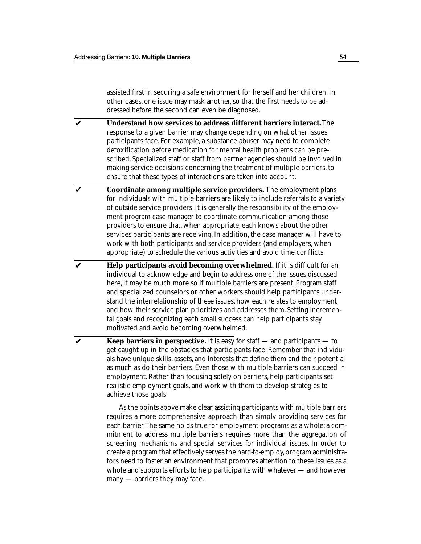assisted first in securing a safe environment for herself and her children. In other cases, one issue may mask another, so that the first needs to be addressed before the second can even be diagnosed.

- **Understand how services to address different barriers interact.** The response to a given barrier may change depending on what other issues participants face. For example, a substance abuser may need to complete detoxification before medication for mental health problems can be prescribed. Specialized staff or staff from partner agencies should be involved in making service decisions concerning the treatment of multiple barriers, to ensure that these types of interactions are taken into account. ✔
- **Coordinate among multiple service providers.** The employment plans for individuals with multiple barriers are likely to include referrals to a variety of outside service providers. It is generally the responsibility of the employment program case manager to coordinate communication among those providers to ensure that, when appropriate, each knows about the other services participants are receiving. In addition, the case manager will have to work with both participants and service providers (and employers, when appropriate) to schedule the various activities and avoid time conflicts. ✔
- **Help participants avoid becoming overwhelmed.** If it is difficult for an individual to acknowledge and begin to address one of the issues discussed here, it may be much more so if multiple barriers are present. Program staff and specialized counselors or other workers should help participants understand the interrelationship of these issues, how each relates to employment, and how their service plan prioritizes and addresses them. Setting incremental goals and recognizing each small success can help participants stay motivated and avoid becoming overwhelmed. ✔
- **Keep barriers in perspective.** It is easy for staff and participants to get caught up in the obstacles that participants face. Remember that individuals have unique skills, assets, and interests that define them and their potential as much as do their barriers. Even those with multiple barriers can succeed in employment. Rather than focusing solely on barriers, help participants set realistic employment goals, and work with them to develop strategies to achieve those goals. ✔

As the points above make clear, assisting participants with multiple barriers requires a more comprehensive approach than simply providing services for each barrier. The same holds true for employment programs as a whole: a commitment to address multiple barriers requires more than the aggregation of screening mechanisms and special services for individual issues. In order to create a program that effectively serves the hard-to-employ, program administrators need to foster an environment that promotes attention to these issues as a whole and supports efforts to help participants with whatever — and however many — barriers they may face.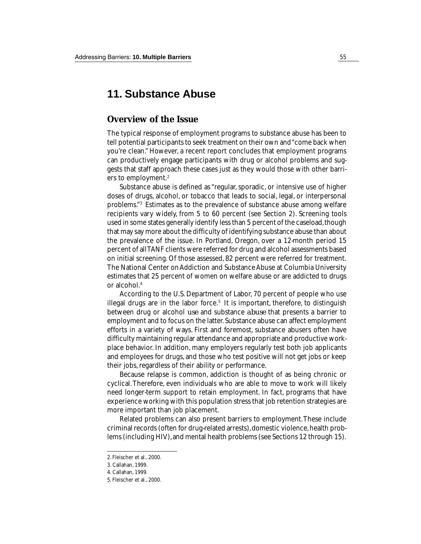# **11. Substance Abuse**

### **Overview of the Issue**

The typical response of employment programs to substance abuse has been to tell potential participants to seek treatment on their own and "come back when you're clean." However, a recent report concludes that employment programs can productively engage participants with drug or alcohol problems and suggests that staff approach these cases just as they would those with other barriers to employment.2

Substance abuse is defined as "regular, sporadic, or intensive use of higher doses of drugs, alcohol, or tobacco that leads to social, legal, or interpersonal problems."3 Estimates as to the prevalence of substance abuse among welfare recipients vary widely, from 5 to 60 percent (see Section 2). Screening tools used in some states generally identify less than 5 percent of the caseload, though that may say more about the difficulty of identifying substance abuse than about the prevalence of the issue. In Portland, Oregon, over a 12-month period 15 percent of all TANF clients were referred for drug and alcohol assessments based on initial screening. Of those assessed, 82 percent were referred for treatment. The National Center on Addiction and Substance Abuse at Columbia University estimates that 25 percent of women on welfare abuse or are addicted to drugs or alcohol.4

According to the U.S. Department of Labor, 70 percent of people who use illegal drugs are in the labor force.<sup>5</sup> It is important, therefore, to distinguish between drug or alcohol *use* and substance *abuse* that presents a barrier to employment and to focus on the latter. Substance abuse can affect employment efforts in a variety of ways. First and foremost, substance abusers often have difficulty maintaining regular attendance and appropriate and productive workplace behavior. In addition, many employers regularly test both job applicants and employees for drugs, and those who test positive will not get jobs or keep their jobs, regardless of their ability or performance.

Because relapse is common, addiction is thought of as being chronic or cyclical. Therefore, even individuals who are able to move to work will likely need longer-term support to retain employment. In fact, programs that have experience working with this population stress that job retention strategies are more important than job placement.

Related problems can also present barriers to employment. These include criminal records (often for drug-related arrests), domestic violence, health problems (including HIV), and mental health problems (see Sections 12 through 15).

<sup>2.</sup> Fleischer et al., 2000.

<sup>3.</sup> Callahan, 1999.

<sup>4.</sup> Callahan, 1999.

<sup>5.</sup> Fleischer et al., 2000.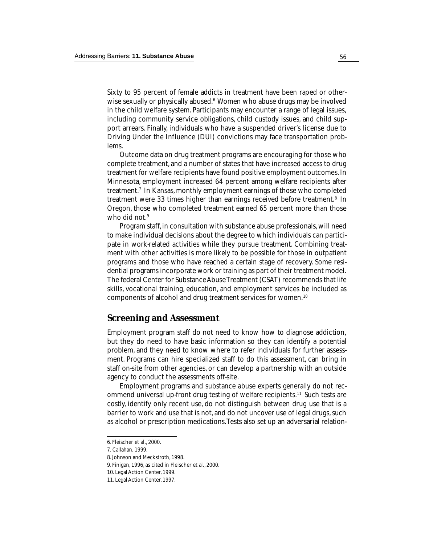Sixty to 95 percent of female addicts in treatment have been raped or otherwise sexually or physically abused.<sup>6</sup> Women who abuse drugs may be involved in the child welfare system. Participants may encounter a range of legal issues, including community service obligations, child custody issues, and child support arrears. Finally, individuals who have a suspended driver's license due to Driving Under the Influence (DUI) convictions may face transportation problems.

Outcome data on drug treatment programs are encouraging for those who complete treatment, and a number of states that have increased access to drug treatment for welfare recipients have found positive employment outcomes. In Minnesota, employment increased 64 percent among welfare recipients after treatment.7 In Kansas, monthly employment earnings of those who completed treatment were 33 times higher than earnings received before treatment.<sup>8</sup> In Oregon, those who completed treatment earned 65 percent more than those who did not.<sup>9</sup>

Program staff, in consultation with substance abuse professionals, will need to make individual decisions about the degree to which individuals can participate in work-related activities while they pursue treatment. Combining treatment with other activities is more likely to be possible for those in outpatient programs and those who have reached a certain stage of recovery. Some residential programs incorporate work or training as part of their treatment model. The federal Center for Substance Abuse Treatment (CSAT) recommends that life skills, vocational training, education, and employment services be included as components of alcohol and drug treatment services for women.10

### **Screening and Assessment**

Employment program staff do not need to know how to diagnose addiction, but they do need to have basic information so they can identify a potential problem, and they need to know where to refer individuals for further assessment. Programs can hire specialized staff to do this assessment, can bring in staff on-site from other agencies, or can develop a partnership with an outside agency to conduct the assessments off-site.

Employment programs and substance abuse experts generally do not recommend universal up-front drug testing of welfare recipients.<sup>11</sup> Such tests are costly, identify only recent use, do not distinguish between drug use that is a barrier to work and use that is not, and do not uncover use of legal drugs, such as alcohol or prescription medications. Tests also set up an adversarial relation-

<sup>6.</sup> Fleischer et al., 2000.

<sup>7.</sup> Callahan, 1999.

<sup>8.</sup> Johnson and Meckstroth, 1998.

<sup>9.</sup> Finigan, 1996, as cited in Fleischer et al., 2000.

<sup>10.</sup> Legal Action Center, 1999.

<sup>11.</sup> Legal Action Center, 1997.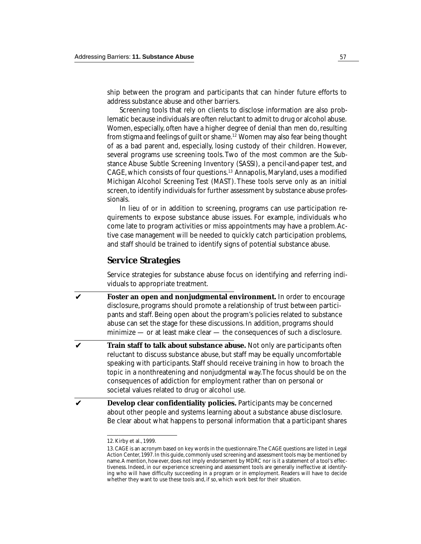ship between the program and participants that can hinder future efforts to address substance abuse and other barriers.

Screening tools that rely on clients to disclose information are also problematic because individuals are often reluctant to admit to drug or alcohol abuse. Women, especially, often have a higher degree of denial than men do, resulting from stigma and feelings of guilt or shame.12 Women may also fear being thought of as a bad parent and, especially, losing custody of their children. However, several programs use screening tools. Two of the most common are the Substance Abuse Subtle Screening Inventory (SASSI), a pencil-and-paper test, and CAGE, which consists of four questions.13 Annapolis, Maryland, uses a modified Michigan Alcohol Screening Test (MAST). These tools serve only as an initial screen, to identify individuals for further assessment by substance abuse professionals.

In lieu of or in addition to screening, programs can use participation requirements to expose substance abuse issues. For example, individuals who come late to program activities or miss appointments may have a problem. Active case management will be needed to quickly catch participation problems, and staff should be trained to identify signs of potential substance abuse.

### **Service Strategies**

Service strategies for substance abuse focus on identifying and referring individuals to appropriate treatment.

- ✔ **Foster an open and nonjudgmental environment.** In order to encourage disclosure, programs should promote a relationship of trust between participants and staff. Being open about the program's policies related to substance abuse can set the stage for these discussions. In addition, programs should minimize — or at least make clear — the consequences of such a disclosure.
- ✔ **Train staff to talk about substance abuse.** Not only are participants often reluctant to discuss substance abuse, but staff may be equally uncomfortable speaking with participants. Staff should receive training in how to broach the topic in a nonthreatening and nonjudgmental way. The focus should be on the consequences of addiction for employment rather than on personal or societal values related to drug or alcohol use.
- ✔ **Develop clear confidentiality policies.** Participants may be concerned about other people and systems learning about a substance abuse disclosure. Be clear about what happens to personal information that a participant shares

<sup>12.</sup> Kirby et al., 1999.

<sup>13.</sup> CAGE is an acronym based on key words in the questionnaire. The CAGE questions are listed in Legal Action Center, 1997. In this guide, commonly used screening and assessment tools may be mentioned by name. A mention, however, does not imply endorsement by MDRC nor is it a statement of a tool's effectiveness. Indeed, in our experience screening and assessment tools are generally ineffective at identifying who will have difficulty succeeding in a program or in employment. Readers will have to decide whether they want to use these tools and, if so, which work best for their situation.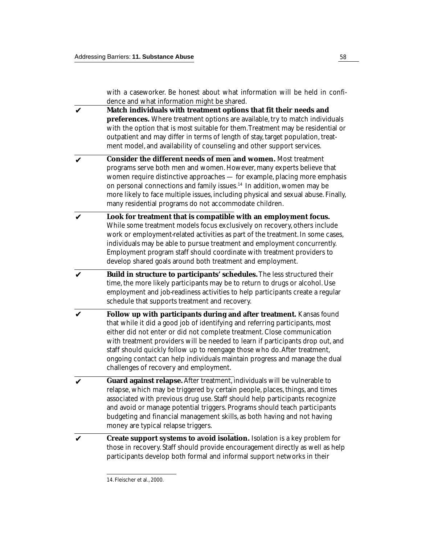with a caseworker. Be honest about what information will be held in confidence and what information might be shared.

- **Match individuals with treatment options that fit their needs and preferences.** Where treatment options are available, try to match individuals with the option that is most suitable for them. Treatment may be residential or outpatient and may differ in terms of length of stay, target population, treatment model, and availability of counseling and other support services. ✔
- **Consider the different needs of men and women.** Most treatment programs serve both men and women. However, many experts believe that women require distinctive approaches — for example, placing more emphasis on personal connections and family issues.14 In addition, women may be more likely to face multiple issues, including physical and sexual abuse. Finally, many residential programs do not accommodate children. ✔
- **Look for treatment that is compatible with an employment focus.** While some treatment models focus exclusively on recovery, others include work or employment-related activities as part of the treatment. In some cases, individuals may be able to pursue treatment and employment concurrently. Employment program staff should coordinate with treatment providers to develop shared goals around both treatment and employment. ✔
- **Build in structure to participants' schedules.** The less structured their time, the more likely participants may be to return to drugs or alcohol. Use employment and job-readiness activities to help participants create a regular schedule that supports treatment and recovery. ✔
- **Follow up with participants during and after treatment.** Kansas found that while it did a good job of identifying and referring participants, most either did not enter or did not complete treatment. Close communication with treatment providers will be needed to learn if participants drop out, and staff should quickly follow up to reengage those who do. After treatment, ongoing contact can help individuals maintain progress and manage the dual challenges of recovery and employment. ✔
- **Guard against relapse.** After treatment, individuals will be vulnerable to relapse, which may be triggered by certain people, places, things, and times associated with previous drug use. Staff should help participants recognize and avoid or manage potential triggers. Programs should teach participants budgeting and financial management skills, as both having and not having money are typical relapse triggers. ✔
- **Create support systems to avoid isolation.** Isolation is a key problem for those in recovery. Staff should provide encouragement directly as well as help participants develop both formal and informal support networks in their ✔

<sup>14.</sup> Fleischer et al., 2000.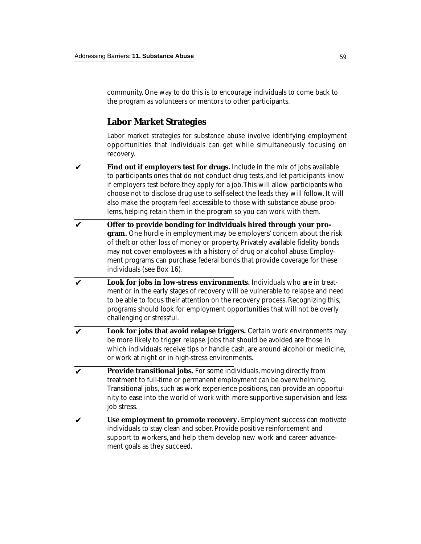community. One way to do this is to encourage individuals to come back to the program as volunteers or mentors to other participants.

### **Labor Market Strategies**

Labor market strategies for substance abuse involve identifying employment opportunities that individuals can get while simultaneously focusing on recovery.

- **Find out if employers test for drugs.** Include in the mix of jobs available to participants ones that do not conduct drug tests, and let participants know if employers test before they apply for a job. This will allow participants who choose not to disclose drug use to self-select the leads they will follow. It will also make the program feel accessible to those with substance abuse problems, helping retain them in the program so you can work with them. ✔
- **Offer to provide bonding for individuals hired through your program.** One hurdle in employment may be employers' concern about the risk of theft or other loss of money or property. Privately available fidelity bonds may not cover employees with a history of drug or alcohol abuse. Employment programs can purchase federal bonds that provide coverage for these individuals (see Box 16). ✔
- **Look for jobs in low-stress environments.** Individuals who are in treatment or in the early stages of recovery will be vulnerable to relapse and need to be able to focus their attention on the recovery process. Recognizing this, programs should look for employment opportunities that will not be overly challenging or stressful. ✔
- **Look for jobs that avoid relapse triggers.** Certain work environments may be more likely to trigger relapse. Jobs that should be avoided are those in which individuals receive tips or handle cash, are around alcohol or medicine, or work at night or in high-stress environments. ✔
- **Provide transitional jobs.** For some individuals, moving directly from treatment to full-time or permanent employment can be overwhelming. Transitional jobs, such as work experience positions, can provide an opportunity to ease into the world of work with more supportive supervision and less job stress. ✔
- **Use employment to promote recovery.** Employment success can motivate individuals to stay clean and sober. Provide positive reinforcement and support to workers, and help them develop new work and career advancement goals as they succeed. ✔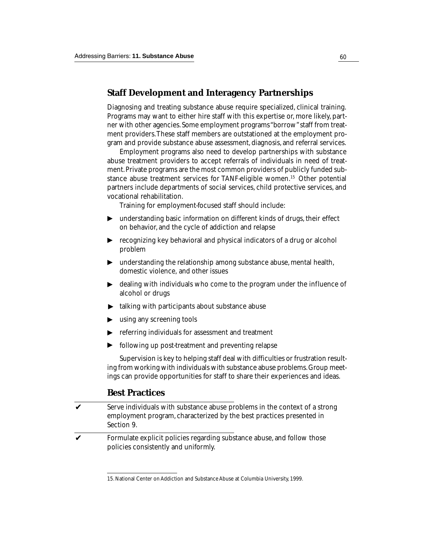### **Staff Development and Interagency Partnerships**

Diagnosing and treating substance abuse require specialized, clinical training. Programs may want to either hire staff with this expertise or, more likely, partner with other agencies. Some employment programs "borrow" staff from treatment providers. These staff members are outstationed at the employment program and provide substance abuse assessment, diagnosis, and referral services.

Employment programs also need to develop partnerships with substance abuse treatment providers to accept referrals of individuals in need of treatment. Private programs are the most common providers of publicly funded substance abuse treatment services for TANF-eligible women.15 Other potential partners include departments of social services, child protective services, and vocational rehabilitation.

Training for employment-focused staff should include:

- understanding basic information on different kinds of drugs, their effect on behavior, and the cycle of addiction and relapse ▼
- ▶ ▼ ▼ recognizing key behavioral and physical indicators of a drug or alcohol problem
- understanding the relationship among substance abuse, mental health, ▶ domestic violence, and other issues
- dealing with individuals who come to the program under the influence of alcohol or drugs ▼
- talking with participants about substance abuse ▼
- using any screening tools ▼
- referring individuals for assessment and treatment ▼
- following up post-treatment and preventing relapse ▼

Supervision is key to helping staff deal with difficulties or frustration resulting from working with individuals with substance abuse problems. Group meetings can provide opportunities for staff to share their experiences and ideas.

### **Best Practices**

- Serve individuals with substance abuse problems in the context of a strong employment program, characterized by the best practices presented in Section 9. ✔
- Formulate explicit policies regarding substance abuse, and follow those policies consistently and uniformly. ✔

<sup>15.</sup> National Center on Addiction and Substance Abuse at Columbia University, 1999.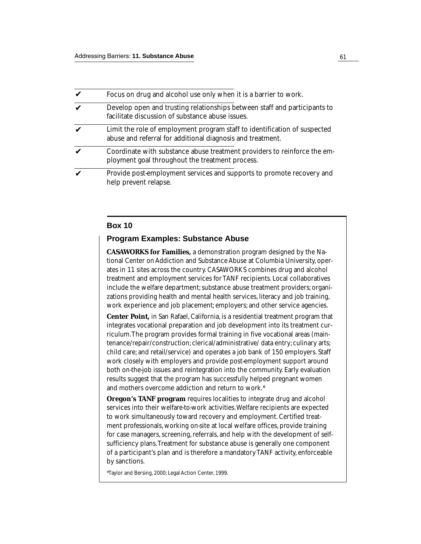| Focus on drug and alcohol use only when it is a barrier to work.                                                                        |
|-----------------------------------------------------------------------------------------------------------------------------------------|
| Develop open and trusting relationships between staff and participants to<br>facilitate discussion of substance abuse issues.           |
| Limit the role of employment program staff to identification of suspected<br>abuse and referral for additional diagnosis and treatment. |
| Coordinate with substance abuse treatment providers to reinforce the em-<br>ployment goal throughout the treatment process.             |
| Provide post-employment services and supports to promote recovery and<br>help prevent relapse.                                          |

#### **Box 10**

#### **Program Examples: Substance Abuse**

**CASAWORKS for Families,** a demonstration program designed by the National Center on Addiction and Substance Abuse at Columbia University, operates in 11 sites across the country. CASAWORKS combines drug and alcohol treatment and employment services for TANF recipients. Local collaboratives include the welfare department; substance abuse treatment providers; organizations providing health and mental health services, literacy and job training, work experience and job placement; employers; and other service agencies.

**Center Point,** in San Rafael, California, is a residential treatment program that integrates vocational preparation and job development into its treatment curriculum. The program provides formal training in five vocational areas (maintenance/repair/construction; clerical/administrative/ data entry; culinary arts; child care; and retail/service) and operates a job bank of 150 employers. Staff work closely with employers and provide post-employment support around both on-the-job issues and reintegration into the community. Early evaluation results suggest that the program has successfully helped pregnant women and mothers overcome addiction and return to work.\*

**Oregon's TANF program** requires localities to integrate drug and alcohol services into their welfare-to-work activities. Welfare recipients are expected to work simultaneously toward recovery and employment. Certified treatment professionals, working on-site at local welfare offices, provide training for case managers, screening, referrals, and help with the development of selfsufficiency plans. Treatment for substance abuse is generally one component of a participant's plan and is therefore a mandatory TANF activity, enforceable by sanctions.

\*Taylor and Bersing, 2000; Legal Action Center, 1999.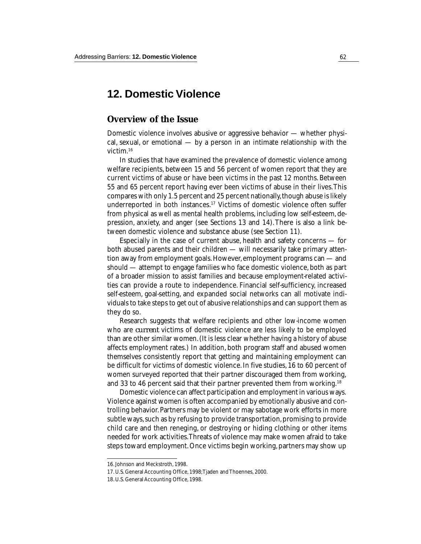# **12. Domestic Violence**

### **Overview of the Issue**

Domestic violence involves abusive or aggressive behavior — whether physical, sexual, or emotional — by a person in an intimate relationship with the victim.16

In studies that have examined the prevalence of domestic violence among welfare recipients, between 15 and 56 percent of women report that they are current victims of abuse or have been victims in the past 12 months. Between 55 and 65 percent report having ever been victims of abuse in their lives. This compares with only 1.5 percent and 25 percent nationally, though abuse is likely underreported in both instances.17 Victims of domestic violence often suffer from physical as well as mental health problems, including low self-esteem, depression, anxiety, and anger (see Sections 13 and 14). There is also a link between domestic violence and substance abuse (see Section 11).

Especially in the case of current abuse, health and safety concerns — for both abused parents and their children — will necessarily take primary attention away from employment goals. However, employment programs can — and should — attempt to engage families who face domestic violence, both as part of a broader mission to assist families and because employment-related activities can provide a route to independence. Financial self-sufficiency, increased self-esteem, goal-setting, and expanded social networks can all motivate individuals to take steps to get out of abusive relationships and can support them as they do so.

Research suggests that welfare recipients and other low-income women who are *current* victims of domestic violence are less likely to be employed than are other similar women. (It is less clear whether having a history of abuse affects employment rates.) In addition, both program staff and abused women themselves consistently report that getting and maintaining employment can be difficult for victims of domestic violence. In five studies, 16 to 60 percent of women surveyed reported that their partner discouraged them from working, and 33 to 46 percent said that their partner prevented them from working.<sup>18</sup>

Domestic violence can affect participation and employment in various ways. Violence against women is often accompanied by emotionally abusive and controlling behavior. Partners may be violent or may sabotage work efforts in more subtle ways, such as by refusing to provide transportation, promising to provide child care and then reneging, or destroying or hiding clothing or other items needed for work activities. Threats of violence may make women afraid to take steps toward employment. Once victims begin working, partners may show up

<sup>16.</sup> Johnson and Meckstroth, 1998.

<sup>17.</sup> U.S. General Accounting Office, 1998; Tjaden and Thoennes, 2000.

<sup>18.</sup> U.S. General Accounting Office, 1998.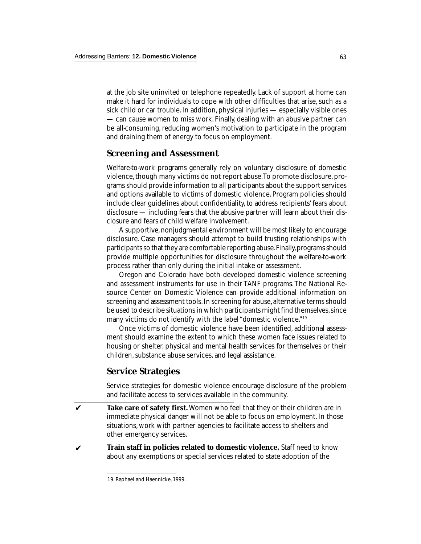at the job site uninvited or telephone repeatedly. Lack of support at home can make it hard for individuals to cope with other difficulties that arise, such as a sick child or car trouble. In addition, physical injuries — especially visible ones — can cause women to miss work. Finally, dealing with an abusive partner can be all-consuming, reducing women's motivation to participate in the program and draining them of energy to focus on employment.

### **Screening and Assessment**

Welfare-to-work programs generally rely on voluntary disclosure of domestic violence, though many victims do not report abuse. To promote disclosure, programs should provide information to all participants about the support services and options available to victims of domestic violence. Program policies should include clear guidelines about confidentiality, to address recipients' fears about disclosure — including fears that the abusive partner will learn about their disclosure and fears of child welfare involvement.

A supportive, nonjudgmental environment will be most likely to encourage disclosure. Case managers should attempt to build trusting relationships with participants so that they are comfortable reporting abuse. Finally, programs should provide multiple opportunities for disclosure throughout the welfare-to-work process rather than only during the initial intake or assessment.

Oregon and Colorado have both developed domestic violence screening and assessment instruments for use in their TANF programs. The National Resource Center on Domestic Violence can provide additional information on screening and assessment tools. In screening for abuse, alternative terms should be used to describe situations in which participants might find themselves, since many victims do not identify with the label "domestic violence."<sup>19</sup>

Once victims of domestic violence have been identified, additional assessment should examine the extent to which these women face issues related to housing or shelter, physical and mental health services for themselves or their children, substance abuse services, and legal assistance.

### **Service Strategies**

Service strategies for domestic violence encourage disclosure of the problem and facilitate access to services available in the community.

**Take care of safety first.** Women who feel that they or their children are in immediate physical danger will not be able to focus on employment. In those situations, work with partner agencies to facilitate access to shelters and other emergency services. ✔

**Train staff in policies related to domestic violence.** Staff need to know about any exemptions or special services related to state adoption of the

✔

<sup>19.</sup> Raphael and Haennicke, 1999.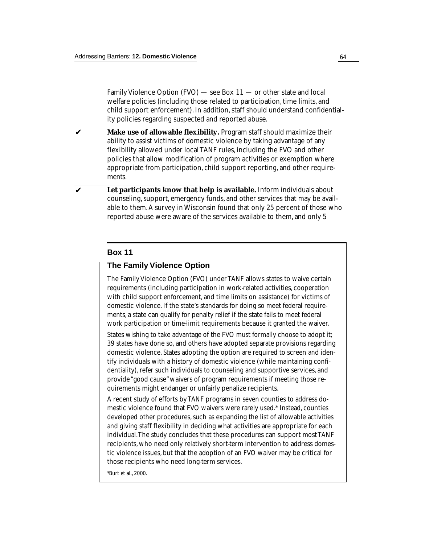Family Violence Option (FVO) — see Box 11 — or other state and local welfare policies (including those related to participation, time limits, and child support enforcement). In addition, staff should understand confidentiality policies regarding suspected and reported abuse.

- **Make use of allowable flexibility.** Program staff should maximize their ability to assist victims of domestic violence by taking advantage of any flexibility allowed under local TANF rules, including the FVO and other policies that allow modification of program activities or exemption where appropriate from participation, child support reporting, and other requirements. ✔
- **Let participants know that help is available.** Inform individuals about counseling, support, emergency funds, and other services that may be available to them. A survey in Wisconsin found that only 25 percent of those who reported abuse were aware of the services available to them, and only 5 ✔

#### **Box 11**

#### **The Family Violence Option**

The Family Violence Option (FVO) under TANF allows states to waive certain requirements (including participation in work-related activities, cooperation with child support enforcement, and time limits on assistance) for victims of domestic violence. If the state's standards for doing so meet federal requirements, a state can qualify for penalty relief if the state fails to meet federal work participation or time-limit requirements because it granted the waiver.

States wishing to take advantage of the FVO must formally choose to adopt it; 39 states have done so, and others have adopted separate provisions regarding domestic violence. States adopting the option are required to screen and identify individuals with a history of domestic violence (while maintaining confidentiality), refer such individuals to counseling and supportive services, and provide "good cause" waivers of program requirements if meeting those requirements might endanger or unfairly penalize recipients.

A recent study of efforts by TANF programs in seven counties to address domestic violence found that FVO waivers were rarely used.\* Instead, counties developed other procedures, such as expanding the list of allowable activities and giving staff flexibility in deciding what activities are appropriate for each individual. The study concludes that these procedures can support most TANF recipients, who need only relatively short-term intervention to address domestic violence issues, but that the adoption of an FVO waiver may be critical for those recipients who need long-term services.

\*Burt et al., 2000.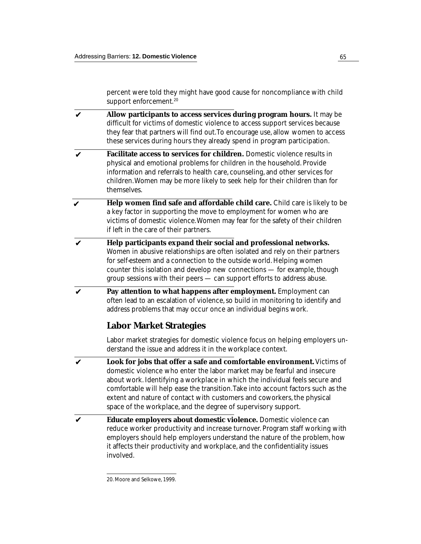percent were told they might have good cause for noncompliance with child support enforcement.<sup>20</sup>

- **Allow participants to access services during program hours.** It may be difficult for victims of domestic violence to access support services because they fear that partners will find out. To encourage use, allow women to access these services during hours they already spend in program participation. ✔
- **Facilitate access to services for children.** Domestic violence results in physical and emotional problems for children in the household. Provide information and referrals to health care, counseling, and other services for children. Women may be more likely to seek help for their children than for themselves. ✔
- **Help women find safe and affordable child care.** Child care is likely to be a key factor in supporting the move to employment for women who are victims of domestic violence. Women may fear for the safety of their children if left in the care of their partners. ✔
- **Help participants expand their social and professional networks.** Women in abusive relationships are often isolated and rely on their partners for self-esteem and a connection to the outside world. Helping women counter this isolation and develop new connections — for example, though group sessions with their peers — can support efforts to address abuse. ✔
- **Pay attention to what happens after employment.** Employment can often lead to an escalation of violence, so build in monitoring to identify and address problems that may occur once an individual begins work. ✔

# **Labor Market Strategies**

Labor market strategies for domestic violence focus on helping employers understand the issue and address it in the workplace context.

- **Look for jobs that offer a safe and comfortable environment.** Victims of domestic violence who enter the labor market may be fearful and insecure about work. Identifying a workplace in which the individual feels secure and comfortable will help ease the transition. Take into account factors such as the extent and nature of contact with customers and coworkers, the physical space of the workplace, and the degree of supervisory support. ✔
- **Educate employers about domestic violence.** Domestic violence can reduce worker productivity and increase turnover. Program staff working with employers should help employers understand the nature of the problem, how it affects their productivity and workplace, and the confidentiality issues involved. ✔

<sup>20.</sup> Moore and Selkowe, 1999.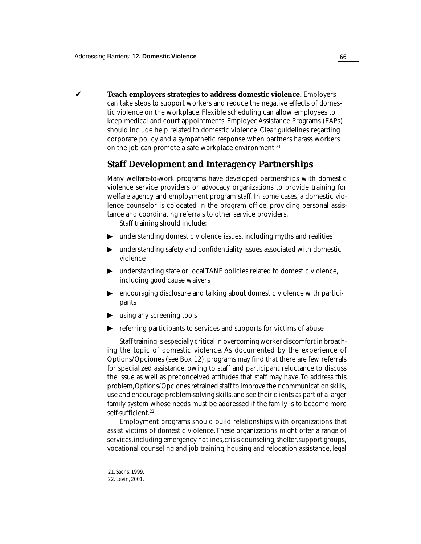**Teach employers strategies to address domestic violence.** Employers can take steps to support workers and reduce the negative effects of domestic violence on the workplace. Flexible scheduling can allow employees to keep medical and court appointments. Employee Assistance Programs (EAPs) should include help related to domestic violence. Clear guidelines regarding corporate policy and a sympathetic response when partners harass workers on the job can promote a safe workplace environment.<sup>21</sup>  $\boldsymbol{\nu}$ 

## **Staff Development and Interagency Partnerships**

Many welfare-to-work programs have developed partnerships with domestic violence service providers or advocacy organizations to provide training for welfare agency and employment program staff. In some cases, a domestic violence counselor is colocated in the program office, providing personal assistance and coordinating referrals to other service providers.

Staff training should include:

- understanding domestic violence issues, including myths and realities
- $\blacktriangleright$ understanding safety and confidentiality issues associated with domestic violence
- understanding state or local TANF policies related to domestic violence, including good cause waivers  $\blacktriangleright$
- encouraging disclosure and talking about domestic violence with participants ▼ ▼
- using any screening tools
- referring participants to services and supports for victims of abuse  $\blacktriangleright$

Staff training is especially critical in overcoming worker discomfort in broaching the topic of domestic violence. As documented by the experience of Options/Opciones (see Box 12), programs may find that there are few referrals for specialized assistance, owing to staff and participant reluctance to discuss the issue as well as preconceived attitudes that staff may have. To address this problem, Options/Opciones retrained staff to improve their communication skills, use and encourage problem-solving skills, and see their clients as part of a larger family system whose needs must be addressed if the family is to become more self-sufficient.<sup>22</sup> → understa<br>
violence<br>
→ understa<br>
violence<br>
understa<br>
includin<br>
encoura<br>
pants<br>
susing am<br>
referring<br>
Staff trai<br>
ing the top<br>
Options/Op<br>
for specializ<br>
the issue as<br>
problem, Op<br>
use and enco<br>
services, incl<br>
services,

Employment programs should build relationships with organizations that assist victims of domestic violence. These organizations might offer a range of services, including emergency hotlines, crisis counseling, shelter, support groups, vocational counseling and job training, housing and relocation assistance, legal

<sup>21.</sup> Sachs, 1999.

<sup>22.</sup> Levin, 2001.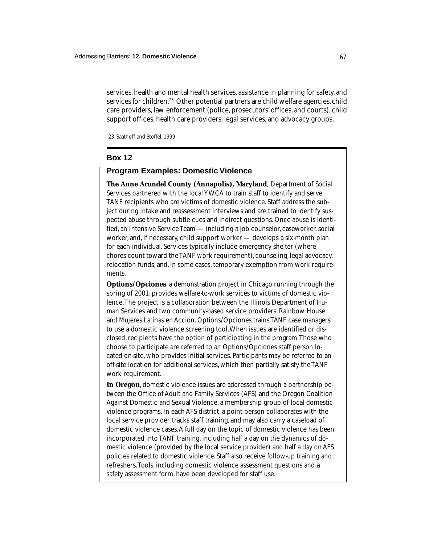services, health and mental health services, assistance in planning for safety, and services for children.<sup>23</sup> Other potential partners are child welfare agencies, child care providers, law enforcement (police, prosecutors' offices, and courts), child support offices, health care providers, legal services, and advocacy groups.

23. Saathoff and Stoffel, 1999.

#### **Box 12**

#### **Program Examples: Domestic Violence**

**The Anne Arundel County (Annapolis), Maryland**, Department of Social Services partnered with the local YWCA to train staff to identify and serve TANF recipients who are victims of domestic violence. Staff address the subject during intake and reassessment interviews and are trained to identify suspected abuse through subtle cues and indirect questions. Once abuse is identified, an Intensive Service Team — including a job counselor, caseworker, social worker, and, if necessary, child support worker — develops a six-month plan for each individual. Services typically include emergency shelter (where chores count toward the TANF work requirement), counseling, legal advocacy, relocation funds, and, in some cases, temporary exemption from work requirements.

**Options/Opciones**, a demonstration project in Chicago running through the spring of 2001, provides welfare-to-work services to victims of domestic violence. The project is a collaboration between the Illinois Department of Human Services and two community-based service providers: Rainbow House and Mujeres Latinas en Acción. Options/Opciones trains TANF case managers to use a domestic violence screening tool. When issues are identified or disclosed, recipients have the option of participating in the program. Those who choose to participate are referred to an Options/Opciones staff person located on-site, who provides initial services. Participants may be referred to an off-site location for additional services, which then partially satisfy the TANF work requirement.

**In Oregon**, domestic violence issues are addressed through a partnership between the Office of Adult and Family Services (AFS) and the Oregon Coalition Against Domestic and Sexual Violence, a membership group of local domestic violence programs. In each AFS district, a point person collaborates with the local service provider, tracks staff training, and may also carry a caseload of domestic violence cases. A full day on the topic of domestic violence has been incorporated into TANF training, including half a day on the dynamics of domestic violence (provided by the local service provider) and half a day on AFS policies related to domestic violence. Staff also receive follow-up training and refreshers. Tools, including domestic violence assessment questions and a safety assessment form, have been developed for staff use.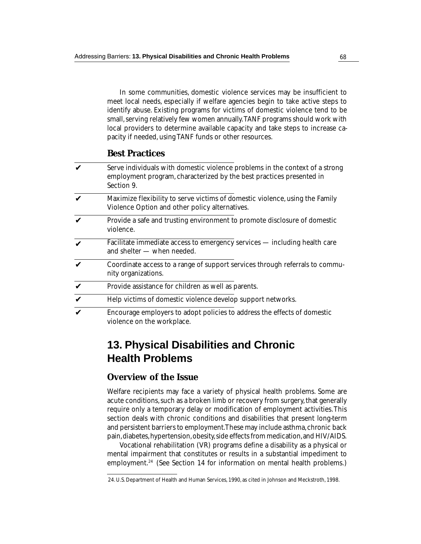In some communities, domestic violence services may be insufficient to meet local needs, especially if welfare agencies begin to take active steps to identify abuse. Existing programs for victims of domestic violence tend to be small, serving relatively few women annually. TANF programs should work with local providers to determine available capacity and take steps to increase capacity if needed, using TANF funds or other resources.

## **Best Practices**

| V | Serve individuals with domestic violence problems in the context of a strong<br>employment program, characterized by the best practices presented in<br>Section 9. |
|---|--------------------------------------------------------------------------------------------------------------------------------------------------------------------|
| V | Maximize flexibility to serve victims of domestic violence, using the Family<br>Violence Option and other policy alternatives.                                     |
| V | Provide a safe and trusting environment to promote disclosure of domestic<br>violence.                                                                             |
| V | Facilitate immediate access to emergency services — including health care<br>and shelter - when needed.                                                            |
| V | Coordinate access to a range of support services through referrals to commu-<br>nity organizations.                                                                |
| V | Provide assistance for children as well as parents.                                                                                                                |
| V | Help victims of domestic violence develop support networks.                                                                                                        |
| V | Encourage employers to adopt policies to address the effects of domestic<br>violence on the workplace.                                                             |

# **13. Physical Disabilities and Chronic Health Problems**

## **Overview of the Issue**

Welfare recipients may face a variety of physical health problems. Some are acute conditions, such as a broken limb or recovery from surgery, that generally require only a temporary delay or modification of employment activities. This section deals with chronic conditions and disabilities that present long-term and persistent barriers to employment. These may include asthma, chronic back pain, diabetes, hypertension, obesity, side effects from medication, and HIV/AIDS.

Vocational rehabilitation (VR) programs define a disability as a physical or mental impairment that constitutes or results in a substantial impediment to employment.<sup>24</sup> (See Section 14 for information on mental health problems.)

<sup>24.</sup> U.S. Department of Health and Human Services, 1990, as cited in Johnson and Meckstroth, 1998.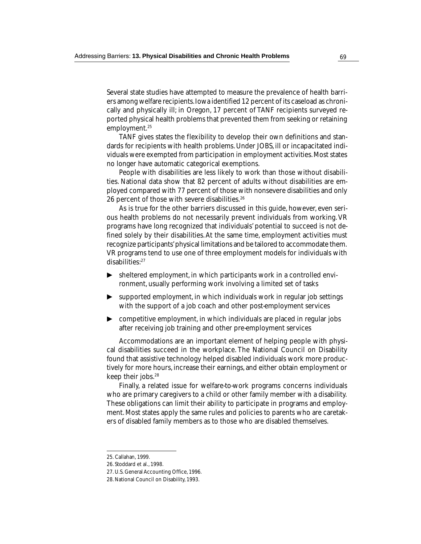Several state studies have attempted to measure the prevalence of health barriers among welfare recipients. Iowa identified 12 percent of its caseload as chronically and physically ill; in Oregon, 17 percent of TANF recipients surveyed reported physical health problems that prevented them from seeking or retaining employment.<sup>25</sup>

TANF gives states the flexibility to develop their own definitions and standards for recipients with health problems. Under JOBS, ill or incapacitated individuals were exempted from participation in employment activities. Most states no longer have automatic categorical exemptions.

People with disabilities are less likely to work than those without disabilities. National data show that 82 percent of adults without disabilities are employed compared with 77 percent of those with nonsevere disabilities and only 26 percent of those with severe disabilities.26

As is true for the other barriers discussed in this guide, however, even serious health problems do not necessarily prevent individuals from working. VR programs have long recognized that individuals' potential to succeed is not defined solely by their disabilities. At the same time, employment activities must recognize participants' physical limitations and be tailored to accommodate them. VR programs tend to use one of three employment models for individuals with disabilities:27

- $\blacktriangleright$ ▼ ▼ sheltered employment, in which participants work in a controlled environment, usually performing work involving a limited set of tasks
- supported employment, in which individuals work in regular job settings ▶ with the support of a job coach and other post-employment services
- competitive employment, in which individuals are placed in regular jobs after receiving job training and other pre-employment services ▼

Accommodations are an important element of helping people with physical disabilities succeed in the workplace. The National Council on Disability found that assistive technology helped disabled individuals work more productively for more hours, increase their earnings, and either obtain employment or keep their jobs.<sup>28</sup>

Finally, a related issue for welfare-to-work programs concerns individuals who are primary caregivers to a child or other family member with a disability. These obligations can limit their ability to participate in programs and employment. Most states apply the same rules and policies to parents who are caretakers of disabled family members as to those who are disabled themselves.

<sup>25.</sup> Callahan, 1999.

<sup>26.</sup> Stoddard et al., 1998.

<sup>27.</sup> U.S. General Accounting Office, 1996.

<sup>28.</sup> National Council on Disability, 1993.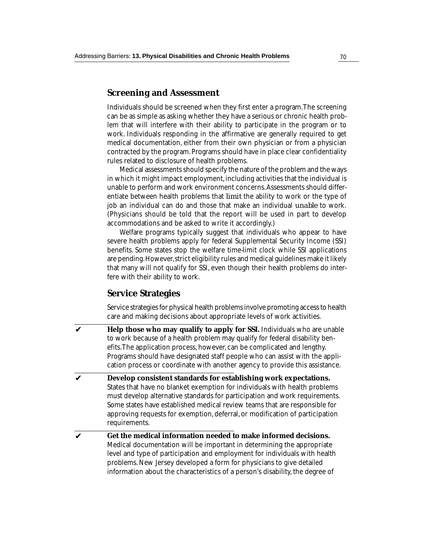#### **Screening and Assessment**

Individuals should be screened when they first enter a program. The screening can be as simple as asking whether they have a serious or chronic health problem that will interfere with their ability to participate in the program or to work. Individuals responding in the affirmative are generally required to get medical documentation, either from their own physician or from a physician contracted by the program. Programs should have in place clear confidentiality rules related to disclosure of health problems.

Medical assessments should specify the nature of the problem and the ways in which it might impact employment, including activities that the individual is unable to perform and work environment concerns. Assessments should differentiate between health problems that *limit* the ability to work or the type of job an individual can do and those that make an individual *unable* to work. (Physicians should be told that the report will be used in part to develop accommodations and be asked to write it accordingly.)

Welfare programs typically suggest that individuals who appear to have severe health problems apply for federal Supplemental Security Income (SSI) benefits. Some states stop the welfare time-limit clock while SSI applications are pending. However, strict eligibility rules and medical guidelines make it likely that many will not qualify for SSI, even though their health problems do interfere with their ability to work.

## **Service Strategies**

Service strategies for physical health problems involve promoting access to health care and making decisions about appropriate levels of work activities.

- **Help those who may qualify to apply for SSI.** Individuals who are unable to work because of a health problem may qualify for federal disability benefits. The application process, however, can be complicated and lengthy. Programs should have designated staff people who can assist with the application process or coordinate with another agency to provide this assistance. ✔
- **Develop consistent standards for establishing work expectations.** States that have no blanket exemption for individuals with health problems must develop alternative standards for participation and work requirements. Some states have established medical review teams that are responsible for approving requests for exemption, deferral, or modification of participation requirements. ✔
- **Get the medical information needed to make informed decisions.** Medical documentation will be important in determining the appropriate level and type of participation and employment for individuals with health problems. New Jersey developed a form for physicians to give detailed information about the characteristics of a person's disability, the degree of ✔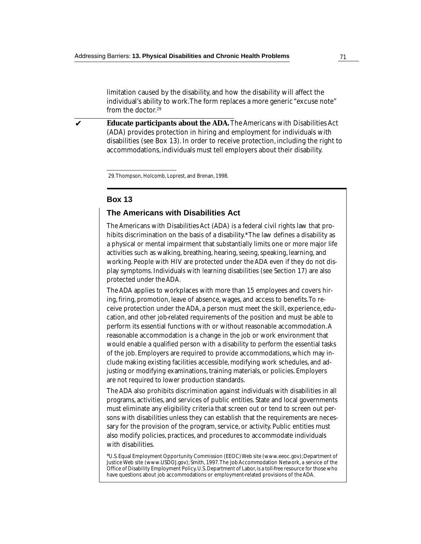limitation caused by the disability, and how the disability will affect the individual's ability to work. The form replaces a more generic "excuse note" from the doctor.29

**Educate participants about the ADA.** The Americans with Disabilities Act (ADA) provides protection in hiring and employment for individuals with disabilities (see Box 13). In order to receive protection, including the right to accommodations, individuals must tell employers about their disability. ✔

29. Thompson, Holcomb, Loprest, and Brenan, 1998.

#### **Box 13**

#### **The Americans with Disabilities Act**

The Americans with Disabilities Act (ADA) is a federal civil rights law that prohibits discrimination on the basis of a disability.\* The law defines a disability as a physical or mental impairment that substantially limits one or more major life activities such as walking, breathing, hearing, seeing, speaking, learning, and working. People with HIV are protected under the ADA even if they do not display symptoms. Individuals with learning disabilities (see Section 17) are also protected under the ADA.

The ADA applies to workplaces with more than 15 employees and covers hiring, firing, promotion, leave of absence, wages, and access to benefits. To receive protection under the ADA, a person must meet the skill, experience, education, and other job-related requirements of the position and must be able to perform its essential functions with or without reasonable accommodation. A reasonable accommodation is a change in the job or work environment that would enable a qualified person with a disability to perform the essential tasks of the job. Employers are required to provide accommodations, which may include making existing facilities accessible, modifying work schedules, and adjusting or modifying examinations, training materials, or policies. Employers are not required to lower production standards.

The ADA also prohibits discrimination against individuals with disabilities in all programs, activities, and services of public entities. State and local governments must eliminate any eligibility criteria that screen out or tend to screen out persons with disabilities unless they can establish that the requirements are necessary for the provision of the program, service, or activity. Public entities must also modify policies, practices, and procedures to accommodate individuals with disabilities.

<sup>\*</sup>U.S. Equal Employment Opportunity Commission (EEOC) Web site (www.eeoc.gov); Department of Justice Web site (www.USDOJ.gov); Smith, 1997. The Job Accommodation Network, a service of the Office of Disability Employment Policy, U.S. Department of Labor, is a toll-free resource for those who have questions about job accommodations or employment-related provisions of the ADA.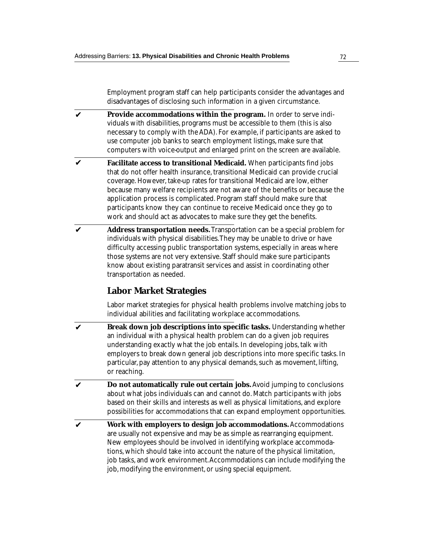Employment program staff can help participants consider the advantages and disadvantages of disclosing such information in a given circumstance.

- **Provide accommodations within the program.** In order to serve individuals with disabilities, programs must be accessible to them (this is also necessary to comply with the ADA). For example, if participants are asked to use computer job banks to search employment listings, make sure that computers with voice-output and enlarged print on the screen are available. ✔
- **Facilitate access to transitional Medicaid.** When participants find jobs that do not offer health insurance, transitional Medicaid can provide crucial coverage. However, take-up rates for transitional Medicaid are low, either because many welfare recipients are not aware of the benefits or because the application process is complicated. Program staff should make sure that participants know they can continue to receive Medicaid once they go to work and should act as advocates to make sure they get the benefits. ✔
- **Address transportation needs.** Transportation can be a special problem for individuals with physical disabilities. They may be unable to drive or have difficulty accessing public transportation systems, especially in areas where those systems are not very extensive. Staff should make sure participants know about existing paratransit services and assist in coordinating other transportation as needed. ✔

# **Labor Market Strategies**

Labor market strategies for physical health problems involve matching jobs to individual abilities and facilitating workplace accommodations.

- **Break down job descriptions into specific tasks.** Understanding whether an individual with a physical health problem can do a given job requires understanding exactly what the job entails. In developing jobs, talk with employers to break down general job descriptions into more specific tasks. In particular, pay attention to any physical demands, such as movement, lifting, or reaching. ✔
- **Do not automatically rule out certain jobs.** Avoid jumping to conclusions about what jobs individuals can and cannot do. Match participants with jobs based on their skills and interests as well as physical limitations, and explore possibilities for accommodations that can expand employment opportunities. ✔
- **Work with employers to design job accommodations.** Accommodations are usually not expensive and may be as simple as rearranging equipment. New employees should be involved in identifying workplace accommodations, which should take into account the nature of the physical limitation, job tasks, and work environment. Accommodations can include modifying the job, modifying the environment, or using special equipment. ✔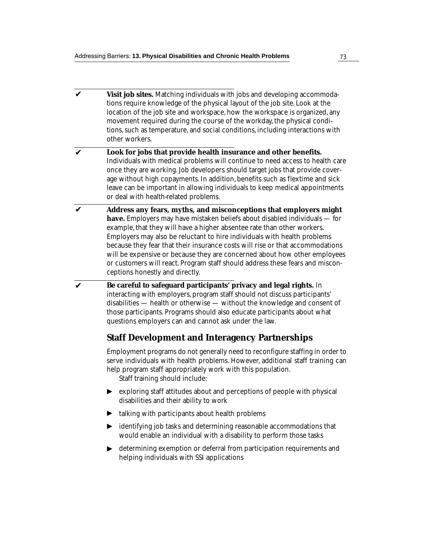**Visit job sites.** Matching individuals with jobs and developing accommodations require knowledge of the physical layout of the job site. Look at the location of the job site and workspace, how the workspace is organized, any movement required during the course of the workday, the physical conditions, such as temperature, and social conditions, including interactions with other workers. ✔

#### **Look for jobs that provide health insurance and other benefits.** Individuals with medical problems will continue to need access to health care once they are working. Job developers should target jobs that provide coverage without high copayments. In addition, benefits such as flextime and sick leave can be important in allowing individuals to keep medical appointments or deal with health-related problems. ✔

- **Address any fears, myths, and misconceptions that employers might have.** Employers may have mistaken beliefs about disabled individuals — for example, that they will have a higher absentee rate than other workers. Employers may also be reluctant to hire individuals with health problems because they fear that their insurance costs will rise or that accommodations will be expensive or because they are concerned about how other employees or customers will react. Program staff should address these fears and misconceptions honestly and directly. ✔
- **Be careful to safeguard participants' privacy and legal rights.** In interacting with employers, program staff should not discuss participants' disabilities — health or otherwise — without the knowledge and consent of those participants. Programs should also educate participants about what questions employers can and cannot ask under the law.  $\boldsymbol{\nu}$

## **Staff Development and Interagency Partnerships**

Employment programs do not generally need to reconfigure staffing in order to serve individuals with health problems. However, additional staff training can help program staff appropriately work with this population.

Staff training should include:

- $\blacktriangleright$ ▼ ▼ exploring staff attitudes about and perceptions of people with physical disabilities and their ability to work
- talking with participants about health problems
- identifying job tasks and determining reasonable accommodations that would enable an individual with a disability to perform those tasks ▼
- determining exemption or deferral from participation requirements and helping individuals with SSI applications ▼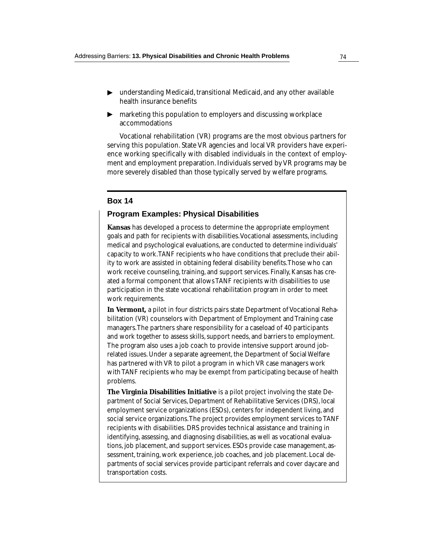- ▶ understanding Medicaid, transitional Medicaid, and any other available health insurance benefits
- marketing this population to employers and discussing workplace accommodations ▼

Vocational rehabilitation (VR) programs are the most obvious partners for serving this population. State VR agencies and local VR providers have experience working specifically with disabled individuals in the context of employment and employment preparation. Individuals served by VR programs may be more severely disabled than those typically served by welfare programs.

#### **Box 14**

#### **Program Examples: Physical Disabilities**

**Kansas** has developed a process to determine the appropriate employment goals and path for recipients with disabilities. Vocational assessments, including medical and psychological evaluations, are conducted to determine individuals' capacity to work. TANF recipients who have conditions that preclude their ability to work are assisted in obtaining federal disability benefits. Those who can work receive counseling, training, and support services. Finally, Kansas has created a formal component that allows TANF recipients with disabilities to use participation in the state vocational rehabilitation program in order to meet work requirements.

**In Vermont,** a pilot in four districts pairs state Department of Vocational Rehabilitation (VR) counselors with Department of Employment and Training case managers. The partners share responsibility for a caseload of 40 participants and work together to assess skills, support needs, and barriers to employment. The program also uses a job coach to provide intensive support around jobrelated issues. Under a separate agreement, the Department of Social Welfare has partnered with VR to pilot a program in which VR case managers work with TANF recipients who may be exempt from participating because of health problems.

**The Virginia Disabilities Initiative** is a pilot project involving the state Department of Social Services, Department of Rehabilitative Services (DRS), local employment service organizations (ESOs), centers for independent living, and social service organizations. The project provides employment services to TANF recipients with disabilities. DRS provides technical assistance and training in identifying, assessing, and diagnosing disabilities, as well as vocational evaluations, job placement, and support services. ESOs provide case management, assessment, training, work experience, job coaches, and job placement. Local departments of social services provide participant referrals and cover daycare and transportation costs.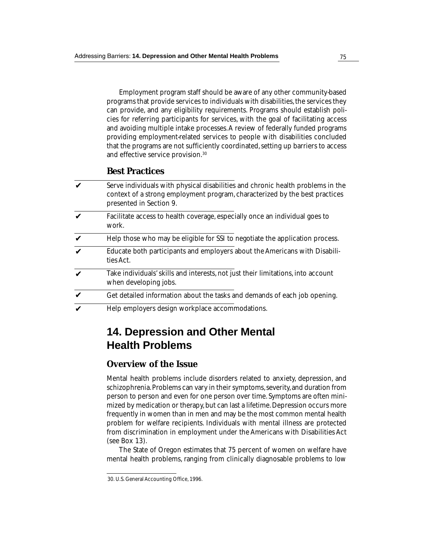Employment program staff should be aware of any other community-based programs that provide services to individuals with disabilities, the services they can provide, and any eligibility requirements. Programs should establish policies for referring participants for services, with the goal of facilitating access and avoiding multiple intake processes. A review of federally funded programs providing employment-related services to people with disabilities concluded that the programs are not sufficiently coordinated, setting up barriers to access and effective service provision.30

## **Best Practices**

| V                  | Serve individuals with physical disabilities and chronic health problems in the<br>context of a strong employment program, characterized by the best practices<br>presented in Section 9. |
|--------------------|-------------------------------------------------------------------------------------------------------------------------------------------------------------------------------------------|
| V                  | Facilitate access to health coverage, especially once an individual goes to<br>work.                                                                                                      |
| V                  | Help those who may be eligible for SSI to negotiate the application process.                                                                                                              |
| V                  | Educate both participants and employers about the Americans with Disabili-<br>ties Act.                                                                                                   |
| $\boldsymbol{\nu}$ | Take individuals' skills and interests, not just their limitations, into account<br>when developing jobs.                                                                                 |
| V                  | Get detailed information about the tasks and demands of each job opening.                                                                                                                 |
| V                  | Help employers design workplace accommodations.                                                                                                                                           |

# **14. Depression and Other Mental Health Problems**

## **Overview of the Issue**

Mental health problems include disorders related to anxiety, depression, and schizophrenia. Problems can vary in their symptoms, severity, and duration from person to person and even for one person over time. Symptoms are often minimized by medication or therapy, but can last a lifetime. Depression occurs more frequently in women than in men and may be the most common mental health problem for welfare recipients. Individuals with mental illness are protected from discrimination in employment under the Americans with Disabilities Act (see Box 13).

The State of Oregon estimates that 75 percent of women on welfare have mental health problems, ranging from clinically diagnosable problems to low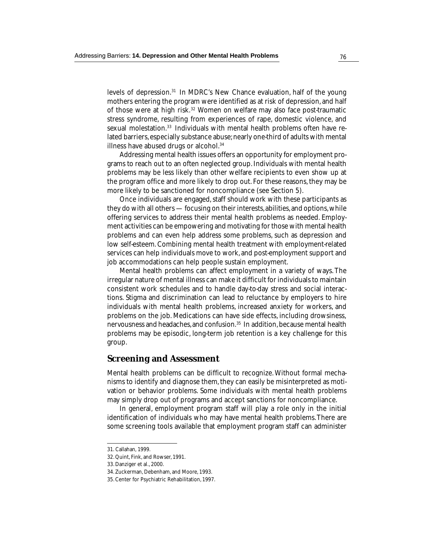levels of depression.31 In MDRC's New Chance evaluation, half of the young mothers entering the program were identified as at risk of depression, and half of those were at high risk.32 Women on welfare may also face post-traumatic stress syndrome, resulting from experiences of rape, domestic violence, and sexual molestation.<sup>33</sup> Individuals with mental health problems often have related barriers, especially substance abuse; nearly one-third of adults with mental illness have abused drugs or alcohol.<sup>34</sup>

Addressing mental health issues offers an opportunity for employment programs to reach out to an often neglected group. Individuals with mental health problems may be less likely than other welfare recipients to even show up at the program office and more likely to drop out. For these reasons, they may be more likely to be sanctioned for noncompliance (see Section 5).

Once individuals are engaged, staff should work with these participants as they do with all others — focusing on their interests, abilities, and options, while offering services to address their mental health problems as needed. Employment activities can be empowering and motivating for those with mental health problems and can even help address some problems, such as depression and low self-esteem. Combining mental health treatment with employment-related services can help individuals move to work, and post-employment support and job accommodations can help people sustain employment.

Mental health problems can affect employment in a variety of ways. The irregular nature of mental illness can make it difficult for individuals to maintain consistent work schedules and to handle day-to-day stress and social interactions. Stigma and discrimination can lead to reluctance by employers to hire individuals with mental health problems, increased anxiety for workers, and problems on the job. Medications can have side effects, including drowsiness, nervousness and headaches, and confusion.35 In addition, because mental health problems may be episodic, long-term job retention is a key challenge for this group.

#### **Screening and Assessment**

Mental health problems can be difficult to recognize. Without formal mechanisms to identify and diagnose them, they can easily be misinterpreted as motivation or behavior problems. Some individuals with mental health problems may simply drop out of programs and accept sanctions for noncompliance.

In general, employment program staff will play a role only in the initial identification of individuals who may have mental health problems. There are some screening tools available that employment program staff can administer

<sup>31.</sup> Callahan, 1999.

<sup>32.</sup> Quint, Fink, and Rowser, 1991.

<sup>33.</sup> Danziger et al., 2000.

<sup>34.</sup> Zuckerman, Debenham, and Moore, 1993.

<sup>35.</sup> Center for Psychiatric Rehabilitation, 1997.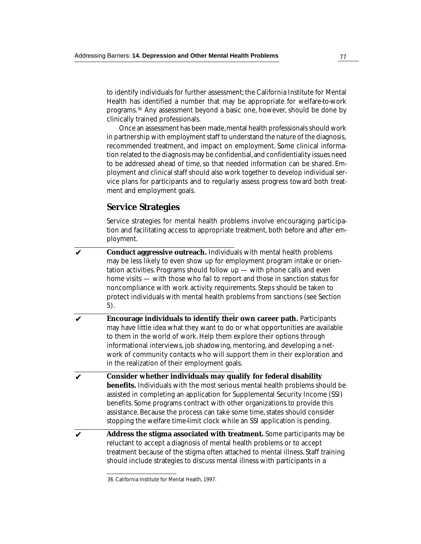to identify individuals for further assessment; the California Institute for Mental Health has identified a number that may be appropriate for welfare-to-work programs.36 Any assessment beyond a basic one, however, should be done by clinically trained professionals.

Once an assessment has been made, mental health professionals should work in partnership with employment staff to understand the nature of the diagnosis, recommended treatment, and impact on employment. Some clinical information related to the diagnosis may be confidential, and confidentiality issues need to be addressed ahead of time, so that needed information can be shared. Employment and clinical staff should also work together to develop individual service plans for participants and to regularly assess progress toward both treatment and employment goals.

## **Service Strategies**

Service strategies for mental health problems involve encouraging participation and facilitating access to appropriate treatment, both before and after employment.

- **Conduct aggressive outreach.** Individuals with mental health problems may be less likely to even show up for employment program intake or orientation activities. Programs should follow up — with phone calls and even home visits — with those who fail to report and those in sanction status for noncompliance with work activity requirements. Steps should be taken to protect individuals with mental health problems from sanctions (see Section 5). ✔
- **Encourage individuals to identify their own career path.** Participants may have little idea what they want to do or what opportunities are available to them in the world of work. Help them explore their options through informational interviews, job shadowing, mentoring, and developing a network of community contacts who will support them in their exploration and in the realization of their employment goals. ✔
- **Consider whether individuals may qualify for federal disability benefits.** Individuals with the most serious mental health problems should be assisted in completing an application for Supplemental Security Income (SSI) benefits. Some programs contract with other organizations to provide this assistance. Because the process can take some time, states should consider stopping the welfare time-limit clock while an SSI application is pending. ✔
- **Address the stigma associated with treatment.** Some participants may be reluctant to accept a diagnosis of mental health problems or to accept treatment because of the stigma often attached to mental illness. Staff training should include strategies to discuss mental illness with participants in a ✔

<sup>36.</sup> California Institute for Mental Health, 1997.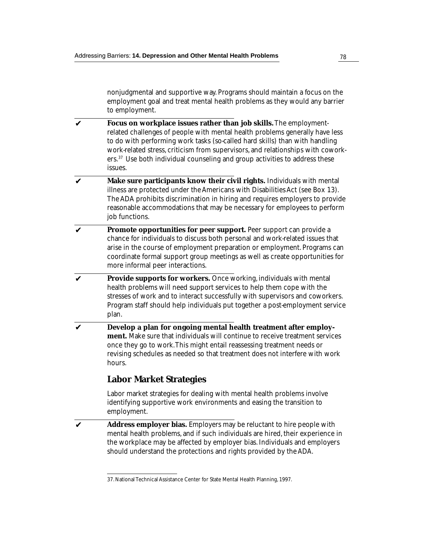nonjudgmental and supportive way. Programs should maintain a focus on the employment goal and treat mental health problems as they would any barrier to employment.

- **Focus on workplace issues rather than job skills.** The employmentrelated challenges of people with mental health problems generally have less to do with performing work tasks (so-called hard skills) than with handling work-related stress, criticism from supervisors, and relationships with coworkers.37 Use both individual counseling and group activities to address these issues. ✔
- **Make sure participants know their civil rights.** Individuals with mental illness are protected under the Americans with Disabilities Act (see Box 13). The ADA prohibits discrimination in hiring and requires employers to provide reasonable accommodations that may be necessary for employees to perform job functions. ✔
- **Promote opportunities for peer support.** Peer support can provide a chance for individuals to discuss both personal and work-related issues that arise in the course of employment preparation or employment. Programs can coordinate formal support group meetings as well as create opportunities for more informal peer interactions. ✔
- **Provide supports for workers.** Once working, individuals with mental health problems will need support services to help them cope with the stresses of work and to interact successfully with supervisors and coworkers. Program staff should help individuals put together a post-employment service plan. ✔
- **Develop a plan for ongoing mental health treatment after employment.** Make sure that individuals will continue to receive treatment services once they go to work. This might entail reassessing treatment needs or revising schedules as needed so that treatment does not interfere with work hours. ✔

# **Labor Market Strategies**

Labor market strategies for dealing with mental health problems involve identifying supportive work environments and easing the transition to employment.

**Address employer bias.** Employers may be reluctant to hire people with mental health problems, and if such individuals are hired, their experience in the workplace may be affected by employer bias. Individuals and employers should understand the protections and rights provided by the ADA. ✔

<sup>37.</sup> National Technical Assistance Center for State Mental Health Planning, 1997.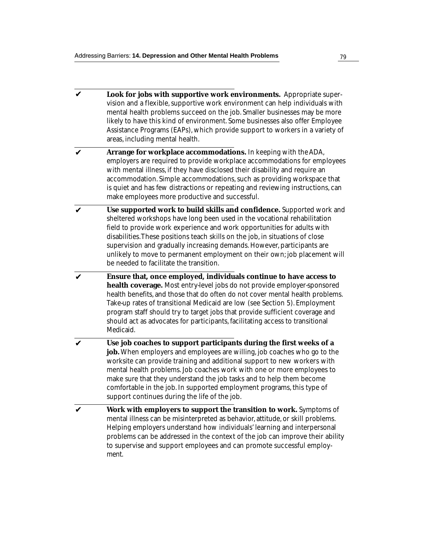- **Look for jobs with supportive work environments.** Appropriate supervision and a flexible, supportive work environment can help individuals with mental health problems succeed on the job. Smaller businesses may be more likely to have this kind of environment. Some businesses also offer Employee Assistance Programs (EAPs), which provide support to workers in a variety of areas, including mental health. ✔
- **Arrange for workplace accommodations.** In keeping with the ADA, employers are required to provide workplace accommodations for employees with mental illness, if they have disclosed their disability and require an accommodation. Simple accommodations, such as providing workspace that is quiet and has few distractions or repeating and reviewing instructions, can make employees more productive and successful. ✔
- **Use supported work to build skills and confidence.** Supported work and sheltered workshops have long been used in the vocational rehabilitation field to provide work experience and work opportunities for adults with disabilities. These positions teach skills on the job, in situations of close supervision and gradually increasing demands. However, participants are unlikely to move to permanent employment on their own; job placement will be needed to facilitate the transition. ✔
- **Ensure that, once employed, individuals continue to have access to health coverage.** Most entry-level jobs do not provide employer-sponsored health benefits, and those that do often do not cover mental health problems. Take-up rates of transitional Medicaid are low (see Section 5). Employment program staff should try to target jobs that provide sufficient coverage and should act as advocates for participants, facilitating access to transitional Medicaid.  $\boldsymbol{\nu}$
- **Use job coaches to support participants during the first weeks of a job.** When employers and employees are willing, job coaches who go to the worksite can provide training and additional support to new workers with mental health problems. Job coaches work with one or more employees to make sure that they understand the job tasks and to help them become comfortable in the job. In supported employment programs, this type of support continues during the life of the job. ✔
- **Work with employers to support the transition to work.** Symptoms of mental illness can be misinterpreted as behavior, attitude, or skill problems. Helping employers understand how individuals' learning and interpersonal problems can be addressed in the context of the job can improve their ability to supervise and support employees and can promote successful employment. ✔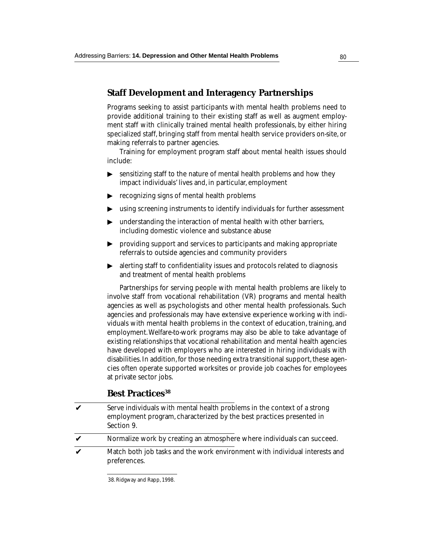## **Staff Development and Interagency Partnerships**

Programs seeking to assist participants with mental health problems need to provide additional training to their existing staff as well as augment employment staff with clinically trained mental health professionals, by either hiring specialized staff, bringing staff from mental health service providers on-site, or making referrals to partner agencies.

Training for employment program staff about mental health issues should include:

- $\blacktriangleright$ sensitizing staff to the nature of mental health problems and how they ▼ ▼ impact individuals' lives and, in particular, employment
- recognizing signs of mental health problems
- $\blacktriangleright$   $\;$  using screening instruments to identify individuals for further assessment
- ▶ ▼ ▼ understanding the interaction of mental health with other barriers, including domestic violence and substance abuse
- $\blacktriangleright$ providing support and services to participants and making appropriate referrals to outside agencies and community providers
- alerting staff to confidentiality issues and protocols related to diagnosis and treatment of mental health problems ▼

Partnerships for serving people with mental health problems are likely to involve staff from vocational rehabilitation (VR) programs and mental health agencies as well as psychologists and other mental health professionals. Such agencies and professionals may have extensive experience working with individuals with mental health problems in the context of education, training, and employment. Welfare-to-work programs may also be able to take advantage of existing relationships that vocational rehabilitation and mental health agencies have developed with employers who are interested in hiring individuals with disabilities. In addition, for those needing extra transitional support, these agencies often operate supported worksites or provide job coaches for employees at private sector jobs.

## **Best Practices<sup>38</sup>**

- Serve individuals with mental health problems in the context of a strong employment program, characterized by the best practices presented in Section 9. ✔
- Normalize work by creating an atmosphere where individuals can succeed. ✔
- Match both job tasks and the work environment with individual interests and preferences. ✔

<sup>38.</sup> Ridgway and Rapp, 1998.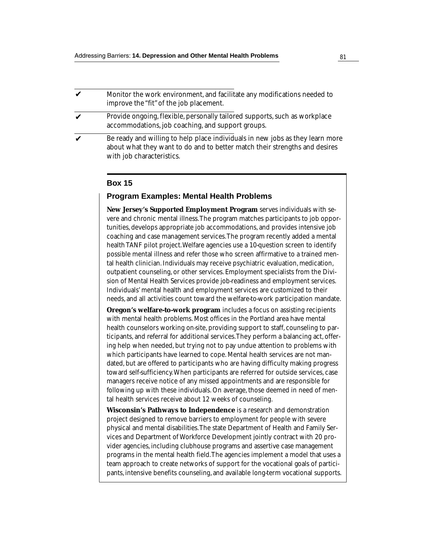#### Monitor the work environment, and facilitate any modifications needed to improve the "fit" of the job placement. ✔

- Provide ongoing, flexible, personally tailored supports, such as workplace accommodations, job coaching, and support groups. ✔
- Be ready and willing to help place individuals in new jobs as they learn more about what they want to do and to better match their strengths and desires with job characteristics. ✔

#### **Box 15**

#### **Program Examples: Mental Health Problems**

**New Jersey's Supported Employment Program** serves individuals with severe and chronic mental illness. The program matches participants to job opportunities, develops appropriate job accommodations, and provides intensive job coaching and case management services. The program recently added a mental health TANF pilot project. Welfare agencies use a 10-question screen to identify possible mental illness and refer those who screen affirmative to a trained mental health clinician. Individuals may receive psychiatric evaluation, medication, outpatient counseling, or other services. Employment specialists from the Division of Mental Health Services provide job-readiness and employment services. Individuals' mental health and employment services are customized to their needs, and all activities count toward the welfare-to-work participation mandate.

**Oregon's welfare-to-work program** includes a focus on assisting recipients with mental health problems. Most offices in the Portland area have mental health counselors working on-site, providing support to staff, counseling to participants, and referral for additional services. They perform a balancing act, offering help when needed, but trying not to pay undue attention to problems with which participants have learned to cope. Mental health services are not mandated, but are offered to participants who are having difficulty making progress toward self-sufficiency. When participants are referred for outside services, case managers receive notice of any missed appointments and are responsible for following up with these individuals. On average, those deemed in need of mental health services receive about 12 weeks of counseling.

**Wisconsin's Pathways to Independence** is a research and demonstration project designed to remove barriers to employment for people with severe physical and mental disabilities. The state Department of Health and Family Services and Department of Workforce Development jointly contract with 20 provider agencies, including clubhouse programs and assertive case management programs in the mental health field. The agencies implement a model that uses a team approach to create networks of support for the vocational goals of participants, intensive benefits counseling, and available long-term vocational supports.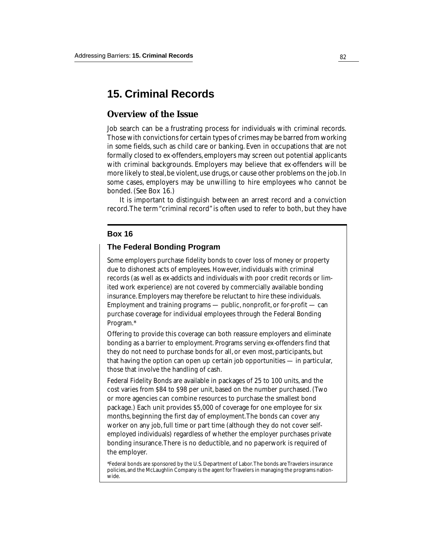# **15. Criminal Records**

## **Overview of the Issue**

Job search can be a frustrating process for individuals with criminal records. Those with convictions for certain types of crimes may be barred from working in some fields, such as child care or banking. Even in occupations that are not formally closed to ex-offenders, employers may screen out potential applicants with criminal backgrounds. Employers may believe that ex-offenders will be more likely to steal, be violent, use drugs, or cause other problems on the job. In some cases, employers may be unwilling to hire employees who cannot be bonded. (See Box 16.)

It is important to distinguish between an arrest record and a conviction record. The term "criminal record" is often used to refer to both, but they have

#### **Box 16**

#### **The Federal Bonding Program**

Some employers purchase fidelity bonds to cover loss of money or property due to dishonest acts of employees. However, individuals with criminal records (as well as ex-addicts and individuals with poor credit records or limited work experience) are not covered by commercially available bonding insurance. Employers may therefore be reluctant to hire these individuals. Employment and training programs  $-$  public, nonprofit, or for-profit  $-$  can purchase coverage for individual employees through the Federal Bonding Program.\*

Offering to provide this coverage can both reassure employers and eliminate bonding as a barrier to employment. Programs serving ex-offenders find that they do not need to purchase bonds for all, or even most, participants, but that having the option can open up certain job opportunities — in particular, those that involve the handling of cash.

Federal Fidelity Bonds are available in packages of 25 to 100 units, and the cost varies from \$84 to \$98 per unit, based on the number purchased. (Two or more agencies can combine resources to purchase the smallest bond package.) Each unit provides \$5,000 of coverage for one employee for six months, beginning the first day of employment. The bonds can cover any worker on any job, full time or part time (although they do not cover selfemployed individuals) regardless of whether the employer purchases private bonding insurance. There is no deductible, and no paperwork is required of the employer.

\*Federal bonds are sponsored by the U.S. Department of Labor. The bonds are Travelers insurance policies, and the McLaughlin Company is the agent for Travelers in managing the programs nationwide.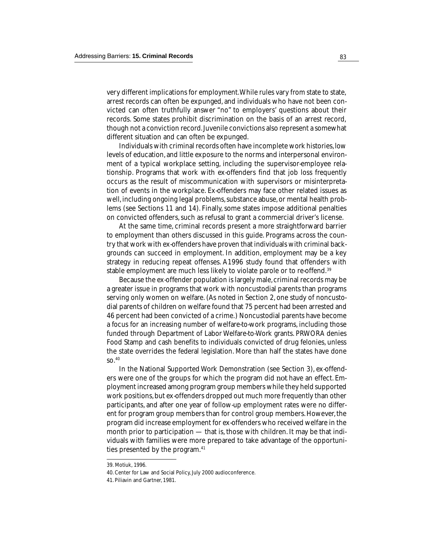very different implications for employment. While rules vary from state to state, arrest records can often be expunged, and individuals who have not been convicted can often truthfully answer "no" to employers' questions about their records. Some states prohibit discrimination on the basis of an arrest record, though not a conviction record. Juvenile convictions also represent a somewhat different situation and can often be expunged.

Individuals with criminal records often have incomplete work histories, low levels of education, and little exposure to the norms and interpersonal environment of a typical workplace setting, including the supervisor-employee relationship. Programs that work with ex-offenders find that job loss frequently occurs as the result of miscommunication with supervisors or misinterpretation of events in the workplace. Ex-offenders may face other related issues as well, including ongoing legal problems, substance abuse, or mental health problems (see Sections 11 and 14). Finally, some states impose additional penalties on convicted offenders, such as refusal to grant a commercial driver's license.

At the same time, criminal records present a more straightforward barrier to employment than others discussed in this guide. Programs across the country that work with ex-offenders have proven that individuals with criminal backgrounds can succeed in employment. In addition, employment may be a key strategy in reducing repeat offenses. A1996 study found that offenders with stable employment are much less likely to violate parole or to re-offend.<sup>39</sup>

Because the ex-offender population is largely male, criminal records may be a greater issue in programs that work with noncustodial parents than programs serving only women on welfare. (As noted in Section 2, one study of noncustodial parents of children on welfare found that 75 percent had been arrested and 46 percent had been convicted of a crime.) Noncustodial parents have become a focus for an increasing number of welfare-to-work programs, including those funded through Department of Labor Welfare-to-Work grants. PRWORA denies Food Stamp and cash benefits to individuals convicted of drug felonies, unless the state overrides the federal legislation. More than half the states have done so.40

In the National Supported Work Demonstration (see Section 3), ex-offenders were one of the groups for which the program did *not* have an effect. Employment increased among program group members while they held supported work positions, but ex-offenders dropped out much more frequently than other participants, and after one year of follow-up employment rates were no different for program group members than for control group members. However, the program did increase employment for ex-offenders who received welfare in the month prior to participation — that is, those with children. It may be that individuals with families were more prepared to take advantage of the opportunities presented by the program.<sup>41</sup>

<sup>39.</sup> Motiuk, 1996.

<sup>40.</sup> Center for Law and Social Policy, July 2000 audioconference.

<sup>41.</sup> Piliavin and Gartner, 1981.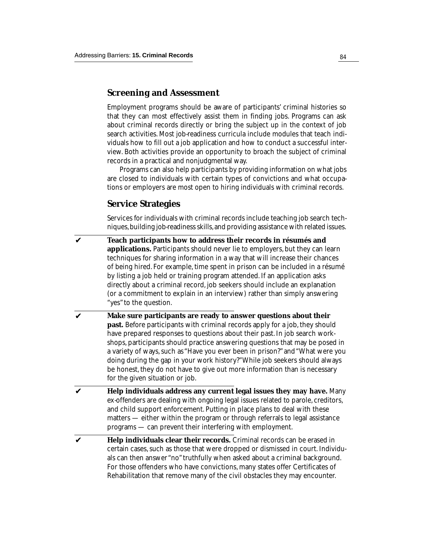## **Screening and Assessment**

Employment programs should be aware of participants' criminal histories so that they can most effectively assist them in finding jobs. Programs can ask about criminal records directly or bring the subject up in the context of job search activities. Most job-readiness curricula include modules that teach individuals how to fill out a job application and how to conduct a successful interview. Both activities provide an opportunity to broach the subject of criminal records in a practical and nonjudgmental way.

Programs can also help participants by providing information on what jobs are closed to individuals with certain types of convictions and what occupations or employers are most open to hiring individuals with criminal records.

### **Service Strategies**

Services for individuals with criminal records include teaching job search techniques, building job-readiness skills, and providing assistance with related issues.

**Teach participants how to address their records in résumés and applications.** Participants should never lie to employers, but they can learn techniques for sharing information in a way that will increase their chances of being hired. For example, time spent in prison can be included in a résumé by listing a job held or training program attended. If an application asks directly about a criminal record, job seekers should include an explanation (or a commitment to explain in an interview) rather than simply answering "yes" to the question. ✔

- **Make sure participants are ready to answer questions about their past.** Before participants with criminal records apply for a job, they should have prepared responses to questions about their past. In job search workshops, participants should practice answering questions that may be posed in a variety of ways, such as "Have you ever been in prison?" and "What were you doing during the gap in your work history?" While job seekers should always be honest, they do not have to give out more information than is necessary for the given situation or job. ✔
- **Help individuals address any current legal issues they may have.** Many ex-offenders are dealing with ongoing legal issues related to parole, creditors, and child support enforcement. Putting in place plans to deal with these matters — either within the program or through referrals to legal assistance programs — can prevent their interfering with employment. ✔
- **Help individuals clear their records.** Criminal records can be erased in certain cases, such as those that were dropped or dismissed in court. Individuals can then answer "no" truthfully when asked about a criminal background. For those offenders who have convictions, many states offer Certificates of Rehabilitation that remove many of the civil obstacles they may encounter.  $\boldsymbol{\nu}$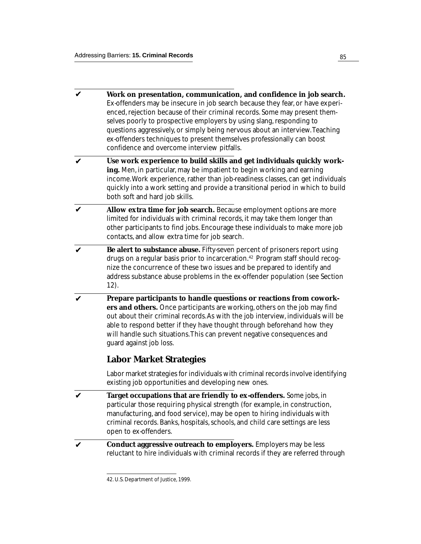- **Work on presentation, communication, and confidence in job search.** Ex-offenders may be insecure in job search because they fear, or have experienced, rejection because of their criminal records. Some may present themselves poorly to prospective employers by using slang, responding to questions aggressively, or simply being nervous about an interview. Teaching ex-offenders techniques to present themselves professionally can boost confidence and overcome interview pitfalls. ✔
- **Use work experience to build skills and get individuals quickly working.** Men, in particular, may be impatient to begin working and earning income. Work experience, rather than job-readiness classes, can get individuals quickly into a work setting and provide a transitional period in which to build both soft and hard job skills.  $\mathbf v$
- **Allow extra time for job search.** Because employment options are more limited for individuals with criminal records, it may take them longer than other participants to find jobs. Encourage these individuals to make more job contacts, and allow extra time for job search. ✔
- **Be alert to substance abuse.** Fifty-seven percent of prisoners report using drugs on a regular basis prior to incarceration.<sup>42</sup> Program staff should recognize the concurrence of these two issues and be prepared to identify and address substance abuse problems in the ex-offender population (see Section 12). ✔
- **Prepare participants to handle questions or reactions from coworkers and others.** Once participants are working, others on the job may find out about their criminal records. As with the job interview, individuals will be able to respond better if they have thought through beforehand how they will handle such situations. This can prevent negative consequences and guard against job loss. ✔

# **Labor Market Strategies**

Labor market strategies for individuals with criminal records involve identifying existing job opportunities and developing new ones.

- **Target occupations that are friendly to ex-offenders.** Some jobs, in particular those requiring physical strength (for example, in construction, manufacturing, and food service), may be open to hiring individuals with criminal records. Banks, hospitals, schools, and child care settings are less open to ex-offenders. ✔
- **Conduct aggressive outreach to employers.** Employers may be less reluctant to hire individuals with criminal records if they are referred through ✔

<sup>42.</sup> U.S. Department of Justice, 1999.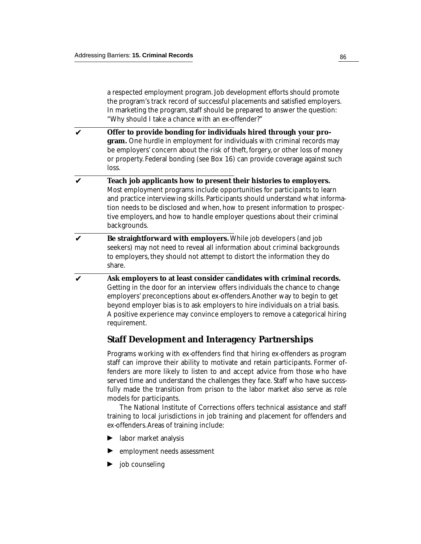a respected employment program. Job development efforts should promote the program's track record of successful placements and satisfied employers. In marketing the program, staff should be prepared to answer the question: "Why should I take a chance with an ex-offender?"

- **Offer to provide bonding for individuals hired through your program.** One hurdle in employment for individuals with criminal records may be employers' concern about the risk of theft, forgery, or other loss of money or property. Federal bonding (see Box 16) can provide coverage against such loss. ✔
- **Teach job applicants how to present their histories to employers.** Most employment programs include opportunities for participants to learn and practice interviewing skills. Participants should understand what information needs to be disclosed and when, how to present information to prospective employers, and how to handle employer questions about their criminal backgrounds. ✔
- **Be straightforward with employers.** While job developers (and job seekers) may not need to reveal all information about criminal backgrounds to employers, they should not attempt to distort the information they do share. ✔
- **Ask employers to at least consider candidates with criminal records.** Getting in the door for an interview offers individuals the chance to change employers' preconceptions about ex-offenders. Another way to begin to get beyond employer bias is to ask employers to hire individuals on a trial basis. A positive experience may convince employers to remove a categorical hiring requirement. ✔

## **Staff Development and Interagency Partnerships**

Programs working with ex-offenders find that hiring ex-offenders as program staff can improve their ability to motivate and retain participants. Former offenders are more likely to listen to and accept advice from those who have served time and understand the challenges they face. Staff who have successfully made the transition from prison to the labor market also serve as role models for participants.

The National Institute of Corrections offers technical assistance and staff training to local jurisdictions in job training and placement for offenders and ex-offenders. Areas of training include:

- labor market analysis ▼
- employment needs assessment ▼
- job counseling ▼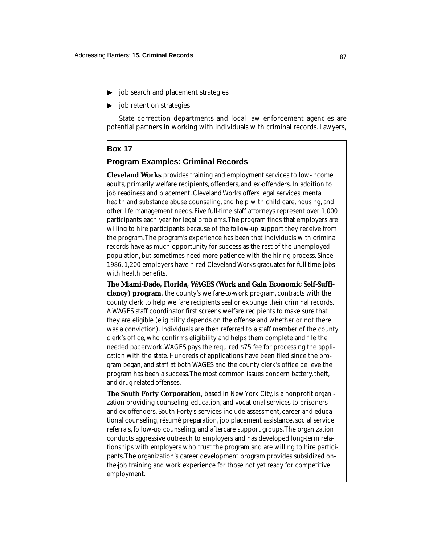- $\triangleright$  job search and placement strategies
- $\triangleright$  job retention strategies

State correction departments and local law enforcement agencies are potential partners in working with individuals with criminal records. Lawyers,

#### **Box 17**

#### **Program Examples: Criminal Records**

**Cleveland Works** provides training and employment services to low-income adults, primarily welfare recipients, offenders, and ex-offenders. In addition to job readiness and placement, Cleveland Works offers legal services, mental health and substance abuse counseling, and help with child care, housing, and other life management needs. Five full-time staff attorneys represent over 1,000 participants each year for legal problems. The program finds that employers are willing to hire participants because of the follow-up support they receive from the program. The program's experience has been that individuals with criminal records have as much opportunity for success as the rest of the unemployed population, but sometimes need more patience with the hiring process. Since 1986, 1,200 employers have hired Cleveland Works graduates for full-time jobs with health benefits. b job searc<br>
b job reten<br>
state co:<br>
potential par<br> **Box 17**<br> **Program E**<br> **Cleveland W**<br>
adults, primal<br>
job readiness<br>
health and su<br>
other life mar<br>
participants e willing to hird<br>
the program.<br>
records have<br>
populatio

**The Miami-Dade, Florida, WAGES (Work and Gain Economic Self-Sufficiency) program**, the county's welfare-to-work program, contracts with the county clerk to help welfare recipients seal or expunge their criminal records. A WAGES staff coordinator first screens welfare recipients to make sure that they are eligible (eligibility depends on the offense and whether or not there was a conviction). Individuals are then referred to a staff member of the county clerk's office, who confirms eligibility and helps them complete and file the needed paperwork. WAGES pays the required \$75 fee for processing the application with the state. Hundreds of applications have been filed since the program began, and staff at both WAGES and the county clerk's office believe the program has been a success. The most common issues concern battery, theft, and drug-related offenses.

**The South Forty Corporation**, based in New York City, is a nonprofit organization providing counseling, education, and vocational services to prisoners and ex-offenders. South Forty's services include assessment, career and educational counseling, résumé preparation, job placement assistance, social service referrals, follow-up counseling, and aftercare support groups. The organization conducts aggressive outreach to employers and has developed long-term relationships with employers who trust the program and are willing to hire participants. The organization's career development program provides subsidized onthe-job training and work experience for those not yet ready for competitive employment.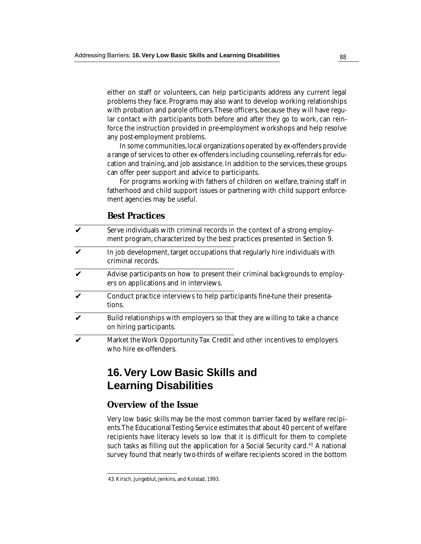either on staff or volunteers, can help participants address any current legal problems they face. Programs may also want to develop working relationships with probation and parole officers. These officers, because they will have regular contact with participants both before and after they go to work, can reinforce the instruction provided in pre-employment workshops and help resolve any post-employment problems.

In some communities, local organizations operated by ex-offenders provide a range of services to other ex-offenders including counseling, referrals for education and training, and job assistance. In addition to the services, these groups can offer peer support and advice to participants.

For programs working with fathers of children on welfare, training staff in fatherhood and child support issues or partnering with child support enforcement agencies may be useful.

## **Best Practices**

| V | Serve individuals with criminal records in the context of a strong employ- |
|---|----------------------------------------------------------------------------|
|   | ment program, characterized by the best practices presented in Section 9.  |

- In job development, target occupations that regularly hire individuals with criminal records. ✔
- Advise participants on how to present their criminal backgrounds to employers on applications and in interviews. ✔
- Conduct practice interviews to help participants fine-tune their presentations. ✔
- Build relationships with employers so that they are willing to take a chance on hiring participants. ✔
- Market the Work Opportunity Tax Credit and other incentives to employers who hire ex-offenders. ✔

# **16. Very Low Basic Skills and Learning Disabilities**

## **Overview of the Issue**

Very low basic skills may be the most common barrier faced by welfare recipients. The Educational Testing Service estimates that about 40 percent of welfare recipients have literacy levels so low that it is difficult for them to complete such tasks as filling out the application for a Social Security card.<sup>43</sup> A national survey found that nearly two-thirds of welfare recipients scored in the bottom

<sup>43.</sup> Kirsch, Jungeblut, Jenkins, and Kolstad, 1993.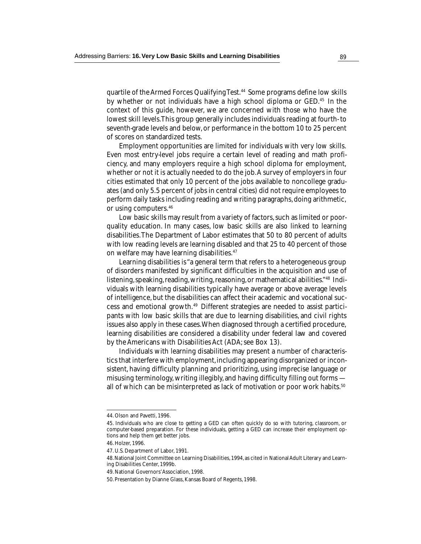quartile of the Armed Forces Qualifying Test.<sup>44</sup> Some programs define low skills by whether or not individuals have a high school diploma or GED.45 In the context of this guide, however, we are concerned with those who have the lowest skill levels. This group generally includes individuals reading at fourth- to seventh-grade levels and below, or performance in the bottom 10 to 25 percent of scores on standardized tests.

Employment opportunities are limited for individuals with very low skills. Even most entry-level jobs require a certain level of reading and math proficiency, and many employers require a high school diploma for employment, whether or not it is actually needed to do the job. A survey of employers in four cities estimated that only 10 percent of the jobs available to noncollege graduates (and only 5.5 percent of jobs in central cities) did not require employees to perform daily tasks including reading and writing paragraphs, doing arithmetic, or using computers.46

Low basic skills may result from a variety of factors, such as limited or poorquality education. In many cases, low basic skills are also linked to learning disabilities. The Department of Labor estimates that 50 to 80 percent of adults with low reading levels are learning disabled and that 25 to 40 percent of those on welfare may have learning disabilities.<sup>47</sup>

Learning disabilities is "a general term that refers to a heterogeneous group of disorders manifested by significant difficulties in the acquisition and use of listening, speaking, reading, writing, reasoning, or mathematical abilities."48 Individuals with learning disabilities typically have average or above average levels of intelligence, but the disabilities can affect their academic and vocational success and emotional growth.49 Different strategies are needed to assist participants with low basic skills that are due to learning disabilities, and civil rights issues also apply in these cases. When diagnosed through a certified procedure, learning disabilities are considered a disability under federal law and covered by the Americans with Disabilities Act (ADA; see Box 13).

Individuals with learning disabilities may present a number of characteristics that interfere with employment, including appearing disorganized or inconsistent, having difficulty planning and prioritizing, using imprecise language or misusing terminology, writing illegibly, and having difficulty filling out forms all of which can be misinterpreted as lack of motivation or poor work habits.<sup>50</sup>

<sup>44.</sup> Olson and Pavetti, 1996.

<sup>45.</sup> Individuals who are close to getting a GED can often quickly do so with tutoring, classroom, or computer-based preparation. For these individuals, getting a GED can increase their employment options and help them get better jobs.

<sup>46.</sup> Holzer, 1996.

<sup>47.</sup> U.S. Department of Labor, 1991.

<sup>48.</sup> National Joint Committee on Learning Disabilities, 1994, as cited in National Adult Literary and Learning Disabilities Center, 1999b.

<sup>49.</sup> National Governors' Association, 1998.

<sup>50.</sup> Presentation by Dianne Glass, Kansas Board of Regents, 1998.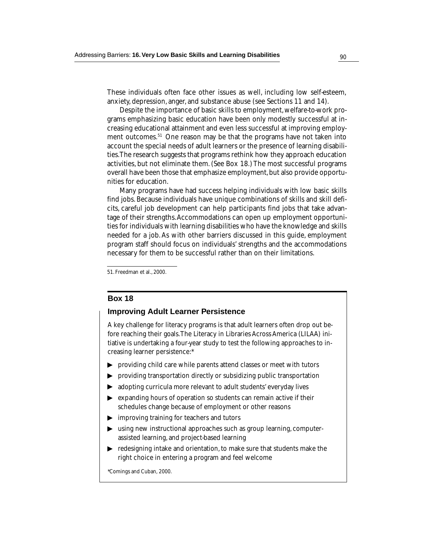These individuals often face other issues as well, including low self-esteem, anxiety, depression, anger, and substance abuse (see Sections 11 and 14).

Despite the importance of basic skills to employment, welfare-to-work programs emphasizing basic education have been only modestly successful at increasing educational attainment and even less successful at improving employment outcomes.51 One reason may be that the programs have not taken into account the special needs of adult learners or the presence of learning disabilities. The research suggests that programs rethink how they approach education activities, but not eliminate them. (See Box 18.) The most successful programs overall have been those that emphasize employment, but also provide opportunities for education.

Many programs have had success helping individuals with low basic skills find jobs. Because individuals have unique combinations of skills and skill deficits, careful job development can help participants find jobs that take advantage of their strengths. Accommodations can open up employment opportunities for individuals with learning disabilities who have the knowledge and skills needed for a job. As with other barriers discussed in this guide, employment program staff should focus on individuals' strengths and the accommodations necessary for them to be successful rather than on their limitations.

51. Freedman et al., 2000.

#### **Box 18**

#### **Improving Adult Learner Persistence**

A key challenge for literacy programs is that adult learners often drop out before reaching their goals. The Literacy in Libraries Across America (LILAA) initiative is undertaking a four-year study to test the following approaches to increasing learner persistence:\*

- providing child care while parents attend classes or meet with tutors
- providing transportation directly or subsidizing public transportation
- adopting curricula more relevant to adult students' everyday lives
- expanding hours of operation so students can remain active if their schedules change because of employment or other reasons the providing child can providing transport adopting curricula<br>
⇒ adopting curricula<br>
expanding hours of schedules change l<br>
⇒ improving training<br>
susing new instruct assisted learning, a<br>
redesigning intake right choice
- improving training for teachers and tutors
- using new instructional approaches such as group learning, computerassisted learning, and project-based learning
- ▶ redesigning intake and orientation, to make sure that students make the right choice in entering a program and feel welcome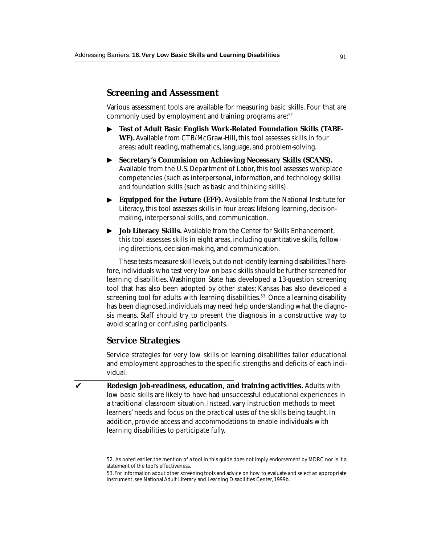## **Screening and Assessment**

Various assessment tools are available for measuring basic skills. Four that are commonly used by employment and training programs are:<sup>52</sup>

- **Test of Adult Basic English Work-Related Foundation Skills (TABE-WF).** Available from CTB/McGraw-Hill, this tool assesses skills in four areas: adult reading, mathematics, language, and problem-solving. ▼
- ▶ ▼ ▼ **Secretary's Commision on Achieving Necessary Skills (SCANS).** Available from the U.S. Department of Labor, this tool assesses workplace competencies (such as interpersonal, information, and technology skills) and foundation skills (such as basic and thinking skills).
- **Equipped for the Future (EFF).** Available from the National Institute for Literacy, this tool assesses skills in four areas: lifelong learning, decisionmaking, interpersonal skills, and communication.
- **Job Literacy Skills.** Available from the Center for Skills Enhancement, this tool assesses skills in eight areas, including quantitative skills, following directions, decision-making, and communication. ▼

These tests measure skill levels, but do not identify learning disabilities. Therefore, individuals who test very low on basic skills should be further screened for learning disabilities. Washington State has developed a 13-question screening tool that has also been adopted by other states; Kansas has also developed a screening tool for adults with learning disabilities.<sup>53</sup> Once a learning disability has been diagnosed, individuals may need help understanding what the diagnosis means. Staff should try to present the diagnosis in a constructive way to avoid scaring or confusing participants.

## **Service Strategies**

Service strategies for very low skills or learning disabilities tailor educational and employment approaches to the specific strengths and deficits of each individual.

**Redesign job-readiness, education, and training activities.** Adults with low basic skills are likely to have had unsuccessful educational experiences in a traditional classroom situation. Instead, vary instruction methods to meet learners' needs and focus on the practical uses of the skills being taught. In addition, provide access and accommodations to enable individuals with learning disabilities to participate fully. ✔

<sup>52.</sup> As noted earlier, the mention of a tool in this guide does not imply endorsement by MDRC nor is it a statement of the tool's effectiveness.

<sup>53.</sup> For information about other screening tools and advice on how to evaluate and select an appropriate instrument, see National Adult Literary and Learning Disabilities Center, 1999b.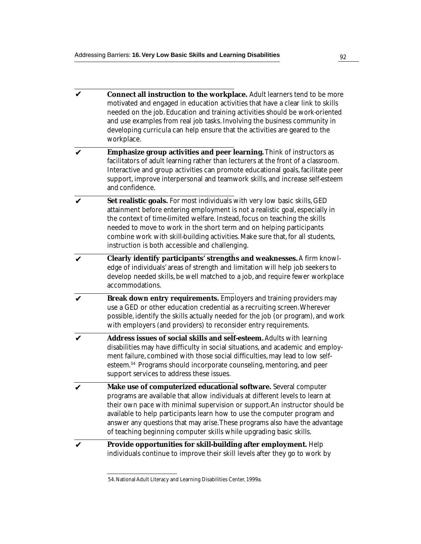- **Connect all instruction to the workplace.** Adult learners tend to be more motivated and engaged in education activities that have a clear link to skills needed on the job. Education and training activities should be work-oriented and use examples from real job tasks. Involving the business community in developing curricula can help ensure that the activities are geared to the workplace. ✔
- **Emphasize group activities and peer learning.** Think of instructors as facilitators of adult learning rather than lecturers at the front of a classroom. Interactive and group activities can promote educational goals, facilitate peer support, improve interpersonal and teamwork skills, and increase self-esteem and confidence. ✔
- **Set realistic goals.** For most individuals with very low basic skills, GED attainment before entering employment is not a realistic goal, especially in the context of time-limited welfare. Instead, focus on teaching the skills needed to move to work in the short term and on helping participants combine work with skill-building activities. Make sure that, for all students, instruction is both accessible and challenging. ✔
- **Clearly identify participants' strengths and weaknesses.** A firm knowledge of individuals' areas of strength and limitation will help job seekers to develop needed skills, be well matched to a job, and require fewer workplace accommodations. ✔
- **Break down entry requirements.** Employers and training providers may use a GED or other education credential as a recruiting screen. Wherever possible, identify the skills actually needed for the job (or program), and work with employers (and providers) to reconsider entry requirements. ✔
- **Address issues of social skills and self-esteem.** Adults with learning disabilities may have difficulty in social situations, and academic and employment failure, combined with those social difficulties, may lead to low selfesteem.54 Programs should incorporate counseling, mentoring, and peer support services to address these issues. ✔
- **Make use of computerized educational software.** Several computer programs are available that allow individuals at different levels to learn at their own pace with minimal supervision or support. An instructor should be available to help participants learn how to use the computer program and answer any questions that may arise. These programs also have the advantage of teaching beginning computer skills while upgrading basic skills. ✔
- **Provide opportunities for skill-building after employment.** Help individuals continue to improve their skill levels after they go to work by ✔

<sup>54.</sup> National Adult Literacy and Learning Disabilities Center, 1999a.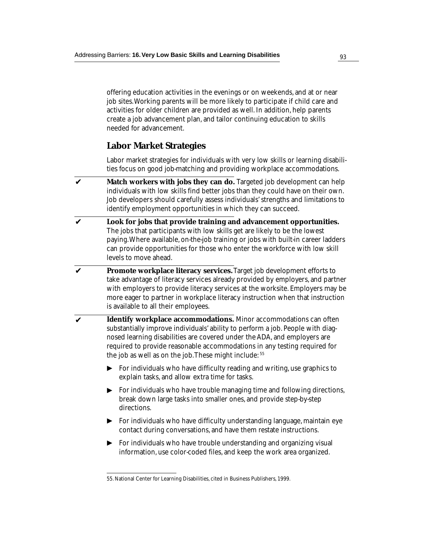offering education activities in the evenings or on weekends, and at or near job sites. Working parents will be more likely to participate if child care and activities for older children are provided as well. In addition, help parents create a job advancement plan, and tailor continuing education to skills needed for advancement.

## **Labor Market Strategies**

Labor market strategies for individuals with very low skills or learning disabilities focus on good job-matching and providing workplace accommodations.

- **Match workers with jobs they can do.** Targeted job development can help individuals with low skills find better jobs than they could have on their own. Job developers should carefully assess individuals' strengths and limitations to identify employment opportunities in which they can succeed. ✔
- **Look for jobs that provide training and advancement opportunities.** The jobs that participants with low skills get are likely to be the lowest paying. Where available, on-the-job training or jobs with built-in career ladders can provide opportunities for those who enter the workforce with low skill levels to move ahead. ✔
- **Promote workplace literacy services.** Target job development efforts to take advantage of literacy services already provided by employers, and partner with employers to provide literacy services at the worksite. Employers may be more eager to partner in workplace literacy instruction when that instruction is available to all their employees. ✔
- **Identify workplace accommodations.** Minor accommodations can often substantially improve individuals' ability to perform a job. People with diagnosed learning disabilities are covered under the ADA, and employers are required to provide reasonable accommodations in any testing required for the job as well as on the job. These might include: 55 ✔
	- ▶ ▼ ▼ For individuals who have difficulty reading and writing, use graphics to explain tasks, and allow extra time for tasks.
	- $\blacktriangleright$ For individuals who have trouble managing time and following directions, break down large tasks into smaller ones, and provide step-by-step directions.
	- $\blacktriangleright$  For individuals who have difficulty understanding language, maintain eye contact during conversations, and have them restate instructions.
	- For individuals who have trouble understanding and organizing visual information, use color-coded files, and keep the work area organized. ▼

<sup>55.</sup> National Center for Learning Disabilities, cited in Business Publishers, 1999.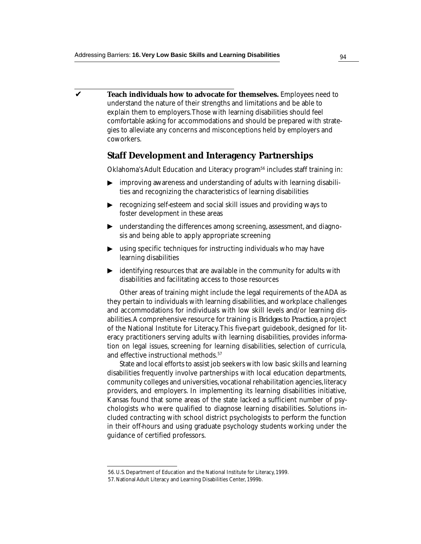**Teach individuals how to advocate for themselves.** Employees need to understand the nature of their strengths and limitations and be able to explain them to employers. Those with learning disabilities should feel comfortable asking for accommodations and should be prepared with strategies to alleviate any concerns and misconceptions held by employers and coworkers. ✔

### **Staff Development and Interagency Partnerships**

Oklahoma's Adult Education and Literacy program<sup>56</sup> includes staff training in:

- improving awareness and understanding of adults with learning disabilities and recognizing the characteristics of learning disabilities
- **Fig. 2.5** recognizing self-esteem and social skill issues and providing ways to foster development in these areas
- understanding the differences among screening, assessment, and diagnosis and being able to apply appropriate screening ▼
- using specific techniques for instructing individuals who may have learning disabilities ▼
- $\blacktriangleright$   $\;$  identifying resources that are available in the community for adults with disabilities and facilitating access to those resources

Other areas of training might include the legal requirements of the ADA as they pertain to individuals with learning disabilities, and workplace challenges and accommodations for individuals with low skill levels and/or learning disabilities. A comprehensive resource for training is *Bridges to Practice*, a project of the National Institute for Literacy. This five-part guidebook, designed for literacy practitioners serving adults with learning disabilities, provides information on legal issues, screening for learning disabilities, selection of curricula, and effective instructional methods.57

State and local efforts to assist job seekers with low basic skills and learning disabilities frequently involve partnerships with local education departments, community colleges and universities, vocational rehabilitation agencies, literacy providers, and employers. In implementing its learning disabilities initiative, Kansas found that some areas of the state lacked a sufficient number of psychologists who were qualified to diagnose learning disabilities. Solutions included contracting with school district psychologists to perform the function in their off-hours and using graduate psychology students working under the guidance of certified professors. <p>\n Improving awareness and understanding of aduites and recognizing the characteristics of learner recognizing selfesteme and social skill issues a foster development in these areas.\n</p>\n<p>\n The understanding the differences among screening signal being able to apply appropriate screening using specific techniques for instructing individual learning disabilities\n</p>\n<p>\n identifying resources that are available in the classification of training might include the legal they pertain to individuals with learning disabilities and facilitates and facilitates and facilitates the algorithm to individuals with low skillabilities. A comprehensive resource for training is B566 of the National Institute for Literary This five-part error predictions are serving adults with learning did not affect the instructions to satisfy the state and local efforts to assist job selects with disabilities frequently involve partnerships with lo community colleges and universities, vectorial rehers, and employees. In implementing its leanass found that some areas of the state lacked the data. Kanas and the same as of the state and local efforts to assist job, and the same as of the state lacked the class

<sup>56.</sup> U.S. Department of Education and the National Institute for Literacy, 1999.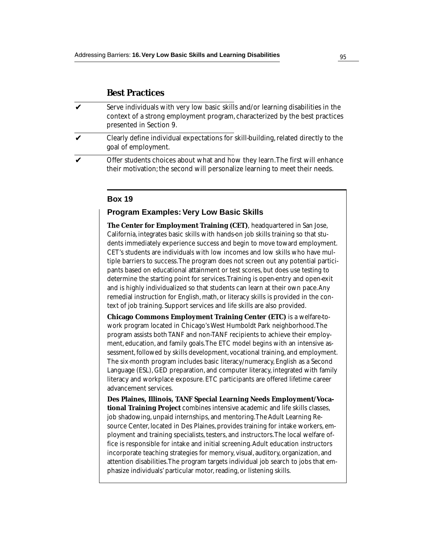#### **Best Practices**

- Serve individuals with very low basic skills and/or learning disabilities in the context of a strong employment program, characterized by the best practices presented in Section 9. ✔
- Clearly define individual expectations for skill-building, related directly to the goal of employment. ✔
- Offer students choices about what and how they learn. The first will enhance their motivation; the second will personalize learning to meet their needs. ✔

#### **Box 19**

#### **Program Examples: Very Low Basic Skills**

**The Center for Employment Training (CET)**, headquartered in San Jose, California, integrates basic skills with hands-on job skills training so that students immediately experience success and begin to move toward employment. CET's students are individuals with low incomes and low skills who have multiple barriers to success. The program does not screen out any potential participants based on educational attainment or test scores, but does use testing to determine the starting point for services. Training is open-entry and open-exit and is highly individualized so that students can learn at their own pace. Any remedial instruction for English, math, or literacy skills is provided in the context of job training. Support services and life skills are also provided.

**Chicago Commons Employment Training Center (ETC)** is a welfare-towork program located in Chicago's West Humboldt Park neighborhood. The program assists both TANF and non-TANF recipients to achieve their employment, education, and family goals. The ETC model begins with an intensive assessment, followed by skills development, vocational training, and employment. The six-month program includes basic literacy/numeracy, English as a Second Language (ESL), GED preparation, and computer literacy, integrated with family literacy and workplace exposure. ETC participants are offered lifetime career advancement services.

**Des Plaines, Illinois, TANF Special Learning Needs Employment/Vocational Training Project** combines intensive academic and life skills classes, job shadowing, unpaid internships, and mentoring. The Adult Learning Resource Center, located in Des Plaines, provides training for intake workers, employment and training specialists, testers, and instructors. The local welfare office is responsible for intake and initial screening. Adult education instructors incorporate teaching strategies for memory, visual, auditory, organization, and attention disabilities. The program targets individual job search to jobs that emphasize individuals' particular motor, reading, or listening skills.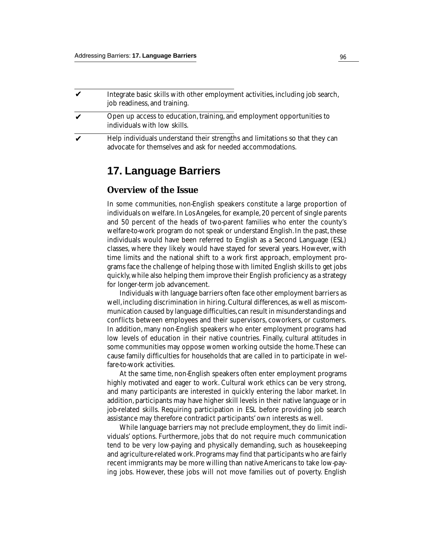| Integrate basic skills with other employment activities, including job search,<br>job readiness, and training.                             |
|--------------------------------------------------------------------------------------------------------------------------------------------|
| Open up access to education, training, and employment opportunities to<br>individuals with low skills.                                     |
| Help individuals understand their strengths and limitations so that they can<br>advocate for themselves and ask for needed accommodations. |

# **17. Language Barriers**

## **Overview of the Issue**

In some communities, non-English speakers constitute a large proportion of individuals on welfare. In Los Angeles, for example, 20 percent of single parents and 50 percent of the heads of two-parent families who enter the county's welfare-to-work program do not speak or understand English. In the past, these individuals would have been referred to English as a Second Language (ESL) classes, where they likely would have stayed for several years. However, with time limits and the national shift to a work first approach, employment programs face the challenge of helping those with limited English skills to get jobs quickly, while also helping them improve their English proficiency as a strategy for longer-term job advancement.

Individuals with language barriers often face other employment barriers as well, including discrimination in hiring. Cultural differences, as well as miscommunication caused by language difficulties, can result in misunderstandings and conflicts between employees and their supervisors, coworkers, or customers. In addition, many non-English speakers who enter employment programs had low levels of education in their native countries. Finally, cultural attitudes in some communities may oppose women working outside the home. These can cause family difficulties for households that are called in to participate in welfare-to-work activities.

At the same time, non-English speakers often enter employment programs highly motivated and eager to work. Cultural work ethics can be very strong, and many participants are interested in quickly entering the labor market. In addition, participants may have higher skill levels in their native language or in job-related skills. Requiring participation in ESL before providing job search assistance may therefore contradict participants' own interests as well.

While language barriers may not preclude employment, they do limit individuals' options. Furthermore, jobs that do not require much communication tend to be very low-paying and physically demanding, such as housekeeping and agriculture-related work. Programs may find that participants who are fairly recent immigrants may be more willing than native Americans to take low-paying jobs. However, these jobs will not move families out of poverty. English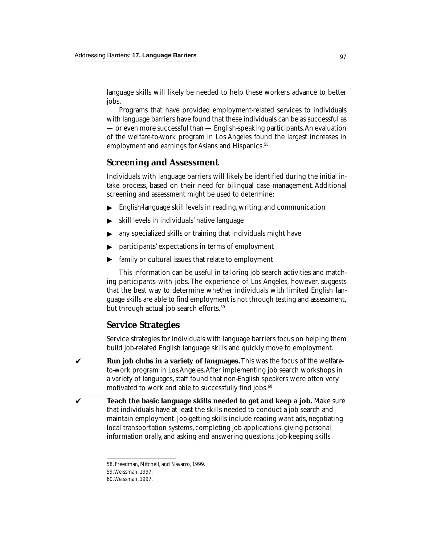language skills will likely be needed to help these workers advance to better jobs.

Programs that have provided employment-related services to individuals with language barriers have found that these individuals can be as successful as — or even more successful than — English-speaking participants. An evaluation of the welfare-to-work program in Los Angeles found the largest increases in employment and earnings for Asians and Hispanics.<sup>58</sup>

## **Screening and Assessment**

Individuals with language barriers will likely be identified during the initial intake process, based on their need for bilingual case management. Additional screening and assessment might be used to determine:

- English-language skill levels in reading, writing, and communication ▼ ▼
- skill levels in individuals' native language
- any specialized skills or training that individuals might have ▼
- participants' expectations in terms of employment ▼ ▼
- family or cultural issues that relate to employment

This information can be useful in tailoring job search activities and matching participants with jobs. The experience of Los Angeles, however, suggests that the best way to determine whether individuals with limited English language skills are able to find employment is not through testing and assessment, but through actual job search efforts.<sup>59</sup>

## **Service Strategies**

Service strategies for individuals with language barriers focus on helping them build job-related English language skills and quickly move to employment.

- **Run job clubs in a variety of languages.** This was the focus of the welfareto-work program in Los Angeles. After implementing job search workshops in a variety of languages, staff found that non-English speakers were often very motivated to work and able to successfully find jobs.<sup>60</sup> ✔
- **Teach the basic language skills needed to get and keep a job.** Make sure that individuals have at least the skills needed to conduct a job search and maintain employment. Job-getting skills include reading want ads, negotiating local transportation systems, completing job applications, giving personal information orally, and asking and answering questions. Job-keeping skills ✔

59. Weissman, 1997.

<sup>58.</sup> Freedman, Mitchell, and Navarro, 1999.

<sup>60.</sup> Weissman, 1997.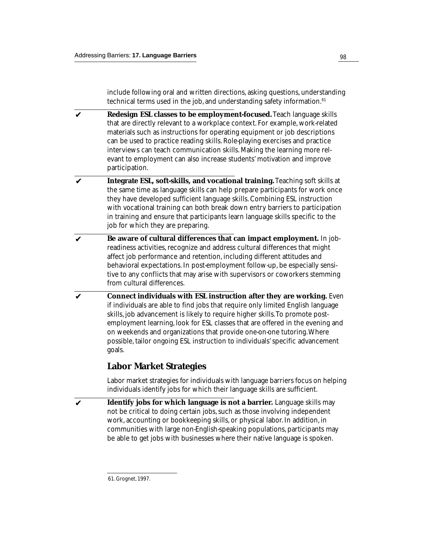include following oral and written directions, asking questions, understanding technical terms used in the job, and understanding safety information.<sup>61</sup>

- **Redesign ESL classes to be employment-focused.** Teach language skills that are directly relevant to a workplace context. For example, work-related materials such as instructions for operating equipment or job descriptions can be used to practice reading skills. Role-playing exercises and practice interviews can teach communication skills. Making the learning more relevant to employment can also increase students' motivation and improve participation. ✔
- **Integrate ESL, soft-skills, and vocational training.** Teaching soft skills at the same time as language skills can help prepare participants for work once they have developed sufficient language skills. Combining ESL instruction with vocational training can both break down entry barriers to participation in training and ensure that participants learn language skills specific to the job for which they are preparing. ✔
- **Be aware of cultural differences that can impact employment.** In jobreadiness activities, recognize and address cultural differences that might affect job performance and retention, including different attitudes and behavioral expectations. In post-employment follow-up, be especially sensitive to any conflicts that may arise with supervisors or coworkers stemming from cultural differences. ✔
- **Connect individuals with ESL instruction after they are working.** Even if individuals are able to find jobs that require only limited English language skills, job advancement is likely to require higher skills. To promote postemployment learning, look for ESL classes that are offered in the evening and on weekends and organizations that provide one-on-one tutoring. Where possible, tailor ongoing ESL instruction to individuals' specific advancement goals. ✔

# **Labor Market Strategies**

Labor market strategies for individuals with language barriers focus on helping individuals identify jobs for which their language skills are sufficient.

**Identify jobs for which language is not a barrier.** Language skills may not be critical to doing certain jobs, such as those involving independent work, accounting or bookkeeping skills, or physical labor. In addition, in communities with large non-English-speaking populations, participants may be able to get jobs with businesses where their native language is spoken. ✔

<sup>61.</sup> Grognet, 1997.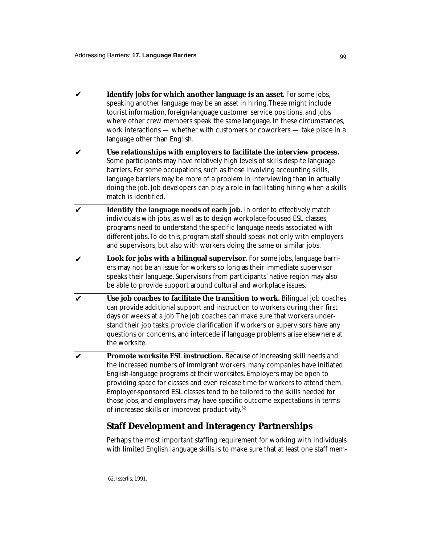- **Identify jobs for which another language is an asset.** For some jobs, speaking another language may be an asset in hiring. These might include tourist information, foreign-language customer service positions, and jobs where other crew members speak the same language. In these circumstances, work interactions — whether with customers or coworkers — take place in a language other than English. ✔
- **Use relationships with employers to facilitate the interview process.** Some participants may have relatively high levels of skills despite language barriers. For some occupations, such as those involving accounting skills, language barriers may be more of a problem in interviewing than in actually doing the job. Job developers can play a role in facilitating hiring when a skills match is identified. ✔
- **Identify the language needs of each job.** In order to effectively match individuals with jobs, as well as to design workplace-focused ESL classes, programs need to understand the specific language needs associated with different jobs. To do this, program staff should speak not only with employers and supervisors, but also with workers doing the same or similar jobs. ✔
- **Look for jobs with a bilingual supervisor.** For some jobs, language barriers may not be an issue for workers so long as their immediate supervisor speaks their language. Supervisors from participants' native region may also be able to provide support around cultural and workplace issues. ✔
- **Use job coaches to facilitate the transition to work.** Bilingual job coaches can provide additional support and instruction to workers during their first days or weeks at a job. The job coaches can make sure that workers understand their job tasks, provide clarification if workers or supervisors have any questions or concerns, and intercede if language problems arise elsewhere at the worksite. ✔
- **Promote worksite ESL instruction.** Because of increasing skill needs and the increased numbers of immigrant workers, many companies have initiated English-language programs at their worksites. Employers may be open to providing space for classes and even release time for workers to attend them. Employer-sponsored ESL classes tend to be tailored to the skills needed for those jobs, and employers may have specific outcome expectations in terms of increased skills or improved productivity.62 ✔

# **Staff Development and Interagency Partnerships**

Perhaps the most important staffing requirement for working with individuals with limited English language skills is to make sure that at least one staff mem-

<sup>62.</sup> Isserlis, 1991.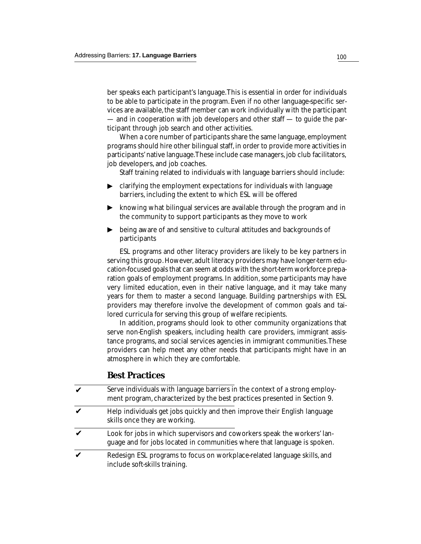ber speaks each participant's language. This is essential in order for individuals to be able to participate in the program. Even if no other language-specific services are available, the staff member can work individually with the participant — and in cooperation with job developers and other staff — to guide the participant through job search and other activities.

When a core number of participants share the same language, employment programs should hire other bilingual staff, in order to provide more activities in participants' native language. These include case managers, job club facilitators, job developers, and job coaches.

Staff training related to individuals with language barriers should include:

- clarifying the employment expectations for individuals with language barriers, including the extent to which ESL will be offered ▼ ▼
- ▶ knowing what bilingual services are available through the program and in the community to support participants as they move to work
- being aware of and sensitive to cultural attitudes and backgrounds of participants ▼

ESL programs and other literacy providers are likely to be key partners in serving this group. However, adult literacy providers may have longer-term education-focused goals that can seem at odds with the short-term workforce preparation goals of employment programs. In addition, some participants may have very limited education, even in their native language, and it may take many years for them to master a second language. Building partnerships with ESL providers may therefore involve the development of common goals and tailored curricula for serving this group of welfare recipients.

In addition, programs should look to other community organizations that serve non-English speakers, including health care providers, immigrant assistance programs, and social services agencies in immigrant communities. These providers can help meet any other needs that participants might have in an atmosphere in which they are comfortable.

## **Best Practices**

| $\mathbf{v}$ | Serve individuals with language barriers in the context of a strong employ-<br>ment program, characterized by the best practices presented in Section 9. |
|--------------|----------------------------------------------------------------------------------------------------------------------------------------------------------|
|              | Help individuals get jobs quickly and then improve their English language<br>skills once they are working.                                               |
|              | Look for jobs in which supervisors and coworkers speak the workers' lan-<br>guage and for jobs located in communities where that language is spoken.     |
|              | Redesign ESL programs to focus on workplace-related language skills, and<br>include soft-skills training.                                                |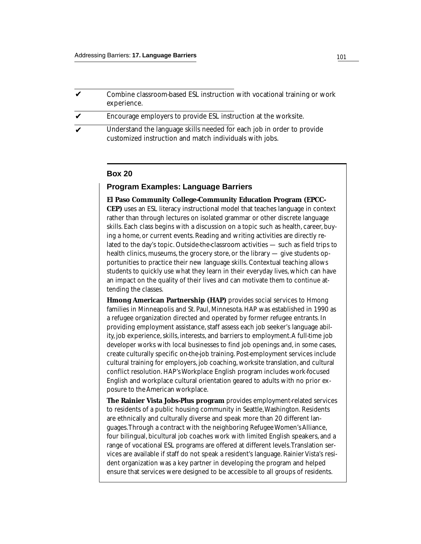| $\boldsymbol{\mathcal{U}}$ | Combine classroom-based ESL instruction with vocational training or work<br>experience.                                           |
|----------------------------|-----------------------------------------------------------------------------------------------------------------------------------|
| $\boldsymbol{\mathcal{U}}$ | Encourage employers to provide ESL instruction at the worksite.                                                                   |
| $\boldsymbol{\mathcal{U}}$ | Understand the language skills needed for each job in order to provide<br>customized instruction and match individuals with jobs. |

### **Box 20**

## **Program Examples: Language Barriers**

**El Paso Community College-Community Education Program (EPCC-CEP)** uses an ESL literacy instructional model that teaches language in context rather than through lectures on isolated grammar or other discrete language skills. Each class begins with a discussion on a topic such as health, career, buying a home, or current events. Reading and writing activities are directly related to the day's topic. Outside-the-classroom activities — such as field trips to health clinics, museums, the grocery store, or the library — give students opportunities to practice their new language skills. Contextual teaching allows students to quickly use what they learn in their everyday lives, which can have an impact on the quality of their lives and can motivate them to continue attending the classes.

**Hmong American Partnership (HAP)** provides social services to Hmong families in Minneapolis and St. Paul, Minnesota. HAP was established in 1990 as a refugee organization directed and operated by former refugee entrants. In providing employment assistance, staff assess each job seeker's language ability, job experience, skills, interests, and barriers to employment. A full-time job developer works with local businesses to find job openings and, in some cases, create culturally specific on-the-job training. Post-employment services include cultural training for employers, job coaching, worksite translation, and cultural conflict resolution. HAP's Workplace English program includes work-focused English and workplace cultural orientation geared to adults with no prior exposure to the American workplace.

**The Rainier Vista Jobs-Plus program** provides employment-related services to residents of a public housing community in Seattle, Washington. Residents are ethnically and culturally diverse and speak more than 20 different languages. Through a contract with the neighboring Refugee Women's Alliance, four bilingual, bicultural job coaches work with limited English speakers, and a range of vocational ESL programs are offered at different levels. Translation services are available if staff do not speak a resident's language. Rainier Vista's resident organization was a key partner in developing the program and helped ensure that services were designed to be accessible to all groups of residents.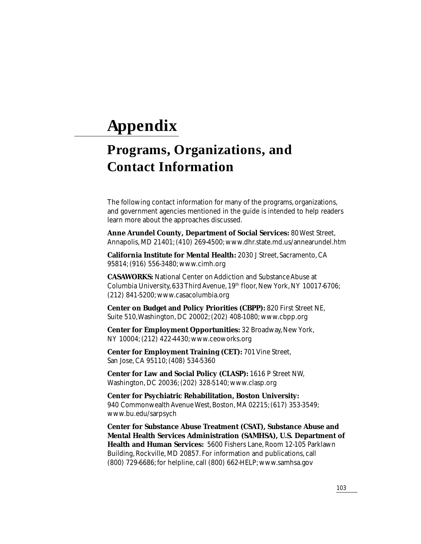# **Appendix**

# **Programs, Organizations, and Contact Information**

The following contact information for many of the programs, organizations, and government agencies mentioned in the guide is intended to help readers learn more about the approaches discussed.

**Anne Arundel County, Department of Social Services:** 80 West Street, Annapolis, MD 21401; (410) 269-4500; www.dhr.state.md.us/annearundel.htm

**California Institute for Mental Health:** 2030 J Street, Sacramento, CA 95814; (916) 556-3480; www.cimh.org

**CASAWORKS:** National Center on Addiction and Substance Abuse at Columbia University, 633 Third Avenue, 19<sup>th</sup> floor, New York, NY 10017-6706; (212) 841-5200; www.casacolumbia.org

**Center on Budget and Policy Priorities (CBPP):** 820 First Street NE, Suite 510, Washington, DC 20002; (202) 408-1080; www.cbpp.org

**Center for Employment Opportunities:** 32 Broadway, New York, NY 10004; (212) 422-4430; www.ceoworks.org

**Center for Employment Training (CET):** 701 Vine Street, San Jose, CA 95110; (408) 534-5360

**Center for Law and Social Policy (CLASP):** 1616 P Street NW, Washington, DC 20036; (202) 328-5140; www.clasp.org

**Center for Psychiatric Rehabilitation, Boston University:** 940 Commonwealth Avenue West, Boston, MA 02215; (617) 353-3549; www.bu.edu/sarpsych

**Center for Substance Abuse Treatment (CSAT), Substance Abuse and Mental Health Services Administration (SAMHSA), U.S. Department of Health and Human Services:** 5600 Fishers Lane, Room 12-105 Parklawn Building, Rockville, MD 20857. For information and publications, call (800) 729-6686; for helpline, call (800) 662-HELP; www.samhsa.gov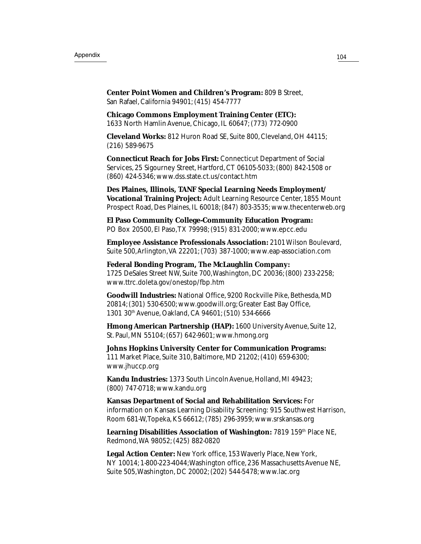**Center Point Women and Children's Program:** 809 B Street, San Rafael, California 94901; (415) 454-7777

**Chicago Commons Employment Training Center (ETC):** 1633 North Hamlin Avenue, Chicago, IL 60647; (773) 772-0900

**Cleveland Works:** 812 Huron Road SE, Suite 800, Cleveland, OH 44115; (216) 589-9675

**Connecticut Reach for Jobs First:** Connecticut Department of Social Services, 25 Sigourney Street, Hartford, CT 06105-5033; (800) 842-1508 or (860) 424-5346; www.dss.state.ct.us/contact.htm

**Des Plaines, Illinois, TANF Special Learning Needs Employment/ Vocational Training Project:** Adult Learning Resource Center, 1855 Mount Prospect Road, Des Plaines, IL 60018; (847) 803-3535; www.thecenterweb.org

**El Paso Community College-Community Education Program:** PO Box 20500, El Paso, TX 79998; (915) 831-2000; www.epcc.edu

**Employee Assistance Professionals Association:** 2101 Wilson Boulevard, Suite 500, Arlington, VA 22201; (703) 387-1000; www.eap-association.com

**Federal Bonding Program, The McLaughlin Company:** 1725 DeSales Street NW, Suite 700, Washington, DC 20036; (800) 233-2258; www.ttrc.doleta.gov/onestop/fbp.htm

**Goodwill Industries:** National Office, 9200 Rockville Pike, Bethesda, MD 20814; (301) 530-6500; www.goodwill.org; Greater East Bay Office, 1301 30th Avenue, Oakland, CA 94601; (510) 534-6666

**Hmong American Partnership (HAP):** 1600 University Avenue, Suite 12, St. Paul, MN 55104; (657) 642-9601; www.hmong.org

**Johns Hopkins University Center for Communication Programs:** 111 Market Place, Suite 310, Baltimore, MD 21202; (410) 659-6300; www.jhuccp.org

**Kandu Industries:** 1373 South Lincoln Avenue, Holland, MI 49423; (800) 747-0718; www.kandu.org

**Kansas Department of Social and Rehabilitation Services:** For information on Kansas Learning Disability Screening: 915 Southwest Harrison, Room 681-W, Topeka, KS 66612; (785) 296-3959; www.srskansas.org

Learning Disabilities Association of Washington: 7819 159<sup>th</sup> Place NE, Redmond, WA 98052; (425) 882-0820

**Legal Action Center:** New York office, 153 Waverly Place, New York, NY 10014; 1-800-223-4044; Washington office, 236 Massachusetts Avenue NE, Suite 505, Washington, DC 20002; (202) 544-5478; www.lac.org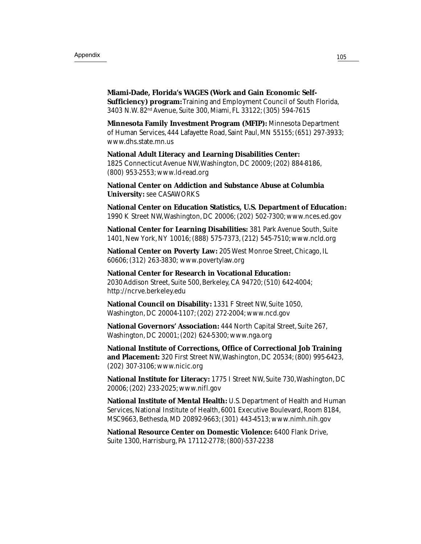**Miami-Dade, Florida's WAGES (Work and Gain Economic Self-Sufficiency) program:** Training and Employment Council of South Florida, 3403 N.W. 82nd Avenue, Suite 300, Miami, FL 33122; (305) 594-7615

**Minnesota Family Investment Program (MFIP):** Minnesota Department of Human Services, 444 Lafayette Road, Saint Paul, MN 55155; (651) 297-3933; www.dhs.state.mn.us

**National Adult Literacy and Learning Disabilities Center:** 1825 Connecticut Avenue NW, Washington, DC 20009; (202) 884-8186, (800) 953-2553; www.ld-read.org

**National Center on Addiction and Substance Abuse at Columbia University:** see CASAWORKS

**National Center on Education Statistics, U.S. Department of Education:** 1990 K Street NW, Washington, DC 20006; (202) 502-7300; www.nces.ed.gov

**National Center for Learning Disabilities:** 381 Park Avenue South, Suite 1401, New York, NY 10016; (888) 575-7373, (212) 545-7510; www.ncld.org

**National Center on Poverty Law:** 205 West Monroe Street, Chicago, IL 60606; (312) 263-3830; www.povertylaw.org

**National Center for Research in Vocational Education:** 2030 Addison Street, Suite 500, Berkeley, CA 94720; (510) 642-4004; http://ncrve.berkeley.edu

**National Council on Disability:** 1331 F Street NW, Suite 1050, Washington, DC 20004-1107; (202) 272-2004; www.ncd.gov

**National Governors' Association:** 444 North Capital Street, Suite 267, Washington, DC 20001; (202) 624-5300; www.nga.org

**National Institute of Corrections, Office of Correctional Job Training and Placement:** 320 First Street NW, Washington, DC 20534; (800) 995-6423, (202) 307-3106; www.nicic.org

**National Institute for Literacy:** 1775 I Street NW, Suite 730, Washington, DC 20006; (202) 233-2025; www.nifl.gov

**National Institute of Mental Health:** U.S. Department of Health and Human Services, National Institute of Health, 6001 Executive Boulevard, Room 8184, MSC9663, Bethesda, MD 20892-9663; (301) 443-4513; www.nimh.nih.gov

**National Resource Center on Domestic Violence:** 6400 Flank Drive, Suite 1300, Harrisburg, PA 17112-2778; (800)-537-2238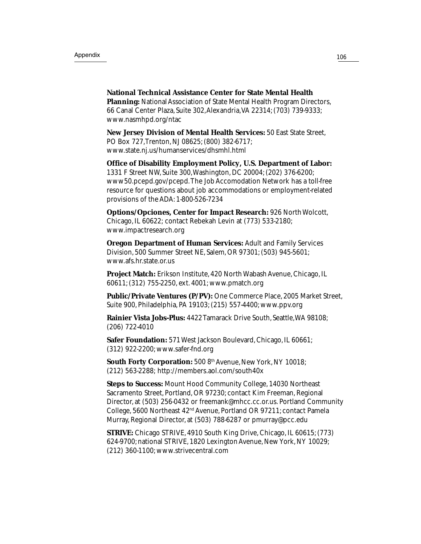**National Technical Assistance Center for State Mental Health Planning:** National Association of State Mental Health Program Directors, 66 Canal Center Plaza, Suite 302, Alexandria, VA 22314; (703) 739-9333; www.nasmhpd.org/ntac

**New Jersey Division of Mental Health Services:** 50 East State Street, PO Box 727, Trenton, NJ 08625; (800) 382-6717; www.state.nj.us/humanservices/dhsmhl.html

**Office of Disability Employment Policy, U.S. Department of Labor:** 1331 F Street NW, Suite 300, Washington, DC 20004; (202) 376-6200; www50.pcepd.gov/pcepd. The Job Accomodation Network has a toll-free resource for questions about job accommodations or employment-related provisions of the ADA: 1-800-526-7234

**Options/Opciones, Center for Impact Research:** 926 North Wolcott, Chicago, IL 60622; contact Rebekah Levin at (773) 533-2180; www.impactresearch.org

**Oregon Department of Human Services:** Adult and Family Services Division, 500 Summer Street NE, Salem, OR 97301; (503) 945-5601; www.afs.hr.state.or.us

**Project Match:** Erikson Institute, 420 North Wabash Avenue, Chicago, IL 60611; (312) 755-2250, ext. 4001; www.pmatch.org

**Public/Private Ventures (P/PV):** One Commerce Place, 2005 Market Street, Suite 900, Philadelphia, PA 19103; (215) 557-4400; www.ppv.org

**Rainier Vista Jobs-Plus:** 4422 Tamarack Drive South, Seattle, WA 98108; (206) 722-4010

**Safer Foundation:** 571 West Jackson Boulevard, Chicago, IL 60661; (312) 922-2200; www.safer-fnd.org

**South Forty Corporation:** 500 8th Avenue, New York, NY 10018; (212) 563-2288; http://members.aol.com/south40x

**Steps to Success:** Mount Hood Community College, 14030 Northeast Sacramento Street, Portland, OR 97230; contact Kim Freeman, Regional Director, at (503) 256-0432 or freemank@mhcc.cc.or.us. Portland Community College, 5600 Northeast 42nd Avenue, Portland OR 97211; contact Pamela Murray, Regional Director, at (503) 788-6287 or pmurray@pcc.edu

**STRIVE:** Chicago STRIVE, 4910 South King Drive, Chicago, IL 60615; (773) 624-9700; national STRIVE, 1820 Lexington Avenue, New York, NY 10029; (212) 360-1100; www.strivecentral.com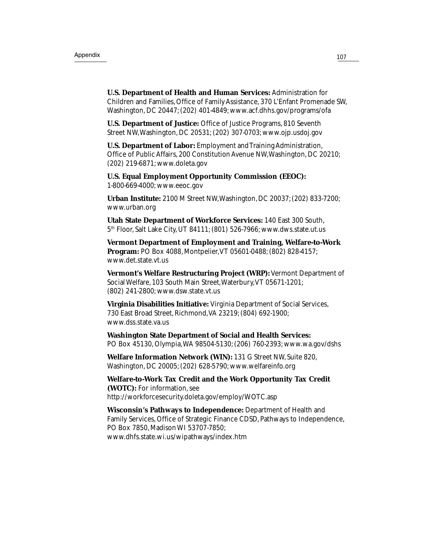**U.S. Department of Health and Human Services:** Administration for Children and Families, Office of Family Assistance, 370 L'Enfant Promenade SW, Washington, DC 20447; (202) 401-4849; www.acf.dhhs.gov/programs/ofa

**U.S. Department of Justice:** Office of Justice Programs, 810 Seventh Street NW, Washington, DC 20531; (202) 307-0703; www.ojp.usdoj.gov

**U.S. Department of Labor:** Employment and Training Administration, Office of Public Affairs, 200 Constitution Avenue NW, Washington, DC 20210; (202) 219-6871; www.doleta.gov

**U.S. Equal Employment Opportunity Commission (EEOC):** 1-800-669-4000; www.eeoc.gov

**Urban Institute:** 2100 M Street NW, Washington, DC 20037; (202) 833-7200; www.urban.org

**Utah State Department of Workforce Services:** 140 East 300 South, 5th Floor, Salt Lake City, UT 84111; (801) 526-7966; www.dws.state.ut.us

**Vermont Department of Employment and Training, Welfare-to-Work Program:** PO Box 4088, Montpelier, VT 05601-0488; (802) 828-4157; www.det.state.vt.us

**Vermont's Welfare Restructuring Project (WRP):** Vermont Department of Social Welfare, 103 South Main Street, Waterbury, VT 05671-1201; (802) 241-2800; www.dsw.state.vt.us

**Virginia Disabilities Initiative:** Virginia Department of Social Services, 730 East Broad Street, Richmond, VA 23219; (804) 692-1900; www.dss.state.va.us

**Washington State Department of Social and Health Services:** PO Box 45130, Olympia, WA 98504-5130; (206) 760-2393; www.wa.gov/dshs

**Welfare Information Network (WIN):** 131 G Street NW, Suite 820, Washington, DC 20005; (202) 628-5790; www.welfareinfo.org

**Welfare-to-Work Tax Credit and the Work Opportunity Tax Credit (WOTC):** For information, see http://workforcesecurity.doleta.gov/employ/WOTC.asp

**Wisconsin's Pathways to Independence:** Department of Health and Family Services, Office of Strategic Finance CDSD, Pathways to Independence, PO Box 7850, Madison WI 53707-7850; www.dhfs.state.wi.us/wipathways/index.htm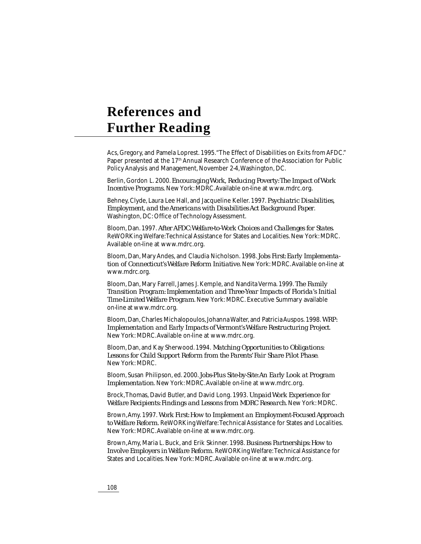# **References and Further Reading**

Acs, Gregory, and Pamela Loprest. 1995. "The Effect of Disabilities on Exits from AFDC." Paper presented at the 17<sup>th</sup> Annual Research Conference of the Association for Public Policy Analysis and Management, November 2-4, Washington, DC.

Berlin, Gordon L. 2000. *Encouraging Work, Reducing Poverty: The Impact of Work Incentive Programs.* New York: MDRC. Available on-line at www.mdrc.org.

Behney, Clyde, Laura Lee Hall, and Jacqueline Keller. 1997. *Psychiatric Disabilities, Employment, and the Americans with Disabilities Act Background Paper*. Washington, DC: Office of Technology Assessment.

Bloom, Dan. 1997. *After AFDC: Welfare-to-Work Choices and Challenges for States*. ReWORKing Welfare: Technical Assistance for States and Localities. New York: MDRC. Available on-line at www.mdrc.org.

Bloom, Dan, Mary Andes, and Claudia Nicholson. 1998. *Jobs First: Early Implementation of Connecticut's Welfare Reform Initiative*. New York: MDRC. Available on-line at www.mdrc.org.

Bloom, Dan, Mary Farrell, James J. Kemple, and Nandita Verma. 1999. *The Family Transition Program: Implementation and Three-Year Impacts of Florida's Initial Time-Limited Welfare Program*. New York: MDRC. Executive Summary available on-line at www.mdrc.org.

Bloom, Dan, Charles Michalopoulos, Johanna Walter, and Patricia Auspos. 1998. *WRP: Implementation and Early Impacts of Vermont's Welfare Restructuring Project*. New York: MDRC. Available on-line at www.mdrc.org.

Bloom, Dan, and Kay Sherwood. 1994. *Matching Opportunities to Obligations: Lessons for Child Support Reform from the Parents' Fair Share Pilot Phase*. New York: MDRC.

Bloom, Susan Philipson, ed. 2000. *Jobs-Plus Site-by-Site: An Early Look at Program Implementation*. New York: MDRC. Available on-line at www.mdrc.org.

Brock, Thomas, David Butler, and David Long. 1993. *Unpaid Work Experience for Welfare Recipients: Findings and Lessons from MDRC Research*. New York: MDRC.

Brown, Amy. 1997. *Work First: How to Implement an Employment-Focused Approach to Welfare Reform.* ReWORKing Welfare: Technical Assistance for States and Localities. New York: MDRC. Available on-line at www.mdrc.org.

Brown, Amy, Maria L. Buck, and Erik Skinner. 1998. *Business Partnerships: How to Involve Employers in Welfare Reform.* ReWORKing Welfare: Technical Assistance for States and Localities. New York: MDRC. Available on-line at www.mdrc.org.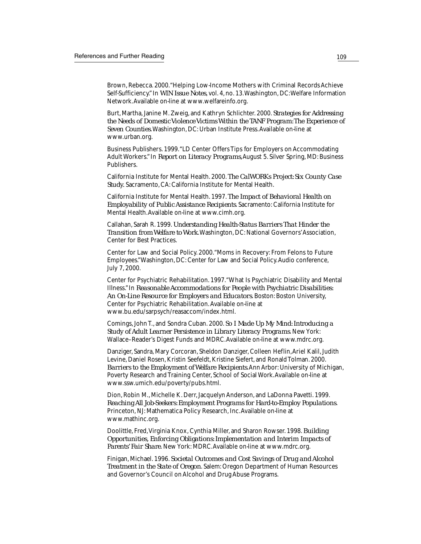Brown, Rebecca. 2000. "Helping Low-Income Mothers with Criminal Records Achieve Self-Sufficiency." In *WIN Issue Notes*, vol. 4, no. 13. Washington, DC: Welfare Information Network. Available on-line at www.welfareinfo.org.

Burt, Martha, Janine M. Zweig, and Kathryn Schlichter. 2000. *Strategies for Addressing the Needs of Domestic Violence Victims Within the TANF Program: The Experience of Seven Counties*. Washington, DC: Urban Institute Press. Available on-line at www.urban.org.

Business Publishers. 1999. "LD Center Offers Tips for Employers on Accommodating Adult Workers." In *Report on Literacy Programs*, August 5. Silver Spring, MD: Business Publishers.

California Institute for Mental Health. 2000. *The CalWORKs Project: Six County Case Study.* Sacramento, CA: California Institute for Mental Health.

California Institute for Mental Health. 1997. *The Impact of Behavioral Health on Employability of Public Assistance Recipients*. Sacramento: California Institute for Mental Health. Available on-line at www.cimh.org.

Callahan, Sarah R. 1999. *Understanding Health-Status Barriers That Hinder the Transition from Welfare to Work*. Washington, DC: National Governors' Association, Center for Best Practices.

Center for Law and Social Policy. 2000. "Moms in Recovery: From Felons to Future Employees." Washington, DC: Center for Law and Social Policy. Audio conference, July 7, 2000.

Center for Psychiatric Rehabilitation. 1997. "What Is Psychiatric Disability and Mental Illness." In *Reasonable Accommodations for People with Psychiatric Disabilities: An On-Line Resource for Employers and Educators*. Boston: Boston University, Center for Psychiatric Rehabilitation. Available on-line at www.bu.edu/sarpsych/reasaccom/index.html.

Comings, John T., and Sondra Cuban. 2000. *So I Made Up My Mind: Introducing a Study of Adult Learner Persistence in Library Literacy Programs*. New York: Wallace–Reader's Digest Funds and MDRC. Available on-line at www.mdrc.org.

Danziger, Sandra, Mary Corcoran, Sheldon Danziger, Colleen Heflin, Ariel Kalil, Judith Levine, Daniel Rosen, Kristin Seefeldt, Kristine Siefert, and Ronald Tolman. 2000. *Barriers to the Employment of Welfare Recipients*. Ann Arbor: University of Michigan, Poverty Research and Training Center, School of Social Work. Available on-line at www.ssw.umich.edu/poverty/pubs.html.

Dion, Robin M., Michelle K. Derr, Jacquelyn Anderson, and LaDonna Pavetti. 1999. *Reaching All Job-Seekers: Employment Programs for Hard-to-Employ Populations*. Princeton, NJ: Mathematica Policy Research, Inc. Available on-line at www.mathinc.org.

Doolittle, Fred, Virginia Knox, Cynthia Miller, and Sharon Rowser. 1998. *Building Opportunities, Enforcing Obligations: Implementation and Interim Impacts of Parents' Fair Share*. New York: MDRC. Available on-line at www.mdrc.org.

Finigan, Michael. 1996. *Societal Outcomes and Cost Savings of Drug and Alcohol Treatment in the State of Oregon*. Salem: Oregon Department of Human Resources and Governor's Council on Alcohol and Drug Abuse Programs.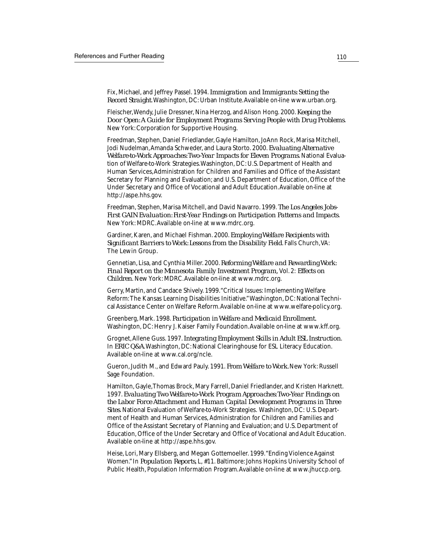Fix, Michael, and Jeffrey Passel. 1994. *Immigration and Immigrants: Setting the Record Straight*. Washington, DC: Urban Institute. Available on-line www.urban.org.

Fleischer, Wendy, Julie Dressner, Nina Herzog, and Alison Hong. 2000. *Keeping the Door Open: A Guide for Employment Programs Serving People with Drug Problems*. New York: Corporation for Supportive Housing.

Freedman, Stephen, Daniel Friedlander, Gayle Hamilton, JoAnn Rock, Marisa Mitchell, Jodi Nudelman, Amanda Schweder, and Laura Storto. 2000. *Evaluating Alternative Welfare-to-Work Approaches: Two-Year Impacts for Eleven Programs*. National Evaluation of Welfare-to-Work Strategies.Washington, DC: U.S. Department of Health and Human Services, Administration for Children and Families and Office of the Assistant Secretary for Planning and Evaluation; and U.S. Department of Education, Office of the Under Secretary and Office of Vocational and Adult Education. Available on-line at http://aspe.hhs.gov.

Freedman, Stephen, Marisa Mitchell, and David Navarro. 1999. *The Los Angeles Jobs-First GAIN Evaluation: First-Year Findings on Participation Patterns and Impacts*. New York: MDRC. Available on-line at www.mdrc.org.

Gardiner, Karen, and Michael Fishman. 2000. *Employing Welfare Recipients with Significant Barriers to Work: Lessons from the Disability Field*. Falls Church, VA: The Lewin Group.

Gennetian, Lisa, and Cynthia Miller. 2000. *Reforming Welfare and Rewarding Work: Final Report on the Minnesota Family Investment Program,* Vol. 2: *Effects on Children*. New York: MDRC. Available on-line at www.mdrc.org.

Gerry, Martin, and Candace Shively. 1999. "Critical Issues: Implementing Welfare Reform: The Kansas Learning Disabilities Initiative." Washington, DC: National Technical Assistance Center on Welfare Reform. Available on-line at www.welfare-policy.org.

Greenberg, Mark. 1998. *Participation in Welfare and Medicaid Enrollment.* Washington, DC: Henry J. Kaiser Family Foundation. Available on-line at www.kff.org.

Grognet, Allene Guss. 1997. *Integrating Employment Skills in Adult ESL Instruction*. In *ERIC Q&A*. Washington, DC: National Clearinghouse for ESL Literacy Education. Available on-line at www.cal.org/ncle.

Gueron, Judith M., and Edward Pauly. 1991. *From Welfare to Work.* New York: Russell Sage Foundation.

Hamilton, Gayle, Thomas Brock, Mary Farrell, Daniel Friedlander, and Kristen Harknett. 1997. *Evaluating Two Welfare-to-Work Program Approaches: Two-Year Findings on the Labor Force Attachment and Human Capital Development Programs in Three Sites*. National Evaluation of Welfare-to-Work Strategies. Washington, DC: U.S. Department of Health and Human Services, Administration for Children and Families and Office of the Assistant Secretary of Planning and Evaluation; and U.S. Department of Education, Office of the Under Secretary and Office of Vocational and Adult Education. Available on-line at http://aspe.hhs.gov.

Heise, Lori, Mary Ellsberg, and Megan Gottemoeller. 1999. "Ending Violence Against Women." In *Population Reports*, L, #11. Baltimore: Johns Hopkins University School of Public Health, Population Information Program. Available on-line at www.jhuccp.org.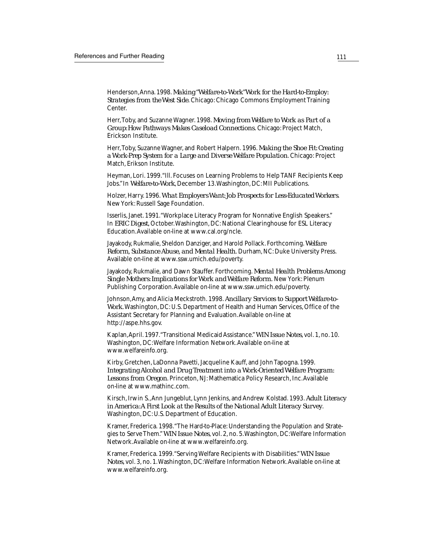Henderson, Anna. 1998. *Making "Welfare-to-Work" Work for the Hard-to-Employ: Strategies from the West Side*. Chicago: Chicago Commons Employment Training Center.

Herr, Toby, and Suzanne Wagner. 1998. *Moving from Welfare to Work as Part of a Group: How Pathways Makes Caseload Connections.* Chicago: Project Match, Erickson Institute.

Herr, Toby, Suzanne Wagner, and Robert Halpern. 1996. *Making the Shoe Fit: Creating a Work-Prep System for a Large and Diverse Welfare Population*. Chicago: Project Match, Erikson Institute.

Heyman, Lori. 1999. "Ill. Focuses on Learning Problems to Help TANF Recipients Keep Jobs." In *Welfare-to-Work*, December 13. Washington, DC: MII Publications.

Holzer, Harry. 1996. *What Employers Want: Job Prospects for Less-Educated Workers*. New York: Russell Sage Foundation.

Isserlis, Janet. 1991. "Workplace Literacy Program for Nonnative English Speakers." In *ERIC Digest*, October. Washington, DC: National Clearinghouse for ESL Literacy Education. Available on-line at www.cal.org/ncle.

Jayakody, Rukmalie, Sheldon Danziger, and Harold Pollack. Forthcoming. *Welfare Reform, Substance Abuse, and Mental Health.* Durham, NC: Duke University Press. Available on-line at www.ssw.umich.edu/poverty.

Jayakody, Rukmalie, and Dawn Stauffer. Forthcoming. *Mental Health Problems Among Single Mothers: Implications for Work and Welfare Reform.* New York: Plenum Publishing Corporation. Available on-line at www.ssw.umich.edu/poverty.

Johnson, Amy, and Alicia Meckstroth. 1998. *Ancillary Services to Support Welfare-to-Work.* Washington, DC: U.S. Department of Health and Human Services, Office of the Assistant Secretary for Planning and Evaluation. Available on-line at http://aspe.hhs.gov.

Kaplan, April. 1997. "Transitional Medicaid Assistance." *WIN Issue Notes*, vol. 1, no. 10. Washington, DC: Welfare Information Network. Available on-line at www.welfareinfo.org.

Kirby, Gretchen, LaDonna Pavetti, Jacqueline Kauff, and John Tapogna. 1999. *Integrating Alcohol and Drug Treatment into a Work-Oriented Welfare Program: Lessons from Oregon*. Princeton, NJ: Mathematica Policy Research, Inc. Available on-line at www.mathinc.com.

Kirsch, Irwin S., Ann Jungeblut, Lynn Jenkins, and Andrew Kolstad. 1993. *Adult Literacy in America: A First Look at the Results of the National Adult Literacy Survey*. Washington, DC: U.S. Department of Education.

Kramer, Frederica. 1998. "The Hard-to-Place: Understanding the Population and Strategies to Serve Them." *WIN Issue Notes*, vol. 2, no. 5. Washington, DC: Welfare Information Network. Available on-line at www.welfareinfo.org.

Kramer, Frederica. 1999. "Serving Welfare Recipients with Disabilities." *WIN Issue Notes*, vol. 3, no. 1. Washington, DC: Welfare Information Network. Available on-line at www.welfareinfo.org.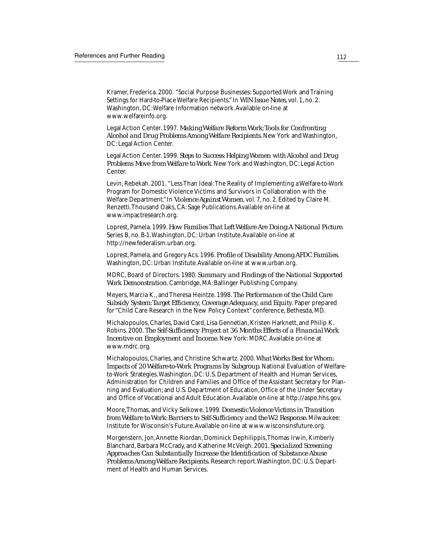Kramer, Frederica. 2000. "Social Purpose Businesses: Supported Work and Training Settings for Hard-to-Place Welfare Recipients." In *WIN Issue Notes*, vol. 1, no. 2. Washington, DC: Welfare Information network. Available on-line at www.welfareinfo.org.

Legal Action Center. 1997. *Making Welfare Reform Work: Tools for Confronting Alcohol and Drug Problems Among Welfare Recipients*. New York and Washington, DC: Legal Action Center.

Legal Action Center. 1999. *Steps to Success: Helping Women with Alcohol and Drug Problems Move from Welfare to Work*. New York and Washington, DC: Legal Action Center.

Levin, Rebekah. 2001. "Less Than Ideal: The Reality of Implementing a Welfare-to-Work Program for Domestic Violence Victims and Survivors in Collaboration with the Welfare Department." In *Violence Against Women*, vol. 7, no. 2. Edited by Claire M. Renzetti. Thousand Oaks, CA: Sage Publications. Available on-line at www.impactresearch.org.

Loprest, Pamela. 1999. *How Families That Left Welfare Are Doing: A National Picture*. Series B, no. B-1. Washington, DC: Urban Institute. Available on-line at http://newfederalism.urban.org.

Loprest, Pamela, and Gregory Acs. 1996. *Profile of Disability Among AFDC Families*. Washington, DC: Urban Institute. Available on-line at www.urban.org.

MDRC, Board of Directors. 1980. *Summary and Findings of the National Supported Work Demonstration*. Cambridge, MA: Ballinger Publishing Company.

Meyers, Marcia K., and Theresa Heintze. 1998. *The Performance of the Child Care Subsidy System: Target Efficiency, Coverage Adequacy, and Equity*. Paper prepared for "Child Care Research in the New Policy Context" conference, Bethesda, MD.

Michalopoulos, Charles, David Card, Lisa Gennetian, Kristen Harknett, and Philip K. Robins. 2000. *The Self-Sufficiency Project at 36 Months: Effects of a Financial Work Incentive on Employment and Income*. New York: MDRC. Available on-line at www.mdrc.org.

Michalopoulos, Charles, and Christine Schwartz. 2000. *What Works Best for Whom: Impacts of 20 Welfare-to-Work Programs by Subgroup*. National Evaluation of Welfareto-Work Strategies. Washington, DC: U.S. Department of Health and Human Services, Administration for Children and Families and Office of the Assistant Secretary for Planning and Evaluation; and U.S. Department of Education, Office of the Under Secretary and Office of Vocational and Adult Education. Available on-line at http://aspe.hhs.gov.

Moore, Thomas, and Vicky Selkowe. 1999. *Domestic Violence Victims in Transition from Welfare to Work: Barriers to Self-Sufficiency and the W-2 Response*. Milwaukee: Institute for Wisconsin's Future. Available on-line at www.wisconsinsfuture.org.

Morgenstern, Jon, Annette Riordan, Dominick Dephilippis, Thomas Irwin, Kimberly Blanchard, Barbara McCrady, and Katherine McVeigh. 2001*. Specialized Screening Approaches Can Substantially Increase the Identification of Substance Abuse Problems Among Welfare Recipients.* Research report. Washington, DC: U.S. Department of Health and Human Services.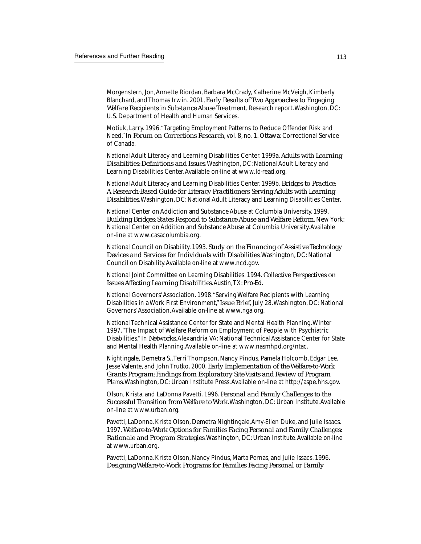Morgenstern, Jon, Annette Riordan, Barbara McCrady, Katherine McVeigh, Kimberly Blanchard, and Thomas Irwin. 2001*. Early Results of Two Approaches to Engaging Welfare Recipients in Substance Abuse Treatment.* Research report. Washington, DC: U.S. Department of Health and Human Services.

Motiuk, Larry. 1996. "Targeting Employment Patterns to Reduce Offender Risk and Need." In *Forum on Corrections Research*, vol. 8, no. 1. Ottawa: Correctional Service of Canada.

National Adult Literacy and Learning Disabilities Center. 1999a. *Adults with Learning Disabilities: Definitions and Issues*. Washington, DC: National Adult Literacy and Learning Disabilities Center. Available on-line at www.ld-read.org.

National Adult Literacy and Learning Disabilities Center. 1999b. *Bridges to Practice: A Research-Based Guide for Literacy Practitioners Serving Adults with Learning Disabilities*. Washington, DC: National Adult Literacy and Learning Disabilities Center.

National Center on Addiction and Substance Abuse at Columbia University. 1999. *Building Bridges: States Respond to Substance Abuse and Welfare Reform*. New York: National Center on Addition and Substance Abuse at Columbia University. Available on-line at www.casacolumbia.org.

National Council on Disability. 1993. *Study on the Financing of Assistive Technology Devices and Services for Individuals with Disabilities*. Washington, DC: National Council on Disability. Available on-line at www.ncd.gov.

National Joint Committee on Learning Disabilities. 1994. *Collective Perspectives on Issues Affecting Learning Disabilities*. Austin, TX: Pro-Ed.

National Governors' Association. 1998. "Serving Welfare Recipients with Learning Disabilities in a Work First Environment," *Issue Brief,* July 28. Washington, DC: National Governors' Association. Available on-line at www.nga.org.

National Technical Assistance Center for State and Mental Health Planning. Winter 1997. "The Impact of Welfare Reform on Employment of People with Psychiatric Disabilities." In *Networks*. Alexandria, VA: National Technical Assistance Center for State and Mental Health Planning. Available on-line at www.nasmhpd.org/ntac.

Nightingale, Demetra S., Terri Thompson, Nancy Pindus, Pamela Holcomb, Edgar Lee, Jesse Valente, and John Trutko. 2000. *Early Implementation of the Welfare-to-Work Grants Program: Findings from Exploratory Site Visits and Review of Program Plans*. Washington, DC: Urban Institute Press. Available on-line at http://aspe.hhs.gov.

Olson, Krista, and LaDonna Pavetti. 1996. *Personal and Family Challenges to the Successful Transition from Welfare to Work*. Washington, DC: Urban Institute. Available on-line at www.urban.org.

Pavetti, LaDonna, Krista Olson, Demetra Nightingale, Amy-Ellen Duke, and Julie Isaacs. 1997. *Welfare-to-Work Options for Families Facing Personal and Family Challenges: Rationale and Program Strategies*. Washington, DC: Urban Institute. Available on-line at www.urban.org.

Pavetti, LaDonna, Krista Olson, Nancy Pindus, Marta Pernas, and Julie Issacs. 1996. *Designing Welfare-to-Work Programs for Families Facing Personal or Family*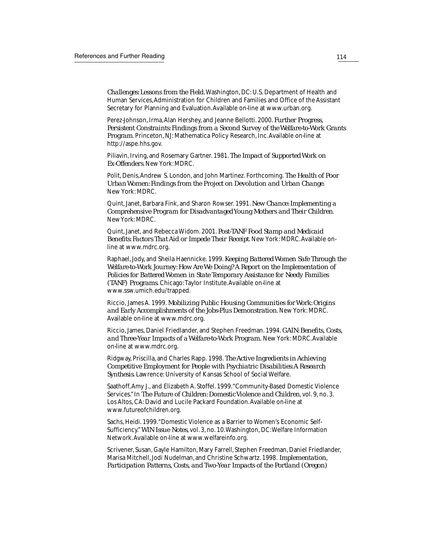*Challenges: Lessons from the Field.* Washington, DC: U.S. Department of Health and Human Services, Administration for Children and Families and Office of the Assistant Secretary for Planning and Evaluation. Available on-line at www.urban.org.

Perez-Johnson, Irma, Alan Hershey, and Jeanne Bellotti. 2000. *Further Progress, Persistent Constraints: Findings from a Second Survey of the Welfare-to-Work Grants Program*. Princeton, NJ: Mathematica Policy Research, Inc. Available on-line at http://aspe.hhs.gov.

Piliavin, Irving, and Rosemary Gartner. 1981. *The Impact of Supported Work on Ex-Offenders*. New York: MDRC.

Polit, Denis, Andrew S. London, and John Martinez. Forthcoming. *The Health of Poor Urban Women: Findings from the Project on Devolution and Urban Change*. New York: MDRC.

Quint, Janet, Barbara Fink, and Sharon Rowser. 1991. *New Chance: Implementing a Comprehensive Program for Disadvantaged Young Mothers and Their Children*. New York: MDRC.

Quint, Janet, and Rebecca Widom. 2001. *Post-TANF Food Stamp and Medicaid Benefits: Factors That Aid or Impede Their Receipt*. New York: MDRC. Available online at www.mdrc.org.

Raphael, Jody, and Sheila Haennicke. 1999. *Keeping Battered Women Safe Through the Welfare-to-Work Journey: How Are We Doing? A Report on the Implementation of Policies for Battered Women in State Temporary Assistance for Needy Families (TANF) Programs*. Chicago: Taylor Institute. Available on-line at www.ssw.umich.edu/trapped.

Riccio, James A. 1999. *Mobilizing Public Housing Communities for Work: Origins and Early Accomplishments of the Jobs-Plus Demonstration*. New York: MDRC. Available on-line at www.mdrc.org.

Riccio, James, Daniel Friedlander, and Stephen Freedman. 1994. *GAIN: Benefits, Costs, and Three-Year Impacts of a Welfare-to-Work Program.* New York: MDRC. Available on-line at www.mdrc.org.

Ridgway, Priscilla, and Charles Rapp. 1998. *The Active Ingredients in Achieving Competitive Employment for People with Psychiatric Disabilities: A Research Synthesis*. Lawrence: University of Kansas School of Social Welfare.

Saathoff, Amy J., and Elizabeth A. Stoffel. 1999. "Community-Based Domestic Violence Services." In *The Future of Children: Domestic Violence and Children*, vol. 9, no. 3. Los Altos, CA: David and Lucile Packard Foundation. Available on-line at www.futureofchildren.org.

Sachs, Heidi. 1999. "Domestic Violence as a Barrier to Women's Economic Self-Sufficiency." *WIN Issue Notes*, vol. 3, no. 10. Washington, DC: Welfare Information Network. Available on-line at www.welfareinfo.org.

Scrivener, Susan, Gayle Hamilton, Mary Farrell, Stephen Freedman, Daniel Friedlander, Marisa Mitchell, Jodi Nudelman, and Christine Schwartz. 1998. *Implementation, Participation Patterns, Costs, and Two-Year Impacts of the Portland (Oregon)*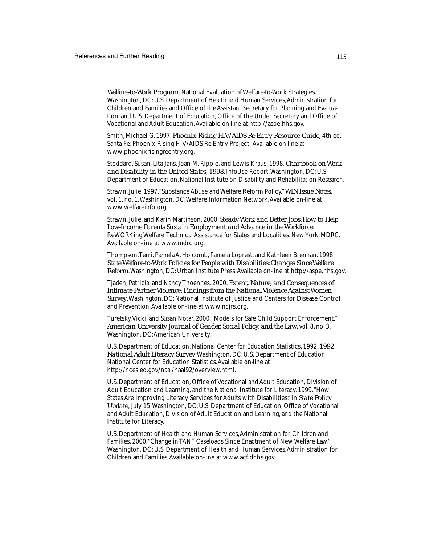*Welfare-to-Work Program.* National Evaluation of Welfare-to-Work Strategies. Washington, DC: U.S. Department of Health and Human Services, Administration for Children and Families and Office of the Assistant Secretary for Planning and Evaluation; and U.S. Department of Education, Office of the Under Secretary and Office of Vocational and Adult Education. Available on-line at http://aspe.hhs.gov.

Smith, Michael G. 1997. *Phoenix Rising HIV/AIDS Re-Entry Resource Guide,* 4th ed. Santa Fe: Phoenix Rising HIV/AIDS Re-Entry Project. Available on-line at www.phoenixrisingreentry.org.

Stoddard, Susan, Lita Jans, Joan M. Ripple, and Lewis Kraus. 1998. *Chartbook on Work and Disability in the United States, 1998*. InfoUse Report. Washington, DC: U.S. Department of Education, National Institute on Disability and Rehabilitation Research.

Strawn, Julie. 1997. "Substance Abuse and Welfare Reform Policy." *WIN Issue Notes*, vol. 1, no. 1. Washington, DC: Welfare Information Network. Available on-line at www.welfareinfo.org.

Strawn, Julie, and Karin Martinson. 2000. *Steady Work and Better Jobs: How to Help Low-Income Parents Sustain Employment and Advance in the Workforce*. ReWORKing Welfare: Technical Assistance for States and Localities. New York: MDRC. Available on-line at www.mdrc.org.

Thompson, Terri, Pamela A. Holcomb, Pamela Loprest, and Kathleen Brennan. 1998. *State Welfare-to-Work Policies for People with Disabilities: Changes Since Welfare Reform*. Washington, DC: Urban Institute Press. Available on-line at http://aspe.hhs.gov.

Tjaden, Patricia, and Nancy Thoennes. 2000. *Extent, Nature, and Consequences of Intimate Partner Violence: Findings from the National Violence Against Women Survey*. Washington, DC: National Institute of Justice and Centers for Disease Control and Prevention. Available on-line at www.ncjrs.org.

Turetsky, Vicki, and Susan Notar. 2000. "Models for Safe Child Support Enforcement." *American University Journal of Gender, Social Policy, and the Law*, vol. 8, no. 3. Washington, DC: American University.

U.S. Department of Education, National Center for Education Statistics. 1992*. 1992 National Adult Literacy Survey*. Washington, DC: U.S. Department of Education, National Center for Education Statistics. Available on-line at http://nces.ed.gov/naal/naal92/overview.html.

U.S. Department of Education, Office of Vocational and Adult Education, Division of Adult Education and Learning, and the National Institute for Literacy. 1999. "How States Are Improving Literacy Services for Adults with Disabilities." In *State Policy Update,* July 15. Washington, DC: U.S. Department of Education, Office of Vocational and Adult Education, Division of Adult Education and Learning, and the National Institute for Literacy.

U.S. Department of Health and Human Services, Administration for Children and Families. 2000. "Change in TANF Caseloads Since Enactment of New Welfare Law." Washington, DC: U.S. Department of Health and Human Services, Administration for Children and Families. Available on-line at www.acf.dhhs.gov.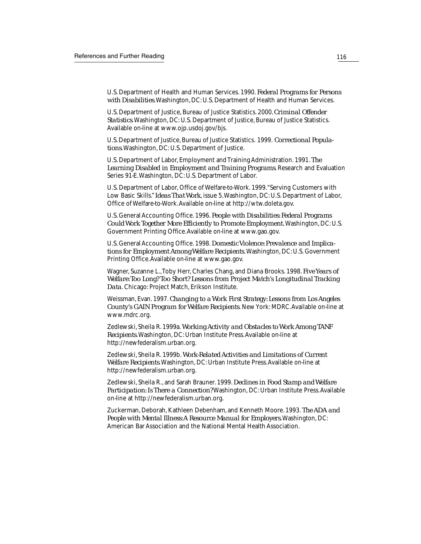U.S. Department of Health and Human Services. 1990. *Federal Programs for Persons with Disabilities*. Washington, DC: U.S. Department of Health and Human Services.

U.S. Department of Justice, Bureau of Justice Statistics. 2000*. Criminal Offender Statistics*. Washington, DC: U.S. Department of Justice, Bureau of Justice Statistics. Available on-line at www.ojp.usdoj.gov/bjs.

U.S. Department of Justice, Bureau of Justice Statistics. 1999. *Correctional Populations*. Washington, DC: U.S. Department of Justice.

U.S. Department of Labor, Employment and Training Administration. 1991. *The Learning Disabled in Employment and Training Programs*. Research and Evaluation Series 91-E. Washington, DC: U.S. Department of Labor.

U.S. Department of Labor, Office of Welfare-to-Work. 1999. "Serving Customers with Low Basic Skills." *Ideas That Work*, issue 5. Washington, DC: U.S. Department of Labor, Office of Welfare-to-Work. Available on-line at http://wtw.doleta.gov.

U.S. General Accounting Office. 1996. *People with Disabilities: Federal Programs Could Work Together More Efficiently to Promote Employment.* Washington, DC: U.S. Government Printing Office. Available on-line at www.gao.gov.

U.S. General Accounting Office. 1998. *Domestic Violence: Prevalence and Implications for Employment Among Welfare Recipients.* Washington, DC: U.S. Government Printing Office. Available on-line at www.gao.gov.

Wagner, Suzanne L., Toby Herr, Charles Chang, and Diana Brooks. 1998. *Five Years of Welfare: Too Long? Too Short? Lessons from Project Match's Longitudinal Tracking Data*. Chicago: Project Match, Erikson Institute.

Weissman, Evan. 1997. *Changing to a Work First Strategy: Lessons from Los Angeles County's GAIN Program for Welfare Recipients*. New York: MDRC. Available on-line at www.mdrc.org.

Zedlewski, Sheila R. 1999a. *Working Activity and Obstacles to Work Among TANF Recipients*. Washington, DC: Urban Institute Press. Available on-line at http://newfederalism.urban.org.

Zedlewski, Sheila R. 1999b. *Work-Related Activities and Limitations of Current Welfare Recipients*. Washington, DC: Urban Institute Press. Available on-line at http://newfederalism.urban.org.

Zedlewski, Sheila R., and Sarah Brauner. 1999. *Declines in Food Stamp and Welfare Participation: Is There a Connection?* Washington, DC: Urban Institute Press. Available on-line at http://newfederalism.urban.org.

Zuckerman, Deborah, Kathleen Debenham, and Kenneth Moore. 1993. *The ADA and People with Mental Illness: A Resource Manual for Employers*. Washington, DC: American Bar Association and the National Mental Health Association.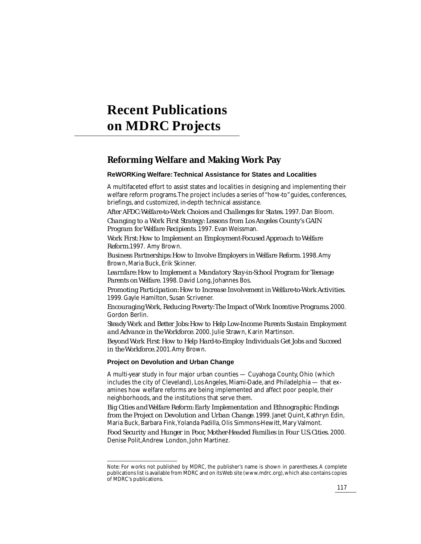# **Recent Publications on MDRC Projects**

# **Reforming Welfare and Making Work Pay**

### **ReWORKing Welfare: Technical Assistance for States and Localities**

A multifaceted effort to assist states and localities in designing and implementing their welfare reform programs. The project includes a series of "how-to" guides, conferences, briefings, and customized, in-depth technical assistance.

*After AFDC: Welfare-to-Work Choices and Challenges for States.* 1997. Dan Bloom.

*Changing to a Work First Strategy: Lessons from Los Angeles County's GAIN Program for Welfare Recipients*. 1997. Evan Weissman.

*Work First: How to Implement an Employment-Focused Approach to Welfare Reform.*1997. Amy Brown.

*Business Partnerships: How to Involve Employers in Welfare Reform*. 1998. Amy Brown, Maria Buck, Erik Skinner.

*Learnfare: How to Implement a Mandatory Stay-in-School Program for Teenage Parents on Welfare.* 1998. David Long, Johannes Bos.

*Promoting Participation: How to Increase Involvement in Welfare-to-Work Activities.* 1999. Gayle Hamilton, Susan Scrivener.

*Encouraging Work, Reducing Poverty: The Impact of Work Incentive Programs*. 2000. Gordon Berlin.

*Steady Work and Better Jobs: How to Help Low-Income Parents Sustain Employment and Advance in the Workforce*. 2000. Julie Strawn, Karin Martinson.

*Beyond Work First*: *How to Help Hard-to-Employ Individuals Get Jobs and Succeed in the Workforce.* 2001. Amy Brown.

### **Project on Devolution and Urban Change**

A multi-year study in four major urban counties — Cuyahoga County, Ohio (which includes the city of Cleveland), Los Angeles, Miami-Dade, and Philadelphia — that examines how welfare reforms are being implemented and affect poor people, their neighborhoods, and the institutions that serve them.

*Big Cities and Welfare Reform: Early Implementation and Ethnographic Findings from the Project on Devolution and Urban Change*. 1999. Janet Quint, Kathryn Edin, Maria Buck, Barbara Fink, Yolanda Padilla, Olis Simmons-Hewitt, Mary Valmont.

*Food Security and Hunger in Poor, Mother-Headed Families in Four U.S. Cities.* 2000. Denise Polit, Andrew London, John Martinez.

Note: For works not published by MDRC, the publisher's name is shown in parentheses. A complete publications list is available from MDRC and on its Web site (www.mdrc.org), which also contains copies of MDRC's publications.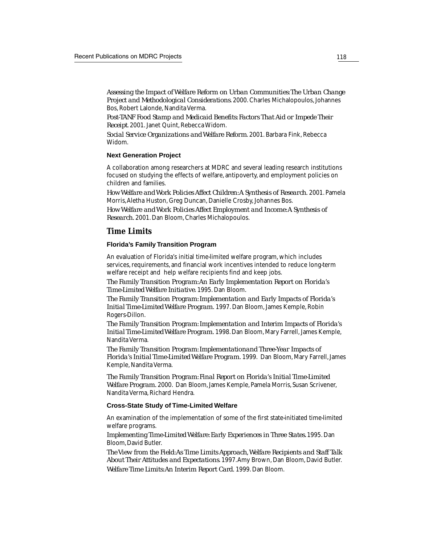*Assessing the Impact of Welfare Reform on Urban Communities: The Urban Change Project and Methodological Considerations*. 2000. Charles Michalopoulos, Johannes Bos, Robert Lalonde, Nandita Verma.

*Post-TANF Food Stamp and Medicaid Benefits: Factors That Aid or Impede Their Receipt*. 2001. Janet Quint, Rebecca Widom.

*Social Service Organizations and Welfare Reform*. 2001. Barbara Fink, Rebecca Widom.

#### **Next Generation Project**

A collaboration among researchers at MDRC and several leading research institutions focused on studying the effects of welfare, antipoverty, and employment policies on children and families.

*How Welfare and Work Policies Affect Children: A Synthesis of Research.* 2001. Pamela Morris, Aletha Huston, Greg Duncan, Danielle Crosby, Johannes Bos.

*How Welfare and Work Policies Affect Employment and Income: A Synthesis of Research.* 2001. Dan Bloom, Charles Michalopoulos.

## *Time Limits*

#### **Florida's Family Transition Program**

An evaluation of Florida's initial time-limited welfare program, which includes services, requirements, and financial work incentives intended to reduce long-term welfare receipt and help welfare recipients find and keep jobs.

*The Family Transition Program: An Early Implementation Report on Florida's Time-Limited Welfare Initiative*. 1995. Dan Bloom.

*The Family Transition Program: Implementation and Early Impacts of Florida's Initial Time-Limited Welfare Program.* 1997. Dan Bloom, James Kemple, Robin Rogers-Dillon.

*The Family Transition Program: Implementation and Interim Impacts of Florida's Initial Time-Limited Welfare Program.* 1998. Dan Bloom, Mary Farrell, James Kemple, Nandita Verma.

*The Family Transition Program: Implementationand Three-Year Impacts of Florida's Initial Time-Limited Welfare Program.* 1999. Dan Bloom, Mary Farrell, James Kemple, Nandita Verma.

*The Family Transition Program: Final Report on Florida's Initial Time-Limited Welfare Program.* 2000. Dan Bloom, James Kemple, Pamela Morris, Susan Scrivener, Nandita Verma, Richard Hendra.

#### **Cross-State Study of Time-Limited Welfare**

An examination of the implementation of some of the first state-initiated time-limited welfare programs.

*Implementing Time-Limited Welfare: Early Experiences in Three States.* 1995. Dan Bloom, David Butler.

*The View from the Field: As Time Limits Approach, Welfare Recipients and Staff Talk About Their Attitudes and Expectations*. 1997. Amy Brown, Dan Bloom, David Butler. *Welfare Time Limits: An Interim Report Card.* 1999. Dan Bloom.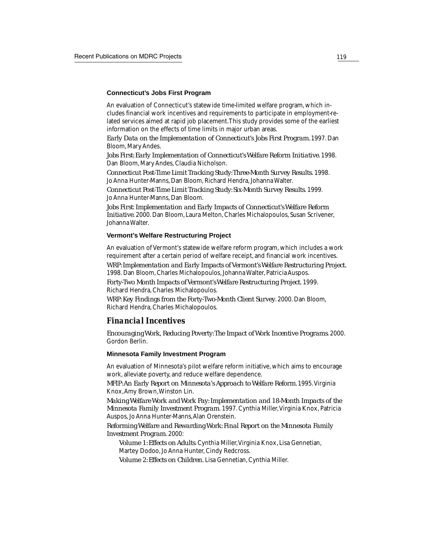#### **Connecticut's Jobs First Program**

An evaluation of Connecticut's statewide time-limited welfare program, which includes financial work incentives and requirements to participate in employment-related services aimed at rapid job placement. This study provides some of the earliest information on the effects of time limits in major urban areas.

*Early Data on the Implementation of Connecticut's Jobs First Program.* 1997. Dan Bloom, Mary Andes*.*

*Jobs First: Early Implementation of Connecticut's Welfare Reform Initiative*. 1998. Dan Bloom, Mary Andes, Claudia Nicholson.

*Connecticut Post-Time Limit Tracking Study: Three-Month Survey Results.* 1998. Jo Anna Hunter-Manns, Dan Bloom, Richard Hendra, Johanna Walter.

*Connecticut Post-Time Limit Tracking Study: Six-Month Survey Results.* 1999. Jo Anna Hunter-Manns, Dan Bloom.

*Jobs First*: *Implementation and Early Impacts of Connecticut's Welfare Reform Initiative*. 2000. Dan Bloom, Laura Melton, Charles Michalopoulos, Susan Scrivener, Johanna Walter.

#### **Vermont's Welfare Restructuring Project**

An evaluation of Vermont's statewide welfare reform program, which includes a work requirement after a certain period of welfare receipt, and financial work incentives. *WRP: Implementation and Early Impacts of Vermont's Welfare Restructuring Project.* 1998. Dan Bloom, Charles Michalopoulos, Johanna Walter, Patricia Auspos.

*Forty-Two Month Impacts of Vermont's Welfare Restructuring Project.* 1999. Richard Hendra, Charles Michalopoulos.

*WRP: Key Findings from the Forty-Two-Month Client Survey*. 2000. Dan Bloom, Richard Hendra, Charles Michalopoulos.

## *Financial Incentives*

*Encouraging Work, Reducing Poverty: The Impact of Work Incentive Programs*. 2000. Gordon Berlin.

#### **Minnesota Family Investment Program**

An evaluation of Minnesota's pilot welfare reform initiative, which aims to encourage work, alleviate poverty, and reduce welfare dependence.

*MFIP: An Early Report on Minnesota's Approach to Welfare Reform.* 1995. Virginia Knox, Amy Brown, Winston Lin.

*Making Welfare Work and Work Pay: Implementation and 18-Month Impacts of the Minnesota Family Investment Program*. 1997. Cynthia Miller, Virginia Knox, Patricia Auspos, Jo Anna Hunter-Manns, Alan Orenstein.

*Reforming Welfare and Rewarding Work: Final Report on the Minnesota Family Investment Program*. 2000:

*Volume 1: Effects on Adults*. Cynthia Miller, Virginia Knox, Lisa Gennetian, Martey Dodoo, Jo Anna Hunter, Cindy Redcross.

*Volume 2: Effects on Children.* Lisa Gennetian, Cynthia Miller.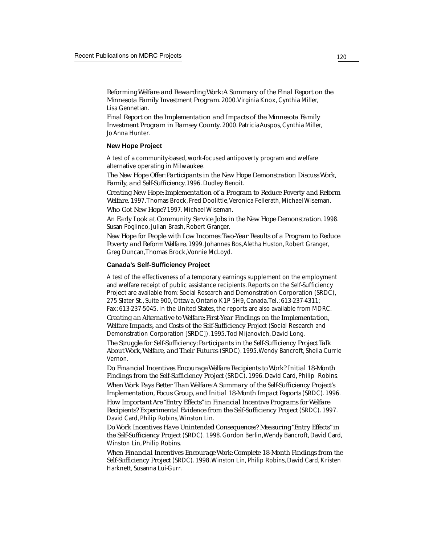*Reforming Welfare and Rewarding Work: A Summary of the Final Report on the Minnesota Family Investment Program*. 2000. Virginia Knox, Cynthia Miller, Lisa Gennetian.

*Final Report on the Implementation and Impacts of the Minnesota Family Investment Program in Ramsey County*. 2000. Patricia Auspos, Cynthia Miller, Jo Anna Hunter.

#### **New Hope Project**

A test of a community-based, work-focused antipoverty program and welfare alternative operating in Milwaukee.

*The New Hope Offer: Participants in the New Hope Demonstration Discuss Work, Family, and Self-Sufficiency.* 1996. Dudley Benoit.

*Creating New Hope: Implementation of a Program to Reduce Poverty and Reform Welfare.* 1997. Thomas Brock, Fred Doolittle, Veronica Fellerath, Michael Wiseman.

*Who Got New Hope?* 1997. Michael Wiseman.

*An Early Look at Community Service Jobs in the New Hope Demonstration.* 1998. Susan Poglinco, Julian Brash, Robert Granger.

*New Hope for People with Low Incomes: Two-Year Results of a Program to Reduce Poverty and Reform Welfare.* 1999. Johannes Bos, Aletha Huston, Robert Granger, Greg Duncan, Thomas Brock, Vonnie McLoyd.

#### **Canada's Self-Sufficiency Project**

A test of the effectiveness of a temporary earnings supplement on the employment and welfare receipt of public assistance recipients. Reports on the Self-Sufficiency Project are available from: Social Research and Demonstration Corporation (SRDC), 275 Slater St., Suite 900, Ottawa, Ontario K1P 5H9, Canada. Tel.: 613-237-4311; Fax: 613-237-5045. In the United States, the reports are also available from MDRC.

*Creating an Alternative to Welfare: First-Year Findings on the Implementation, Welfare Impacts, and Costs of the Self-Sufficiency Project* (Social Research and Demonstration Corporation [SRDC]). 1995. Tod Mijanovich, David Long.

*The Struggle for Self-Sufficiency: Participants in the Self-Sufficiency Project Talk About Work, Welfare, and Their Futures* (SRDC). 1995. Wendy Bancroft, Sheila Currie Vernon.

*Do Financial Incentives Encourage Welfare Recipients to Work? Initial 18-Month Findings from the Self-Sufficiency Project* (SRDC). 1996. David Card, Philip Robins. *When Work Pays Better Than Welfare: A Summary of the Self-Sufficiency Project's Implementation, Focus Group, and Initial 18-Month Impact Reports* (SRDC). 1996. *How Important Are "Entry Effects" in Financial Incentive Programs for Welfare Recipients? Experimental Evidence from the Self-Sufficiency Project* (SRDC). 1997. David Card, Philip Robins, Winston Lin.

*Do Work Incentives Have Unintended Consequences? Measuring "Entry Effects" in the Self-Sufficiency Project* (SRDC)*.* 1998. Gordon Berlin, Wendy Bancroft, David Card, Winston Lin, Philip Robins.

*When Financial Incentives Encourage Work: Complete 18-Month Findings from the Self-Sufficiency Project* (SRDC). 1998. Winston Lin, Philip Robins, David Card, Kristen Harknett, Susanna Lui-Gurr.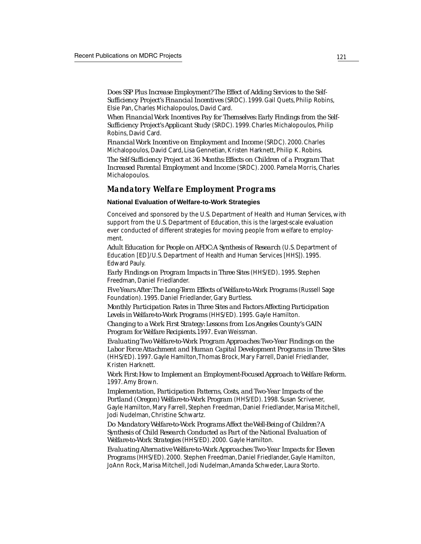*Does SSP Plus Increase Employment? The Effect of Adding Services to the Self-Sufficiency Project's Financial Incentives* (SRDC). 1999. Gail Quets, Philip Robins, Elsie Pan, Charles Michalopoulos, David Card.

*When Financial Work Incentives Pay for Themselves: Early Findings from the Self-Sufficiency Project's Applicant Study* (SRDC). 1999. Charles Michalopoulos, Philip Robins, David Card.

*Financial Work Incentive on Employment and Income* (SRDC). 2000. Charles Michalopoulos, David Card, Lisa Gennetian, Kristen Harknett, Philip K. Robins.

*The Self-Sufficiency Project at 36 Months: Effects on Children of a Program That Increased Parental Employment and Income* (SRDC). 2000. Pamela Morris, Charles Michalopoulos.

## *Mandatory Welfare Employment Programs*

**National Evaluation of Welfare-to-Work Strategies**

Conceived and sponsored by the U.S. Department of Health and Human Services, with support from the U.S. Department of Education, this is the largest-scale evaluation ever conducted of different strategies for moving people from welfare to employment.

*Adult Education for People on AFDC: A Synthesis of Research* (U.S. Department of Education [ED]/U.S. Department of Health and Human Services [HHS]). 1995. Edward Pauly.

*Early Findings on Program Impacts in Three Sites* (HHS/ED)*.* 1995. Stephen Freedman, Daniel Friedlander.

*Five Years After: The Long-Term Effects of Welfare-to-Work Programs* (Russell Sage Foundation). 1995. Daniel Friedlander, Gary Burtless.

*Monthly Participation Rates in Three Sites and Factors Affecting Participation Levels in Welfare-to-Work Programs* (HHS/ED). 1995. Gayle Hamilton.

*Changing to a Work First Strategy: Lessons from Los Angeles County's GAIN Program for Welfare Recipients.* 1997*.* Evan Weissman.

*Evaluating Two Welfare-to-Work Program Approaches: Two-Year Findings on the Labor Force Attachment and Human Capital Development Programs in Three Sites* (HHS/ED). 1997. Gayle Hamilton, Thomas Brock, Mary Farrell, Daniel Friedlander, Kristen Harknett.

*Work First: How to Implement an Employment-Focused Approach to Welfare Reform.* 1997. Amy Brown.

*Implementation, Participation Patterns, Costs, and Two-Year Impacts of the Portland (Oregon) Welfare-to-Work Program* (HHS/ED). 1998. Susan Scrivener, Gayle Hamilton, Mary Farrell, Stephen Freedman, Daniel Friedlander, Marisa Mitchell, Jodi Nudelman, Christine Schwartz.

*Do Mandatory Welfare-to-Work Programs Affect the Well-Being of Children? A Synthesis of Child Research Conducted as Part of the National Evaluation of Welfare-to-Work Strategies* (HHS/ED). 2000. Gayle Hamilton.

*Evaluating Alternative Welfare-to-Work Approaches: Two-Year Impacts for Eleven Programs* (HHS/ED). 2000. Stephen Freedman, Daniel Friedlander, Gayle Hamilton, JoAnn Rock, Marisa Mitchell, Jodi Nudelman, Amanda Schweder, Laura Storto.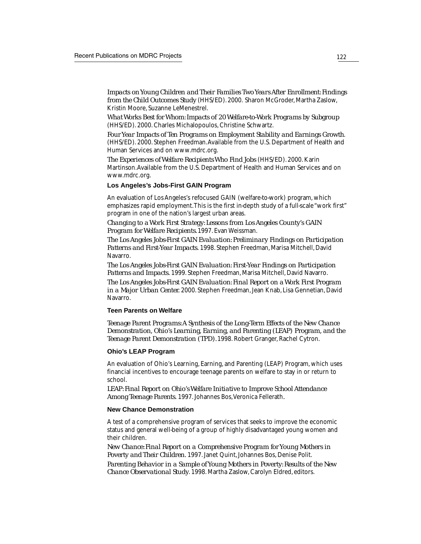*Impacts on Young Children and Their Families Two Years After Enrollment: Findings from the Child Outcomes Study* (HHS/ED). 2000. Sharon McGroder, Martha Zaslow, Kristin Moore, Suzanne LeMenestrel.

*What Works Best for Whom: Impacts of 20 Welfare-to-Work Programs by Subgroup* (HHS/ED). 2000. Charles Michalopoulos, Christine Schwartz.

*Four Year Impacts of Ten Programs on Employment Stability and Earnings Growth*. (HHS/ED). 2000. Stephen Freedman. Available from the U.S. Department of Health and Human Services and on www.mdrc.org.

*The Experiences of Welfare Recipients Who Find Jobs* (HHS/ED). 2000. Karin Martinson. Available from the U.S. Department of Health and Human Services and on www.mdrc.org.

### **Los Angeles's Jobs-First GAIN Program**

An evaluation of Los Angeles's refocused GAIN (welfare-to-work) program, which emphasizes rapid employment. This is the first in-depth study of a full-scale "work first" program in one of the nation's largest urban areas.

*Changing to a Work First Strategy: Lessons from Los Angeles County's GAIN Program for Welfare Recipients.* 1997. Evan Weissman.

*The Los Angeles Jobs-First GAIN Evaluation: Preliminary Findings on Participation Patterns and First-Year Impacts.* 1998. Stephen Freedman, Marisa Mitchell, David Navarro.

*The Los Angeles Jobs-First GAIN Evaluation: First-Year Findings on Participation Patterns and Impacts.* 1999. Stephen Freedman, Marisa Mitchell, David Navarro.

*The Los Angeles Jobs-First GAIN Evaluation: Final Report on a Work First Program in a Major Urban Center.* 2000. Stephen Freedman, Jean Knab, Lisa Gennetian, David Navarro.

#### **Teen Parents on Welfare**

*Teenage Parent Programs: A Synthesis of the Long-Term Effects of the New Chance Demonstration, Ohio's Learning, Earning, and Parenting (LEAP) Program, and the Teenage Parent Demonstration (TPD).* 1998. Robert Granger, Rachel Cytron.

#### **Ohio's LEAP Program**

An evaluation of Ohio's Learning, Earning, and Parenting (LEAP) Program, which uses financial incentives to encourage teenage parents on welfare to stay in or return to school.

*LEAP: Final Report on Ohio's Welfare Initiative to Improve School Attendance Among Teenage Parents.* 1997. Johannes Bos, Veronica Fellerath*.*

#### **New Chance Demonstration**

A test of a comprehensive program of services that seeks to improve the economic status and general well-being of a group of highly disadvantaged young women and their children.

*New Chance: Final Report on a Comprehensive Program for Young Mothers in Poverty and Their Children.* 1997. Janet Quint, Johannes Bos, Denise Polit.

*Parenting Behavior in a Sample of Young Mothers in Poverty: Results of the New Chance Observational Study*. 1998. Martha Zaslow, Carolyn Eldred, editors.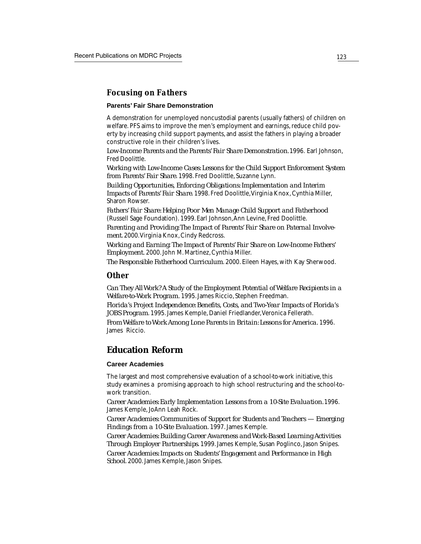## *Focusing on Fathers*

#### **Parents' Fair Share Demonstration**

A demonstration for unemployed noncustodial parents (usually fathers) of children on welfare. PFS aims to improve the men's employment and earnings, reduce child poverty by increasing child support payments, and assist the fathers in playing a broader constructive role in their children's lives.

*Low-Income Parents and the Parents' Fair Share Demonstration.* 1996. Earl Johnson, Fred Doolittle.

*Working with Low-Income Cases: Lessons for the Child Support Enforcement System from Parents' Fair Share*. 1998. Fred Doolittle, Suzanne Lynn.

*Building Opportunities, Enforcing Obligations: Implementation and Interim Impacts of Parents' Fair Share*. 1998. Fred Doolittle, Virginia Knox, Cynthia Miller, Sharon Rowser.

*Fathers' Fair Share: Helping Poor Men Manage Child Support and Fatherhood* (Russell Sage Foundation). 1999. Earl Johnson, Ann Levine, Fred Doolittle.

*Parenting and Providing: The Impact of Parents' Fair Share on Paternal Involvement*. 2000. Virginia Knox, Cindy Redcross.

*Working and Earning*: *The Impact of Parents' Fair Share on Low-Income Fathers' Employment.* 2000. John M. Martinez, Cynthia Miller.

*The Responsible Fatherhood Curriculum*. 2000. Eileen Hayes, with Kay Sherwood.

## *Other*

*Can They All Work? A Study of the Employment Potential of Welfare Recipients in a Welfare-to-Work Program.* 1995. James Riccio, Stephen Freedman.

*Florida's Project Independence: Benefits, Costs, and Two-Year Impacts of Florida's JOBS Program*. 1995. James Kemple, Daniel Friedlander, Veronica Fellerath.

*From Welfare to Work Among Lone Parents in Britain: Lessons for America.* 1996. James Riccio.

# **Education Reform**

#### **Career Academies**

The largest and most comprehensive evaluation of a school-to-work initiative, this study examines a promising approach to high school restructuring and the school-towork transition.

*Career Academies: Early Implementation Lessons from a 10-Site Evaluation.* 1996. James Kemple, JoAnn Leah Rock.

*Career Academies: Communities of Support for Students and Teachers — Emerging Findings from a 10-Site Evaluation*. 1997. James Kemple.

*Career Academies: Building Career Awareness and Work-Based Learning Activities Through Employer Partnerships*. 1999. James Kemple, Susan Poglinco, Jason Snipes.

*Career Academies: Impacts on Students' Engagement and Performance in High School*. 2000. James Kemple, Jason Snipes.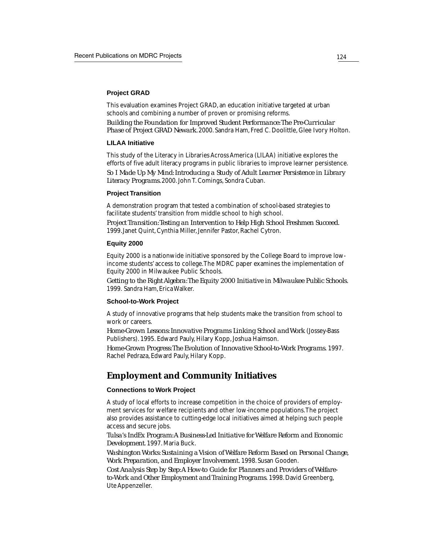#### **Project GRAD**

This evaluation examines Project GRAD, an education initiative targeted at urban schools and combining a number of proven or promising reforms. *Building the Foundation for Improved Student Performance: The Pre-Curricular*

*Phase of Project GRAD Newark.* 2000. Sandra Ham, Fred C. Doolittle, Glee Ivory Holton.

#### **LILAA Initiative**

This study of the Literacy in Libraries Across America (LILAA) initiative explores the efforts of five adult literacy programs in public libraries to improve learner persistence. *So I Made Up My Mind: Introducing a Study of Adult Learner Persistence in Library Literacy Programs.* 2000. John T. Comings, Sondra Cuban.

#### **Project Transition**

A demonstration program that tested a combination of school-based strategies to facilitate students' transition from middle school to high school.

*Project Transition: Testing an Intervention to Help High School Freshmen Succeed.* 1999*.* Janet Quint, Cynthia Miller, Jennifer Pastor, Rachel Cytron.

#### **Equity 2000**

Equity 2000 is a nationwide initiative sponsored by the College Board to improve lowincome students' access to college. The MDRC paper examines the implementation of Equity 2000 in Milwaukee Public Schools.

*Getting to the Right Algebra: The Equity 2000 Initiative in Milwaukee Public Schools.* 1999. Sandra Ham, Erica Walker.

#### **School-to-Work Project**

A study of innovative programs that help students make the transition from school to work or careers.

*Home-Grown Lessons: Innovative Programs Linking School and Work* (Jossey-Bass Publishers). 1995. Edward Pauly, Hilary Kopp, Joshua Haimson.

*Home-Grown Progress: The Evolution of Innovative School-to-Work Programs.* 1997. Rachel Pedraza, Edward Pauly, Hilary Kopp.

# **Employment and Community Initiatives**

### **Connections to Work Project**

A study of local efforts to increase competition in the choice of providers of employment services for welfare recipients and other low-income populations. The project also provides assistance to cutting-edge local initiatives aimed at helping such people access and secure jobs.

*Tulsa's IndEx Program: A Business-Led Initiative for Welfare Reform and Economic Development*. 1997. Maria Buck.

*Washington Works: Sustaining a Vision of Welfare Reform Based on Personal Change, Work Preparation, and Employer Involvement.* 1998. Susan Gooden.

*Cost Analysis Step by Step: A How-to Guide for Planners and Providers of Welfareto-Work and Other Employment and Training Programs.* 1998. David Greenberg, Ute Appenzeller.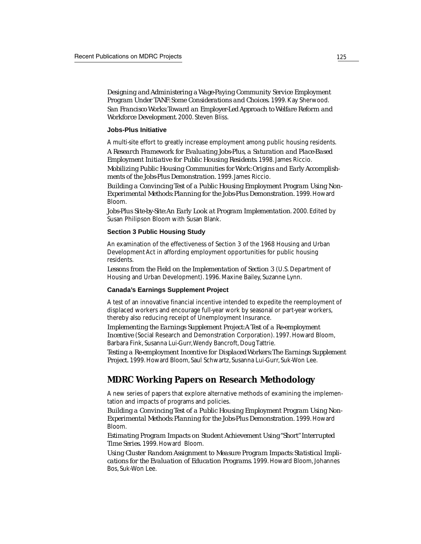*Designing and Administering a Wage-Paying Community Service Employment Program Under TANF: Some Considerations and Choices.* 1999. Kay Sherwood. *San Francisco Works: Toward an Employer-Led Approach to Welfare Reform and Workforce Development*. 2000. Steven Bliss.

#### **Jobs-Plus Initiative**

A multi-site effort to greatly increase employment among public housing residents.

*A Research Framework for Evaluating Jobs-Plus, a Saturation and Place-Based Employment Initiative for Public Housing Residents*. 1998. James Riccio. *Mobilizing Public Housing Communities for Work: Origins and Early Accomplish-*

*ments of the Jobs-Plus Demonstration.* 1999. James Riccio.

*Building a Convincing Test of a Public Housing Employment Program Using Non-Experimental Methods: Planning for the Jobs-Plus Demonstration.* 1999. Howard Bloom.

*Jobs-Plus Site-by-Site: An Early Look at Program Implementation*. 2000. Edited by Susan Philipson Bloom with Susan Blank.

#### **Section 3 Public Housing Study**

An examination of the effectiveness of Section 3 of the 1968 Housing and Urban Development Act in affording employment opportunities for public housing residents.

*Lessons from the Field on the Implementation of Section 3* (U.S. Department of Housing and Urban Development). 1996. Maxine Bailey, Suzanne Lynn.

#### **Canada's Earnings Supplement Project**

A test of an innovative financial incentive intended to expedite the reemployment of displaced workers and encourage full-year work by seasonal or part-year workers, thereby also reducing receipt of Unemployment Insurance.

*Implementing the Earnings Supplement Project: A Test of a Re-employment Incentive* (Social Research and Demonstration Corporation). 1997. Howard Bloom, Barbara Fink, Susanna Lui-Gurr, Wendy Bancroft, Doug Tattrie.

*Testing a Re-employment Incentive for Displaced Workers: The Earnings Supplement Project.* 1999. Howard Bloom, Saul Schwartz, Susanna Lui-Gurr, Suk-Won Lee.

# **MDRC Working Papers on Research Methodology**

A new series of papers that explore alternative methods of examining the implementation and impacts of programs and policies.

*Building a Convincing Test of a Public Housing Employment Program Using Non-Experimental Methods: Planning for the Jobs-Plus Demonstration.* 1999. Howard Bloom.

*Estimating Program Impacts on Student Achievement Using "Short" Interrupted Time Series.* 1999. Howard Bloom.

*Using Cluster Random Assignment to Measure Program Impacts: Statistical Implications for the Evaluation of Education Programs*. 1999. Howard Bloom, Johannes Bos, Suk-Won Lee.